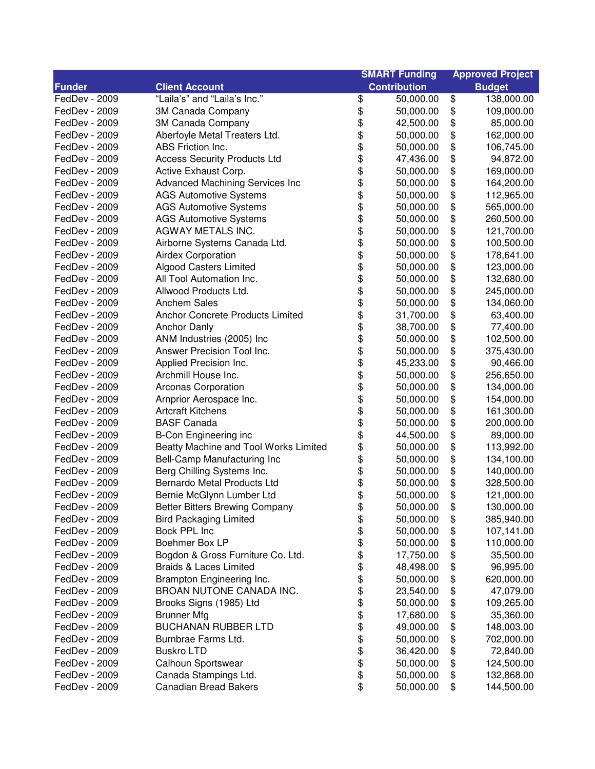| <b>Contribution</b><br><b>Funder</b><br><b>Client Account</b><br><b>Budget</b><br>\$<br>"Laila's" and "Laila's Inc."<br>\$<br>FedDev - 2009<br>50,000.00<br>138,000.00<br>\$<br>\$<br>FedDev - 2009<br>109,000.00<br>3M Canada Company<br>50,000.00<br>\$<br>\$<br>FedDev - 2009<br>3M Canada Company<br>85,000.00<br>42,500.00<br>\$<br>\$<br>FedDev - 2009<br>Aberfoyle Metal Treaters Ltd.<br>162,000.00<br>50,000.00<br>\$<br>\$<br>ABS Friction Inc.<br>FedDev - 2009<br>50,000.00<br>106,745.00<br>\$<br>\$<br>FedDev - 2009<br><b>Access Security Products Ltd</b><br>94,872.00<br>47,436.00<br>\$<br>\$<br>FedDev - 2009<br>Active Exhaust Corp.<br>169,000.00<br>50,000.00<br>\$<br>\$<br>FedDev - 2009<br><b>Advanced Machining Services Inc</b><br>50,000.00<br>164,200.00<br>\$<br>\$<br>FedDev - 2009<br><b>AGS Automotive Systems</b><br>50,000.00<br>112,965.00<br>\$<br>\$<br>\$<br><b>AGS Automotive Systems</b><br>50,000.00<br>FedDev - 2009<br>565,000.00<br><b>AGS Automotive Systems</b><br>50,000.00<br>\$<br>FedDev - 2009<br>260,500.00<br>\$<br>AGWAY METALS INC.<br>\$<br>FedDev - 2009<br>50,000.00<br>121,700.00<br>\$<br>\$<br>Airborne Systems Canada Ltd.<br>FedDev - 2009<br>50,000.00<br>100,500.00<br>\$<br>\$<br><b>Airdex Corporation</b><br>FedDev - 2009<br>50,000.00<br>178,641.00<br>\$<br>\$<br><b>Algood Casters Limited</b><br>123,000.00<br>FedDev - 2009<br>50,000.00<br>\$<br>\$<br>All Tool Automation Inc.<br>FedDev - 2009<br>50,000.00<br>132,680.00<br>\$<br>\$<br>Allwood Products Ltd.<br>FedDev - 2009<br>245,000.00<br>50,000.00<br>\$<br>\$<br>FedDev - 2009<br><b>Anchem Sales</b><br>50,000.00<br>134,060.00<br>\$<br>\$<br>FedDev - 2009<br>Anchor Concrete Products Limited<br>31,700.00<br>63,400.00<br>\$<br>\$<br>FedDev - 2009<br><b>Anchor Danly</b><br>77,400.00<br>38,700.00<br>\$<br>\$<br>ANM Industries (2005) Inc<br>FedDev - 2009<br>50,000.00<br>102,500.00<br>\$<br>\$<br>Answer Precision Tool Inc.<br>FedDev - 2009<br>50,000.00<br>375,430.00<br>\$<br>\$<br>\$<br>Applied Precision Inc.<br>90,466.00<br>FedDev - 2009<br>45,233.00<br>\$<br>Archmill House Inc.<br>256,650.00<br>FedDev - 2009<br>50,000.00<br>\$<br>\$<br>FedDev - 2009<br>Arconas Corporation<br>134,000.00<br>50,000.00<br>\$<br>\$<br>154,000.00<br>FedDev - 2009<br>Arnprior Aerospace Inc.<br>50,000.00<br>\$<br>\$<br>\$<br><b>Artcraft Kitchens</b><br>161,300.00<br>FedDev - 2009<br>50,000.00<br>\$<br><b>BASF Canada</b><br>200,000.00<br>FedDev - 2009<br>50,000.00<br>\$<br>\$<br><b>B-Con Engineering inc</b><br>89,000.00<br>FedDev - 2009<br>44,500.00<br>\$<br>\$<br>Beatty Machine and Tool Works Limited<br>FedDev - 2009<br>50,000.00<br>113,992.00<br>\$<br>\$<br>Bell-Camp Manufacturing Inc<br>134,100.00<br>FedDev - 2009<br>50,000.00<br>\$<br>\$<br>Berg Chilling Systems Inc.<br>FedDev - 2009<br>50,000.00<br>140,000.00<br>\$<br>\$<br>FedDev - 2009<br>Bernardo Metal Products Ltd<br>50,000.00<br>328,500.00<br>\$<br>\$<br>FedDev - 2009<br>Bernie McGlynn Lumber Ltd<br>50,000.00<br>121,000.00<br>FedDev - 2009<br><b>Better Bitters Brewing Company</b><br>\$<br>50,000.00<br>130,000.00<br>\$<br>\$<br>50,000.00<br>\$<br>FedDev - 2009<br><b>Bird Packaging Limited</b><br>385,940.00<br>\$<br>FedDev - 2009<br>Bock PPL Inc<br>\$<br>107,141.00<br>50,000.00<br>\$<br>\$<br>FedDev - 2009<br>Boehmer Box LP<br>50,000.00<br>110,000.00<br>\$<br>\$<br>FedDev - 2009<br>Bogdon & Gross Furniture Co. Ltd.<br>17,750.00<br>35,500.00<br>\$<br>\$<br><b>Braids &amp; Laces Limited</b><br>FedDev - 2009<br>48,498.00<br>96,995.00<br>\$<br>\$<br>FedDev - 2009<br>Brampton Engineering Inc.<br>50,000.00<br>620,000.00<br>\$<br>BROAN NUTONE CANADA INC.<br>\$<br>FedDev - 2009<br>23,540.00<br>47,079.00<br>\$<br>\$<br>FedDev - 2009<br>Brooks Signs (1985) Ltd<br>50,000.00<br>109,265.00<br>\$<br>\$<br><b>Brunner Mfg</b><br>17,680.00<br>35,360.00<br>FedDev - 2009<br>\$<br><b>BUCHANAN RUBBER LTD</b><br>\$<br>FedDev - 2009<br>49,000.00<br>148,003.00<br>\$<br>\$<br>Burnbrae Farms Ltd.<br>50,000.00<br>702,000.00<br>FedDev - 2009<br>\$<br>\$<br><b>Buskro LTD</b><br>36,420.00<br>72,840.00<br>FedDev - 2009<br>\$<br>\$<br>FedDev - 2009<br>Calhoun Sportswear<br>50,000.00<br>124,500.00<br>\$<br>Canada Stampings Ltd.<br>\$<br>FedDev - 2009<br>50,000.00<br>132,868.00 |               |                              |    | <b>SMART Funding</b> |    | <b>Approved Project</b> |  |
|------------------------------------------------------------------------------------------------------------------------------------------------------------------------------------------------------------------------------------------------------------------------------------------------------------------------------------------------------------------------------------------------------------------------------------------------------------------------------------------------------------------------------------------------------------------------------------------------------------------------------------------------------------------------------------------------------------------------------------------------------------------------------------------------------------------------------------------------------------------------------------------------------------------------------------------------------------------------------------------------------------------------------------------------------------------------------------------------------------------------------------------------------------------------------------------------------------------------------------------------------------------------------------------------------------------------------------------------------------------------------------------------------------------------------------------------------------------------------------------------------------------------------------------------------------------------------------------------------------------------------------------------------------------------------------------------------------------------------------------------------------------------------------------------------------------------------------------------------------------------------------------------------------------------------------------------------------------------------------------------------------------------------------------------------------------------------------------------------------------------------------------------------------------------------------------------------------------------------------------------------------------------------------------------------------------------------------------------------------------------------------------------------------------------------------------------------------------------------------------------------------------------------------------------------------------------------------------------------------------------------------------------------------------------------------------------------------------------------------------------------------------------------------------------------------------------------------------------------------------------------------------------------------------------------------------------------------------------------------------------------------------------------------------------------------------------------------------------------------------------------------------------------------------------------------------------------------------------------------------------------------------------------------------------------------------------------------------------------------------------------------------------------------------------------------------------------------------------------------------------------------------------------------------------------------------------------------------------------------------------------------------------------------------------------------------------------------------------------------------------------------------------------------------------------------------------------------------------------------------------------------------------------------------------------------------------------------------------------------------------------------------------------------------------------------------------------------------------------------------------------------------------------------------------------------------------------------------------------------------------------------------------------------------------------------------------------------------------------------------------------|---------------|------------------------------|----|----------------------|----|-------------------------|--|
|                                                                                                                                                                                                                                                                                                                                                                                                                                                                                                                                                                                                                                                                                                                                                                                                                                                                                                                                                                                                                                                                                                                                                                                                                                                                                                                                                                                                                                                                                                                                                                                                                                                                                                                                                                                                                                                                                                                                                                                                                                                                                                                                                                                                                                                                                                                                                                                                                                                                                                                                                                                                                                                                                                                                                                                                                                                                                                                                                                                                                                                                                                                                                                                                                                                                                                                                                                                                                                                                                                                                                                                                                                                                                                                                                                                                                                                                                                                                                                                                                                                                                                                                                                                                                                                                                                                                                                              |               |                              |    |                      |    |                         |  |
|                                                                                                                                                                                                                                                                                                                                                                                                                                                                                                                                                                                                                                                                                                                                                                                                                                                                                                                                                                                                                                                                                                                                                                                                                                                                                                                                                                                                                                                                                                                                                                                                                                                                                                                                                                                                                                                                                                                                                                                                                                                                                                                                                                                                                                                                                                                                                                                                                                                                                                                                                                                                                                                                                                                                                                                                                                                                                                                                                                                                                                                                                                                                                                                                                                                                                                                                                                                                                                                                                                                                                                                                                                                                                                                                                                                                                                                                                                                                                                                                                                                                                                                                                                                                                                                                                                                                                                              |               |                              |    |                      |    |                         |  |
|                                                                                                                                                                                                                                                                                                                                                                                                                                                                                                                                                                                                                                                                                                                                                                                                                                                                                                                                                                                                                                                                                                                                                                                                                                                                                                                                                                                                                                                                                                                                                                                                                                                                                                                                                                                                                                                                                                                                                                                                                                                                                                                                                                                                                                                                                                                                                                                                                                                                                                                                                                                                                                                                                                                                                                                                                                                                                                                                                                                                                                                                                                                                                                                                                                                                                                                                                                                                                                                                                                                                                                                                                                                                                                                                                                                                                                                                                                                                                                                                                                                                                                                                                                                                                                                                                                                                                                              |               |                              |    |                      |    |                         |  |
|                                                                                                                                                                                                                                                                                                                                                                                                                                                                                                                                                                                                                                                                                                                                                                                                                                                                                                                                                                                                                                                                                                                                                                                                                                                                                                                                                                                                                                                                                                                                                                                                                                                                                                                                                                                                                                                                                                                                                                                                                                                                                                                                                                                                                                                                                                                                                                                                                                                                                                                                                                                                                                                                                                                                                                                                                                                                                                                                                                                                                                                                                                                                                                                                                                                                                                                                                                                                                                                                                                                                                                                                                                                                                                                                                                                                                                                                                                                                                                                                                                                                                                                                                                                                                                                                                                                                                                              |               |                              |    |                      |    |                         |  |
|                                                                                                                                                                                                                                                                                                                                                                                                                                                                                                                                                                                                                                                                                                                                                                                                                                                                                                                                                                                                                                                                                                                                                                                                                                                                                                                                                                                                                                                                                                                                                                                                                                                                                                                                                                                                                                                                                                                                                                                                                                                                                                                                                                                                                                                                                                                                                                                                                                                                                                                                                                                                                                                                                                                                                                                                                                                                                                                                                                                                                                                                                                                                                                                                                                                                                                                                                                                                                                                                                                                                                                                                                                                                                                                                                                                                                                                                                                                                                                                                                                                                                                                                                                                                                                                                                                                                                                              |               |                              |    |                      |    |                         |  |
|                                                                                                                                                                                                                                                                                                                                                                                                                                                                                                                                                                                                                                                                                                                                                                                                                                                                                                                                                                                                                                                                                                                                                                                                                                                                                                                                                                                                                                                                                                                                                                                                                                                                                                                                                                                                                                                                                                                                                                                                                                                                                                                                                                                                                                                                                                                                                                                                                                                                                                                                                                                                                                                                                                                                                                                                                                                                                                                                                                                                                                                                                                                                                                                                                                                                                                                                                                                                                                                                                                                                                                                                                                                                                                                                                                                                                                                                                                                                                                                                                                                                                                                                                                                                                                                                                                                                                                              |               |                              |    |                      |    |                         |  |
|                                                                                                                                                                                                                                                                                                                                                                                                                                                                                                                                                                                                                                                                                                                                                                                                                                                                                                                                                                                                                                                                                                                                                                                                                                                                                                                                                                                                                                                                                                                                                                                                                                                                                                                                                                                                                                                                                                                                                                                                                                                                                                                                                                                                                                                                                                                                                                                                                                                                                                                                                                                                                                                                                                                                                                                                                                                                                                                                                                                                                                                                                                                                                                                                                                                                                                                                                                                                                                                                                                                                                                                                                                                                                                                                                                                                                                                                                                                                                                                                                                                                                                                                                                                                                                                                                                                                                                              |               |                              |    |                      |    |                         |  |
|                                                                                                                                                                                                                                                                                                                                                                                                                                                                                                                                                                                                                                                                                                                                                                                                                                                                                                                                                                                                                                                                                                                                                                                                                                                                                                                                                                                                                                                                                                                                                                                                                                                                                                                                                                                                                                                                                                                                                                                                                                                                                                                                                                                                                                                                                                                                                                                                                                                                                                                                                                                                                                                                                                                                                                                                                                                                                                                                                                                                                                                                                                                                                                                                                                                                                                                                                                                                                                                                                                                                                                                                                                                                                                                                                                                                                                                                                                                                                                                                                                                                                                                                                                                                                                                                                                                                                                              |               |                              |    |                      |    |                         |  |
|                                                                                                                                                                                                                                                                                                                                                                                                                                                                                                                                                                                                                                                                                                                                                                                                                                                                                                                                                                                                                                                                                                                                                                                                                                                                                                                                                                                                                                                                                                                                                                                                                                                                                                                                                                                                                                                                                                                                                                                                                                                                                                                                                                                                                                                                                                                                                                                                                                                                                                                                                                                                                                                                                                                                                                                                                                                                                                                                                                                                                                                                                                                                                                                                                                                                                                                                                                                                                                                                                                                                                                                                                                                                                                                                                                                                                                                                                                                                                                                                                                                                                                                                                                                                                                                                                                                                                                              |               |                              |    |                      |    |                         |  |
|                                                                                                                                                                                                                                                                                                                                                                                                                                                                                                                                                                                                                                                                                                                                                                                                                                                                                                                                                                                                                                                                                                                                                                                                                                                                                                                                                                                                                                                                                                                                                                                                                                                                                                                                                                                                                                                                                                                                                                                                                                                                                                                                                                                                                                                                                                                                                                                                                                                                                                                                                                                                                                                                                                                                                                                                                                                                                                                                                                                                                                                                                                                                                                                                                                                                                                                                                                                                                                                                                                                                                                                                                                                                                                                                                                                                                                                                                                                                                                                                                                                                                                                                                                                                                                                                                                                                                                              |               |                              |    |                      |    |                         |  |
|                                                                                                                                                                                                                                                                                                                                                                                                                                                                                                                                                                                                                                                                                                                                                                                                                                                                                                                                                                                                                                                                                                                                                                                                                                                                                                                                                                                                                                                                                                                                                                                                                                                                                                                                                                                                                                                                                                                                                                                                                                                                                                                                                                                                                                                                                                                                                                                                                                                                                                                                                                                                                                                                                                                                                                                                                                                                                                                                                                                                                                                                                                                                                                                                                                                                                                                                                                                                                                                                                                                                                                                                                                                                                                                                                                                                                                                                                                                                                                                                                                                                                                                                                                                                                                                                                                                                                                              |               |                              |    |                      |    |                         |  |
|                                                                                                                                                                                                                                                                                                                                                                                                                                                                                                                                                                                                                                                                                                                                                                                                                                                                                                                                                                                                                                                                                                                                                                                                                                                                                                                                                                                                                                                                                                                                                                                                                                                                                                                                                                                                                                                                                                                                                                                                                                                                                                                                                                                                                                                                                                                                                                                                                                                                                                                                                                                                                                                                                                                                                                                                                                                                                                                                                                                                                                                                                                                                                                                                                                                                                                                                                                                                                                                                                                                                                                                                                                                                                                                                                                                                                                                                                                                                                                                                                                                                                                                                                                                                                                                                                                                                                                              |               |                              |    |                      |    |                         |  |
|                                                                                                                                                                                                                                                                                                                                                                                                                                                                                                                                                                                                                                                                                                                                                                                                                                                                                                                                                                                                                                                                                                                                                                                                                                                                                                                                                                                                                                                                                                                                                                                                                                                                                                                                                                                                                                                                                                                                                                                                                                                                                                                                                                                                                                                                                                                                                                                                                                                                                                                                                                                                                                                                                                                                                                                                                                                                                                                                                                                                                                                                                                                                                                                                                                                                                                                                                                                                                                                                                                                                                                                                                                                                                                                                                                                                                                                                                                                                                                                                                                                                                                                                                                                                                                                                                                                                                                              |               |                              |    |                      |    |                         |  |
|                                                                                                                                                                                                                                                                                                                                                                                                                                                                                                                                                                                                                                                                                                                                                                                                                                                                                                                                                                                                                                                                                                                                                                                                                                                                                                                                                                                                                                                                                                                                                                                                                                                                                                                                                                                                                                                                                                                                                                                                                                                                                                                                                                                                                                                                                                                                                                                                                                                                                                                                                                                                                                                                                                                                                                                                                                                                                                                                                                                                                                                                                                                                                                                                                                                                                                                                                                                                                                                                                                                                                                                                                                                                                                                                                                                                                                                                                                                                                                                                                                                                                                                                                                                                                                                                                                                                                                              |               |                              |    |                      |    |                         |  |
|                                                                                                                                                                                                                                                                                                                                                                                                                                                                                                                                                                                                                                                                                                                                                                                                                                                                                                                                                                                                                                                                                                                                                                                                                                                                                                                                                                                                                                                                                                                                                                                                                                                                                                                                                                                                                                                                                                                                                                                                                                                                                                                                                                                                                                                                                                                                                                                                                                                                                                                                                                                                                                                                                                                                                                                                                                                                                                                                                                                                                                                                                                                                                                                                                                                                                                                                                                                                                                                                                                                                                                                                                                                                                                                                                                                                                                                                                                                                                                                                                                                                                                                                                                                                                                                                                                                                                                              |               |                              |    |                      |    |                         |  |
|                                                                                                                                                                                                                                                                                                                                                                                                                                                                                                                                                                                                                                                                                                                                                                                                                                                                                                                                                                                                                                                                                                                                                                                                                                                                                                                                                                                                                                                                                                                                                                                                                                                                                                                                                                                                                                                                                                                                                                                                                                                                                                                                                                                                                                                                                                                                                                                                                                                                                                                                                                                                                                                                                                                                                                                                                                                                                                                                                                                                                                                                                                                                                                                                                                                                                                                                                                                                                                                                                                                                                                                                                                                                                                                                                                                                                                                                                                                                                                                                                                                                                                                                                                                                                                                                                                                                                                              |               |                              |    |                      |    |                         |  |
|                                                                                                                                                                                                                                                                                                                                                                                                                                                                                                                                                                                                                                                                                                                                                                                                                                                                                                                                                                                                                                                                                                                                                                                                                                                                                                                                                                                                                                                                                                                                                                                                                                                                                                                                                                                                                                                                                                                                                                                                                                                                                                                                                                                                                                                                                                                                                                                                                                                                                                                                                                                                                                                                                                                                                                                                                                                                                                                                                                                                                                                                                                                                                                                                                                                                                                                                                                                                                                                                                                                                                                                                                                                                                                                                                                                                                                                                                                                                                                                                                                                                                                                                                                                                                                                                                                                                                                              |               |                              |    |                      |    |                         |  |
|                                                                                                                                                                                                                                                                                                                                                                                                                                                                                                                                                                                                                                                                                                                                                                                                                                                                                                                                                                                                                                                                                                                                                                                                                                                                                                                                                                                                                                                                                                                                                                                                                                                                                                                                                                                                                                                                                                                                                                                                                                                                                                                                                                                                                                                                                                                                                                                                                                                                                                                                                                                                                                                                                                                                                                                                                                                                                                                                                                                                                                                                                                                                                                                                                                                                                                                                                                                                                                                                                                                                                                                                                                                                                                                                                                                                                                                                                                                                                                                                                                                                                                                                                                                                                                                                                                                                                                              |               |                              |    |                      |    |                         |  |
|                                                                                                                                                                                                                                                                                                                                                                                                                                                                                                                                                                                                                                                                                                                                                                                                                                                                                                                                                                                                                                                                                                                                                                                                                                                                                                                                                                                                                                                                                                                                                                                                                                                                                                                                                                                                                                                                                                                                                                                                                                                                                                                                                                                                                                                                                                                                                                                                                                                                                                                                                                                                                                                                                                                                                                                                                                                                                                                                                                                                                                                                                                                                                                                                                                                                                                                                                                                                                                                                                                                                                                                                                                                                                                                                                                                                                                                                                                                                                                                                                                                                                                                                                                                                                                                                                                                                                                              |               |                              |    |                      |    |                         |  |
|                                                                                                                                                                                                                                                                                                                                                                                                                                                                                                                                                                                                                                                                                                                                                                                                                                                                                                                                                                                                                                                                                                                                                                                                                                                                                                                                                                                                                                                                                                                                                                                                                                                                                                                                                                                                                                                                                                                                                                                                                                                                                                                                                                                                                                                                                                                                                                                                                                                                                                                                                                                                                                                                                                                                                                                                                                                                                                                                                                                                                                                                                                                                                                                                                                                                                                                                                                                                                                                                                                                                                                                                                                                                                                                                                                                                                                                                                                                                                                                                                                                                                                                                                                                                                                                                                                                                                                              |               |                              |    |                      |    |                         |  |
|                                                                                                                                                                                                                                                                                                                                                                                                                                                                                                                                                                                                                                                                                                                                                                                                                                                                                                                                                                                                                                                                                                                                                                                                                                                                                                                                                                                                                                                                                                                                                                                                                                                                                                                                                                                                                                                                                                                                                                                                                                                                                                                                                                                                                                                                                                                                                                                                                                                                                                                                                                                                                                                                                                                                                                                                                                                                                                                                                                                                                                                                                                                                                                                                                                                                                                                                                                                                                                                                                                                                                                                                                                                                                                                                                                                                                                                                                                                                                                                                                                                                                                                                                                                                                                                                                                                                                                              |               |                              |    |                      |    |                         |  |
|                                                                                                                                                                                                                                                                                                                                                                                                                                                                                                                                                                                                                                                                                                                                                                                                                                                                                                                                                                                                                                                                                                                                                                                                                                                                                                                                                                                                                                                                                                                                                                                                                                                                                                                                                                                                                                                                                                                                                                                                                                                                                                                                                                                                                                                                                                                                                                                                                                                                                                                                                                                                                                                                                                                                                                                                                                                                                                                                                                                                                                                                                                                                                                                                                                                                                                                                                                                                                                                                                                                                                                                                                                                                                                                                                                                                                                                                                                                                                                                                                                                                                                                                                                                                                                                                                                                                                                              |               |                              |    |                      |    |                         |  |
|                                                                                                                                                                                                                                                                                                                                                                                                                                                                                                                                                                                                                                                                                                                                                                                                                                                                                                                                                                                                                                                                                                                                                                                                                                                                                                                                                                                                                                                                                                                                                                                                                                                                                                                                                                                                                                                                                                                                                                                                                                                                                                                                                                                                                                                                                                                                                                                                                                                                                                                                                                                                                                                                                                                                                                                                                                                                                                                                                                                                                                                                                                                                                                                                                                                                                                                                                                                                                                                                                                                                                                                                                                                                                                                                                                                                                                                                                                                                                                                                                                                                                                                                                                                                                                                                                                                                                                              |               |                              |    |                      |    |                         |  |
|                                                                                                                                                                                                                                                                                                                                                                                                                                                                                                                                                                                                                                                                                                                                                                                                                                                                                                                                                                                                                                                                                                                                                                                                                                                                                                                                                                                                                                                                                                                                                                                                                                                                                                                                                                                                                                                                                                                                                                                                                                                                                                                                                                                                                                                                                                                                                                                                                                                                                                                                                                                                                                                                                                                                                                                                                                                                                                                                                                                                                                                                                                                                                                                                                                                                                                                                                                                                                                                                                                                                                                                                                                                                                                                                                                                                                                                                                                                                                                                                                                                                                                                                                                                                                                                                                                                                                                              |               |                              |    |                      |    |                         |  |
|                                                                                                                                                                                                                                                                                                                                                                                                                                                                                                                                                                                                                                                                                                                                                                                                                                                                                                                                                                                                                                                                                                                                                                                                                                                                                                                                                                                                                                                                                                                                                                                                                                                                                                                                                                                                                                                                                                                                                                                                                                                                                                                                                                                                                                                                                                                                                                                                                                                                                                                                                                                                                                                                                                                                                                                                                                                                                                                                                                                                                                                                                                                                                                                                                                                                                                                                                                                                                                                                                                                                                                                                                                                                                                                                                                                                                                                                                                                                                                                                                                                                                                                                                                                                                                                                                                                                                                              |               |                              |    |                      |    |                         |  |
|                                                                                                                                                                                                                                                                                                                                                                                                                                                                                                                                                                                                                                                                                                                                                                                                                                                                                                                                                                                                                                                                                                                                                                                                                                                                                                                                                                                                                                                                                                                                                                                                                                                                                                                                                                                                                                                                                                                                                                                                                                                                                                                                                                                                                                                                                                                                                                                                                                                                                                                                                                                                                                                                                                                                                                                                                                                                                                                                                                                                                                                                                                                                                                                                                                                                                                                                                                                                                                                                                                                                                                                                                                                                                                                                                                                                                                                                                                                                                                                                                                                                                                                                                                                                                                                                                                                                                                              |               |                              |    |                      |    |                         |  |
|                                                                                                                                                                                                                                                                                                                                                                                                                                                                                                                                                                                                                                                                                                                                                                                                                                                                                                                                                                                                                                                                                                                                                                                                                                                                                                                                                                                                                                                                                                                                                                                                                                                                                                                                                                                                                                                                                                                                                                                                                                                                                                                                                                                                                                                                                                                                                                                                                                                                                                                                                                                                                                                                                                                                                                                                                                                                                                                                                                                                                                                                                                                                                                                                                                                                                                                                                                                                                                                                                                                                                                                                                                                                                                                                                                                                                                                                                                                                                                                                                                                                                                                                                                                                                                                                                                                                                                              |               |                              |    |                      |    |                         |  |
|                                                                                                                                                                                                                                                                                                                                                                                                                                                                                                                                                                                                                                                                                                                                                                                                                                                                                                                                                                                                                                                                                                                                                                                                                                                                                                                                                                                                                                                                                                                                                                                                                                                                                                                                                                                                                                                                                                                                                                                                                                                                                                                                                                                                                                                                                                                                                                                                                                                                                                                                                                                                                                                                                                                                                                                                                                                                                                                                                                                                                                                                                                                                                                                                                                                                                                                                                                                                                                                                                                                                                                                                                                                                                                                                                                                                                                                                                                                                                                                                                                                                                                                                                                                                                                                                                                                                                                              |               |                              |    |                      |    |                         |  |
|                                                                                                                                                                                                                                                                                                                                                                                                                                                                                                                                                                                                                                                                                                                                                                                                                                                                                                                                                                                                                                                                                                                                                                                                                                                                                                                                                                                                                                                                                                                                                                                                                                                                                                                                                                                                                                                                                                                                                                                                                                                                                                                                                                                                                                                                                                                                                                                                                                                                                                                                                                                                                                                                                                                                                                                                                                                                                                                                                                                                                                                                                                                                                                                                                                                                                                                                                                                                                                                                                                                                                                                                                                                                                                                                                                                                                                                                                                                                                                                                                                                                                                                                                                                                                                                                                                                                                                              |               |                              |    |                      |    |                         |  |
|                                                                                                                                                                                                                                                                                                                                                                                                                                                                                                                                                                                                                                                                                                                                                                                                                                                                                                                                                                                                                                                                                                                                                                                                                                                                                                                                                                                                                                                                                                                                                                                                                                                                                                                                                                                                                                                                                                                                                                                                                                                                                                                                                                                                                                                                                                                                                                                                                                                                                                                                                                                                                                                                                                                                                                                                                                                                                                                                                                                                                                                                                                                                                                                                                                                                                                                                                                                                                                                                                                                                                                                                                                                                                                                                                                                                                                                                                                                                                                                                                                                                                                                                                                                                                                                                                                                                                                              |               |                              |    |                      |    |                         |  |
|                                                                                                                                                                                                                                                                                                                                                                                                                                                                                                                                                                                                                                                                                                                                                                                                                                                                                                                                                                                                                                                                                                                                                                                                                                                                                                                                                                                                                                                                                                                                                                                                                                                                                                                                                                                                                                                                                                                                                                                                                                                                                                                                                                                                                                                                                                                                                                                                                                                                                                                                                                                                                                                                                                                                                                                                                                                                                                                                                                                                                                                                                                                                                                                                                                                                                                                                                                                                                                                                                                                                                                                                                                                                                                                                                                                                                                                                                                                                                                                                                                                                                                                                                                                                                                                                                                                                                                              |               |                              |    |                      |    |                         |  |
|                                                                                                                                                                                                                                                                                                                                                                                                                                                                                                                                                                                                                                                                                                                                                                                                                                                                                                                                                                                                                                                                                                                                                                                                                                                                                                                                                                                                                                                                                                                                                                                                                                                                                                                                                                                                                                                                                                                                                                                                                                                                                                                                                                                                                                                                                                                                                                                                                                                                                                                                                                                                                                                                                                                                                                                                                                                                                                                                                                                                                                                                                                                                                                                                                                                                                                                                                                                                                                                                                                                                                                                                                                                                                                                                                                                                                                                                                                                                                                                                                                                                                                                                                                                                                                                                                                                                                                              |               |                              |    |                      |    |                         |  |
|                                                                                                                                                                                                                                                                                                                                                                                                                                                                                                                                                                                                                                                                                                                                                                                                                                                                                                                                                                                                                                                                                                                                                                                                                                                                                                                                                                                                                                                                                                                                                                                                                                                                                                                                                                                                                                                                                                                                                                                                                                                                                                                                                                                                                                                                                                                                                                                                                                                                                                                                                                                                                                                                                                                                                                                                                                                                                                                                                                                                                                                                                                                                                                                                                                                                                                                                                                                                                                                                                                                                                                                                                                                                                                                                                                                                                                                                                                                                                                                                                                                                                                                                                                                                                                                                                                                                                                              |               |                              |    |                      |    |                         |  |
|                                                                                                                                                                                                                                                                                                                                                                                                                                                                                                                                                                                                                                                                                                                                                                                                                                                                                                                                                                                                                                                                                                                                                                                                                                                                                                                                                                                                                                                                                                                                                                                                                                                                                                                                                                                                                                                                                                                                                                                                                                                                                                                                                                                                                                                                                                                                                                                                                                                                                                                                                                                                                                                                                                                                                                                                                                                                                                                                                                                                                                                                                                                                                                                                                                                                                                                                                                                                                                                                                                                                                                                                                                                                                                                                                                                                                                                                                                                                                                                                                                                                                                                                                                                                                                                                                                                                                                              |               |                              |    |                      |    |                         |  |
|                                                                                                                                                                                                                                                                                                                                                                                                                                                                                                                                                                                                                                                                                                                                                                                                                                                                                                                                                                                                                                                                                                                                                                                                                                                                                                                                                                                                                                                                                                                                                                                                                                                                                                                                                                                                                                                                                                                                                                                                                                                                                                                                                                                                                                                                                                                                                                                                                                                                                                                                                                                                                                                                                                                                                                                                                                                                                                                                                                                                                                                                                                                                                                                                                                                                                                                                                                                                                                                                                                                                                                                                                                                                                                                                                                                                                                                                                                                                                                                                                                                                                                                                                                                                                                                                                                                                                                              |               |                              |    |                      |    |                         |  |
|                                                                                                                                                                                                                                                                                                                                                                                                                                                                                                                                                                                                                                                                                                                                                                                                                                                                                                                                                                                                                                                                                                                                                                                                                                                                                                                                                                                                                                                                                                                                                                                                                                                                                                                                                                                                                                                                                                                                                                                                                                                                                                                                                                                                                                                                                                                                                                                                                                                                                                                                                                                                                                                                                                                                                                                                                                                                                                                                                                                                                                                                                                                                                                                                                                                                                                                                                                                                                                                                                                                                                                                                                                                                                                                                                                                                                                                                                                                                                                                                                                                                                                                                                                                                                                                                                                                                                                              |               |                              |    |                      |    |                         |  |
|                                                                                                                                                                                                                                                                                                                                                                                                                                                                                                                                                                                                                                                                                                                                                                                                                                                                                                                                                                                                                                                                                                                                                                                                                                                                                                                                                                                                                                                                                                                                                                                                                                                                                                                                                                                                                                                                                                                                                                                                                                                                                                                                                                                                                                                                                                                                                                                                                                                                                                                                                                                                                                                                                                                                                                                                                                                                                                                                                                                                                                                                                                                                                                                                                                                                                                                                                                                                                                                                                                                                                                                                                                                                                                                                                                                                                                                                                                                                                                                                                                                                                                                                                                                                                                                                                                                                                                              |               |                              |    |                      |    |                         |  |
|                                                                                                                                                                                                                                                                                                                                                                                                                                                                                                                                                                                                                                                                                                                                                                                                                                                                                                                                                                                                                                                                                                                                                                                                                                                                                                                                                                                                                                                                                                                                                                                                                                                                                                                                                                                                                                                                                                                                                                                                                                                                                                                                                                                                                                                                                                                                                                                                                                                                                                                                                                                                                                                                                                                                                                                                                                                                                                                                                                                                                                                                                                                                                                                                                                                                                                                                                                                                                                                                                                                                                                                                                                                                                                                                                                                                                                                                                                                                                                                                                                                                                                                                                                                                                                                                                                                                                                              |               |                              |    |                      |    |                         |  |
|                                                                                                                                                                                                                                                                                                                                                                                                                                                                                                                                                                                                                                                                                                                                                                                                                                                                                                                                                                                                                                                                                                                                                                                                                                                                                                                                                                                                                                                                                                                                                                                                                                                                                                                                                                                                                                                                                                                                                                                                                                                                                                                                                                                                                                                                                                                                                                                                                                                                                                                                                                                                                                                                                                                                                                                                                                                                                                                                                                                                                                                                                                                                                                                                                                                                                                                                                                                                                                                                                                                                                                                                                                                                                                                                                                                                                                                                                                                                                                                                                                                                                                                                                                                                                                                                                                                                                                              |               |                              |    |                      |    |                         |  |
|                                                                                                                                                                                                                                                                                                                                                                                                                                                                                                                                                                                                                                                                                                                                                                                                                                                                                                                                                                                                                                                                                                                                                                                                                                                                                                                                                                                                                                                                                                                                                                                                                                                                                                                                                                                                                                                                                                                                                                                                                                                                                                                                                                                                                                                                                                                                                                                                                                                                                                                                                                                                                                                                                                                                                                                                                                                                                                                                                                                                                                                                                                                                                                                                                                                                                                                                                                                                                                                                                                                                                                                                                                                                                                                                                                                                                                                                                                                                                                                                                                                                                                                                                                                                                                                                                                                                                                              |               |                              |    |                      |    |                         |  |
|                                                                                                                                                                                                                                                                                                                                                                                                                                                                                                                                                                                                                                                                                                                                                                                                                                                                                                                                                                                                                                                                                                                                                                                                                                                                                                                                                                                                                                                                                                                                                                                                                                                                                                                                                                                                                                                                                                                                                                                                                                                                                                                                                                                                                                                                                                                                                                                                                                                                                                                                                                                                                                                                                                                                                                                                                                                                                                                                                                                                                                                                                                                                                                                                                                                                                                                                                                                                                                                                                                                                                                                                                                                                                                                                                                                                                                                                                                                                                                                                                                                                                                                                                                                                                                                                                                                                                                              |               |                              |    |                      |    |                         |  |
|                                                                                                                                                                                                                                                                                                                                                                                                                                                                                                                                                                                                                                                                                                                                                                                                                                                                                                                                                                                                                                                                                                                                                                                                                                                                                                                                                                                                                                                                                                                                                                                                                                                                                                                                                                                                                                                                                                                                                                                                                                                                                                                                                                                                                                                                                                                                                                                                                                                                                                                                                                                                                                                                                                                                                                                                                                                                                                                                                                                                                                                                                                                                                                                                                                                                                                                                                                                                                                                                                                                                                                                                                                                                                                                                                                                                                                                                                                                                                                                                                                                                                                                                                                                                                                                                                                                                                                              |               |                              |    |                      |    |                         |  |
|                                                                                                                                                                                                                                                                                                                                                                                                                                                                                                                                                                                                                                                                                                                                                                                                                                                                                                                                                                                                                                                                                                                                                                                                                                                                                                                                                                                                                                                                                                                                                                                                                                                                                                                                                                                                                                                                                                                                                                                                                                                                                                                                                                                                                                                                                                                                                                                                                                                                                                                                                                                                                                                                                                                                                                                                                                                                                                                                                                                                                                                                                                                                                                                                                                                                                                                                                                                                                                                                                                                                                                                                                                                                                                                                                                                                                                                                                                                                                                                                                                                                                                                                                                                                                                                                                                                                                                              |               |                              |    |                      |    |                         |  |
|                                                                                                                                                                                                                                                                                                                                                                                                                                                                                                                                                                                                                                                                                                                                                                                                                                                                                                                                                                                                                                                                                                                                                                                                                                                                                                                                                                                                                                                                                                                                                                                                                                                                                                                                                                                                                                                                                                                                                                                                                                                                                                                                                                                                                                                                                                                                                                                                                                                                                                                                                                                                                                                                                                                                                                                                                                                                                                                                                                                                                                                                                                                                                                                                                                                                                                                                                                                                                                                                                                                                                                                                                                                                                                                                                                                                                                                                                                                                                                                                                                                                                                                                                                                                                                                                                                                                                                              |               |                              |    |                      |    |                         |  |
|                                                                                                                                                                                                                                                                                                                                                                                                                                                                                                                                                                                                                                                                                                                                                                                                                                                                                                                                                                                                                                                                                                                                                                                                                                                                                                                                                                                                                                                                                                                                                                                                                                                                                                                                                                                                                                                                                                                                                                                                                                                                                                                                                                                                                                                                                                                                                                                                                                                                                                                                                                                                                                                                                                                                                                                                                                                                                                                                                                                                                                                                                                                                                                                                                                                                                                                                                                                                                                                                                                                                                                                                                                                                                                                                                                                                                                                                                                                                                                                                                                                                                                                                                                                                                                                                                                                                                                              |               |                              |    |                      |    |                         |  |
|                                                                                                                                                                                                                                                                                                                                                                                                                                                                                                                                                                                                                                                                                                                                                                                                                                                                                                                                                                                                                                                                                                                                                                                                                                                                                                                                                                                                                                                                                                                                                                                                                                                                                                                                                                                                                                                                                                                                                                                                                                                                                                                                                                                                                                                                                                                                                                                                                                                                                                                                                                                                                                                                                                                                                                                                                                                                                                                                                                                                                                                                                                                                                                                                                                                                                                                                                                                                                                                                                                                                                                                                                                                                                                                                                                                                                                                                                                                                                                                                                                                                                                                                                                                                                                                                                                                                                                              |               |                              |    |                      |    |                         |  |
|                                                                                                                                                                                                                                                                                                                                                                                                                                                                                                                                                                                                                                                                                                                                                                                                                                                                                                                                                                                                                                                                                                                                                                                                                                                                                                                                                                                                                                                                                                                                                                                                                                                                                                                                                                                                                                                                                                                                                                                                                                                                                                                                                                                                                                                                                                                                                                                                                                                                                                                                                                                                                                                                                                                                                                                                                                                                                                                                                                                                                                                                                                                                                                                                                                                                                                                                                                                                                                                                                                                                                                                                                                                                                                                                                                                                                                                                                                                                                                                                                                                                                                                                                                                                                                                                                                                                                                              |               |                              |    |                      |    |                         |  |
|                                                                                                                                                                                                                                                                                                                                                                                                                                                                                                                                                                                                                                                                                                                                                                                                                                                                                                                                                                                                                                                                                                                                                                                                                                                                                                                                                                                                                                                                                                                                                                                                                                                                                                                                                                                                                                                                                                                                                                                                                                                                                                                                                                                                                                                                                                                                                                                                                                                                                                                                                                                                                                                                                                                                                                                                                                                                                                                                                                                                                                                                                                                                                                                                                                                                                                                                                                                                                                                                                                                                                                                                                                                                                                                                                                                                                                                                                                                                                                                                                                                                                                                                                                                                                                                                                                                                                                              |               |                              |    |                      |    |                         |  |
|                                                                                                                                                                                                                                                                                                                                                                                                                                                                                                                                                                                                                                                                                                                                                                                                                                                                                                                                                                                                                                                                                                                                                                                                                                                                                                                                                                                                                                                                                                                                                                                                                                                                                                                                                                                                                                                                                                                                                                                                                                                                                                                                                                                                                                                                                                                                                                                                                                                                                                                                                                                                                                                                                                                                                                                                                                                                                                                                                                                                                                                                                                                                                                                                                                                                                                                                                                                                                                                                                                                                                                                                                                                                                                                                                                                                                                                                                                                                                                                                                                                                                                                                                                                                                                                                                                                                                                              |               |                              |    |                      |    |                         |  |
|                                                                                                                                                                                                                                                                                                                                                                                                                                                                                                                                                                                                                                                                                                                                                                                                                                                                                                                                                                                                                                                                                                                                                                                                                                                                                                                                                                                                                                                                                                                                                                                                                                                                                                                                                                                                                                                                                                                                                                                                                                                                                                                                                                                                                                                                                                                                                                                                                                                                                                                                                                                                                                                                                                                                                                                                                                                                                                                                                                                                                                                                                                                                                                                                                                                                                                                                                                                                                                                                                                                                                                                                                                                                                                                                                                                                                                                                                                                                                                                                                                                                                                                                                                                                                                                                                                                                                                              |               |                              |    |                      |    |                         |  |
|                                                                                                                                                                                                                                                                                                                                                                                                                                                                                                                                                                                                                                                                                                                                                                                                                                                                                                                                                                                                                                                                                                                                                                                                                                                                                                                                                                                                                                                                                                                                                                                                                                                                                                                                                                                                                                                                                                                                                                                                                                                                                                                                                                                                                                                                                                                                                                                                                                                                                                                                                                                                                                                                                                                                                                                                                                                                                                                                                                                                                                                                                                                                                                                                                                                                                                                                                                                                                                                                                                                                                                                                                                                                                                                                                                                                                                                                                                                                                                                                                                                                                                                                                                                                                                                                                                                                                                              | FedDev - 2009 | <b>Canadian Bread Bakers</b> | \$ | 50,000.00            | \$ | 144,500.00              |  |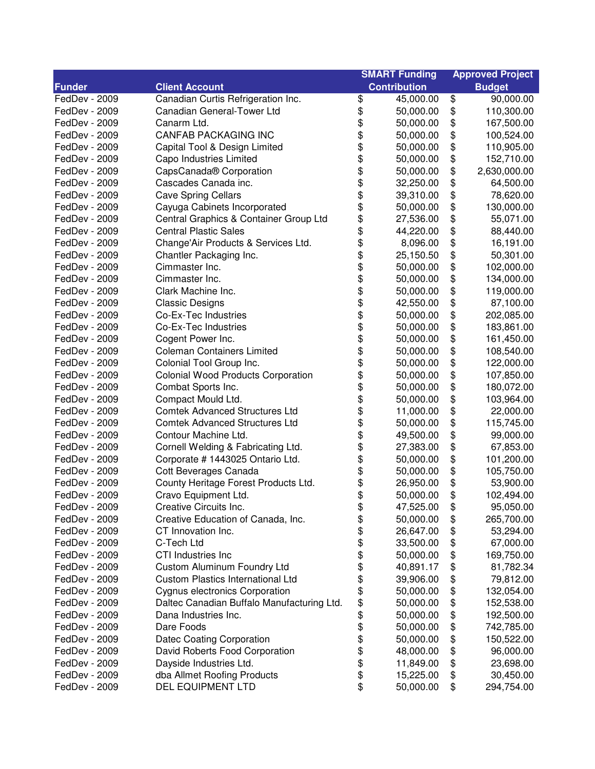| <b>Contribution</b><br><b>Funder</b><br><b>Client Account</b><br><b>Budget</b><br>\$<br>\$<br>FedDev - 2009<br>Canadian Curtis Refrigeration Inc.<br>45,000.00<br>90,000.00<br>\$<br>\$<br>FedDev - 2009<br>Canadian General-Tower Ltd<br>110,300.00<br>50,000.00<br>\$<br>\$<br>FedDev - 2009<br>Canarm Ltd.<br>50,000.00<br>167,500.00<br>\$<br>\$<br><b>CANFAB PACKAGING INC</b><br>FedDev - 2009<br>100,524.00<br>50,000.00<br>\$<br>\$<br>FedDev - 2009<br>Capital Tool & Design Limited<br>50,000.00<br>110,905.00<br>\$<br>FedDev - 2009<br>Capo Industries Limited<br>152,710.00<br>50,000.00 |  |
|-------------------------------------------------------------------------------------------------------------------------------------------------------------------------------------------------------------------------------------------------------------------------------------------------------------------------------------------------------------------------------------------------------------------------------------------------------------------------------------------------------------------------------------------------------------------------------------------------------|--|
|                                                                                                                                                                                                                                                                                                                                                                                                                                                                                                                                                                                                       |  |
|                                                                                                                                                                                                                                                                                                                                                                                                                                                                                                                                                                                                       |  |
|                                                                                                                                                                                                                                                                                                                                                                                                                                                                                                                                                                                                       |  |
|                                                                                                                                                                                                                                                                                                                                                                                                                                                                                                                                                                                                       |  |
|                                                                                                                                                                                                                                                                                                                                                                                                                                                                                                                                                                                                       |  |
|                                                                                                                                                                                                                                                                                                                                                                                                                                                                                                                                                                                                       |  |
|                                                                                                                                                                                                                                                                                                                                                                                                                                                                                                                                                                                                       |  |
| \$<br>\$<br>\$<br>FedDev - 2009<br>CapsCanada <sup>®</sup> Corporation<br>50,000.00<br>2,630,000.00                                                                                                                                                                                                                                                                                                                                                                                                                                                                                                   |  |
| \$<br>\$<br>FedDev - 2009<br>Cascades Canada inc.<br>32,250.00<br>64,500.00                                                                                                                                                                                                                                                                                                                                                                                                                                                                                                                           |  |
| \$<br>\$<br>FedDev - 2009<br><b>Cave Spring Cellars</b><br>78,620.00<br>39,310.00                                                                                                                                                                                                                                                                                                                                                                                                                                                                                                                     |  |
| \$<br>\$<br>FedDev - 2009<br>Cayuga Cabinets Incorporated<br>50,000.00<br>130,000.00                                                                                                                                                                                                                                                                                                                                                                                                                                                                                                                  |  |
| \$<br>\$<br>FedDev - 2009<br>Central Graphics & Container Group Ltd<br>55,071.00<br>27,536.00                                                                                                                                                                                                                                                                                                                                                                                                                                                                                                         |  |
| \$<br>\$<br>FedDev - 2009<br><b>Central Plastic Sales</b><br>44,220.00<br>88,440.00                                                                                                                                                                                                                                                                                                                                                                                                                                                                                                                   |  |
| \$<br>\$<br>FedDev - 2009<br>Change'Air Products & Services Ltd.<br>16,191.00<br>8,096.00                                                                                                                                                                                                                                                                                                                                                                                                                                                                                                             |  |
| \$<br>\$<br>25,150.50<br>50,301.00<br>FedDev - 2009<br>Chantler Packaging Inc.                                                                                                                                                                                                                                                                                                                                                                                                                                                                                                                        |  |
| \$<br>\$<br>FedDev - 2009<br>Cimmaster Inc.<br>102,000.00<br>50,000.00                                                                                                                                                                                                                                                                                                                                                                                                                                                                                                                                |  |
| \$<br>\$<br>FedDev - 2009<br>Cimmaster Inc.<br>50,000.00<br>134,000.00                                                                                                                                                                                                                                                                                                                                                                                                                                                                                                                                |  |
| \$<br>\$<br>FedDev - 2009<br>Clark Machine Inc.<br>119,000.00<br>50,000.00                                                                                                                                                                                                                                                                                                                                                                                                                                                                                                                            |  |
| \$<br>\$<br>FedDev - 2009<br><b>Classic Designs</b><br>87,100.00<br>42,550.00                                                                                                                                                                                                                                                                                                                                                                                                                                                                                                                         |  |
| \$<br>\$<br>FedDev - 2009<br>Co-Ex-Tec Industries<br>202,085.00<br>50,000.00                                                                                                                                                                                                                                                                                                                                                                                                                                                                                                                          |  |
| \$<br>\$<br>FedDev - 2009<br>Co-Ex-Tec Industries<br>183,861.00<br>50,000.00                                                                                                                                                                                                                                                                                                                                                                                                                                                                                                                          |  |
| \$<br>\$<br>Cogent Power Inc.<br>FedDev - 2009<br>50,000.00<br>161,450.00                                                                                                                                                                                                                                                                                                                                                                                                                                                                                                                             |  |
| \$<br>\$<br>FedDev - 2009<br><b>Coleman Containers Limited</b><br>50,000.00<br>108,540.00                                                                                                                                                                                                                                                                                                                                                                                                                                                                                                             |  |
| \$<br>\$<br>Colonial Tool Group Inc.<br>FedDev - 2009<br>50,000.00<br>122,000.00                                                                                                                                                                                                                                                                                                                                                                                                                                                                                                                      |  |
| \$<br>\$<br>FedDev - 2009<br><b>Colonial Wood Products Corporation</b><br>107,850.00<br>50,000.00                                                                                                                                                                                                                                                                                                                                                                                                                                                                                                     |  |
| \$<br>\$<br>FedDev - 2009<br>Combat Sports Inc.<br>180,072.00<br>50,000.00                                                                                                                                                                                                                                                                                                                                                                                                                                                                                                                            |  |
| \$<br>\$<br>FedDev - 2009<br>Compact Mould Ltd.<br>103,964.00<br>50,000.00                                                                                                                                                                                                                                                                                                                                                                                                                                                                                                                            |  |
| \$<br><b>Comtek Advanced Structures Ltd</b><br>\$<br>22,000.00<br>FedDev - 2009<br>11,000.00                                                                                                                                                                                                                                                                                                                                                                                                                                                                                                          |  |
| \$<br>\$<br>FedDev - 2009<br><b>Comtek Advanced Structures Ltd</b><br>50,000.00<br>115,745.00                                                                                                                                                                                                                                                                                                                                                                                                                                                                                                         |  |
| \$<br>\$<br>FedDev - 2009<br>Contour Machine Ltd.<br>49,500.00<br>99,000.00                                                                                                                                                                                                                                                                                                                                                                                                                                                                                                                           |  |
| \$<br>\$<br>Cornell Welding & Fabricating Ltd.<br>67,853.00<br>FedDev - 2009<br>27,383.00                                                                                                                                                                                                                                                                                                                                                                                                                                                                                                             |  |
| \$<br>\$<br>Corporate # 1443025 Ontario Ltd.<br>101,200.00<br>FedDev - 2009<br>50,000.00                                                                                                                                                                                                                                                                                                                                                                                                                                                                                                              |  |
| \$<br>\$<br>Cott Beverages Canada<br>105,750.00<br>FedDev - 2009<br>50,000.00                                                                                                                                                                                                                                                                                                                                                                                                                                                                                                                         |  |
| \$<br>\$<br>FedDev - 2009<br>County Heritage Forest Products Ltd.<br>26,950.00<br>53,900.00                                                                                                                                                                                                                                                                                                                                                                                                                                                                                                           |  |
| \$<br>\$<br>FedDev - 2009<br>Cravo Equipment Ltd.<br>50,000.00<br>102,494.00                                                                                                                                                                                                                                                                                                                                                                                                                                                                                                                          |  |
| Creative Circuits Inc.<br>47,525.00<br>95,050.00<br>FedDev - 2009<br>\$<br>Φ                                                                                                                                                                                                                                                                                                                                                                                                                                                                                                                          |  |
| \$<br>FedDev - 2009<br>\$<br>Creative Education of Canada, Inc.<br>50,000.00<br>265,700.00                                                                                                                                                                                                                                                                                                                                                                                                                                                                                                            |  |
| \$<br>FedDev - 2009<br>CT Innovation Inc.<br>\$<br>26,647.00<br>53,294.00                                                                                                                                                                                                                                                                                                                                                                                                                                                                                                                             |  |
| \$<br>\$<br>FedDev - 2009<br>C-Tech Ltd<br>33,500.00<br>67,000.00                                                                                                                                                                                                                                                                                                                                                                                                                                                                                                                                     |  |
| \$<br>\$<br>FedDev - 2009<br>CTI Industries Inc<br>50,000.00<br>169,750.00                                                                                                                                                                                                                                                                                                                                                                                                                                                                                                                            |  |
| \$<br>\$<br>Custom Aluminum Foundry Ltd<br>FedDev - 2009<br>40,891.17<br>81,782.34                                                                                                                                                                                                                                                                                                                                                                                                                                                                                                                    |  |
| \$<br><b>Custom Plastics International Ltd</b><br>\$<br>FedDev - 2009<br>39,906.00<br>79,812.00                                                                                                                                                                                                                                                                                                                                                                                                                                                                                                       |  |
| \$<br>Cygnus electronics Corporation<br>\$<br>FedDev - 2009<br>50,000.00<br>132,054.00                                                                                                                                                                                                                                                                                                                                                                                                                                                                                                                |  |
| \$<br>FedDev - 2009<br>Daltec Canadian Buffalo Manufacturing Ltd.<br>50,000.00<br>\$<br>152,538.00                                                                                                                                                                                                                                                                                                                                                                                                                                                                                                    |  |
| \$<br>FedDev - 2009<br>Dana Industries Inc.<br>50,000.00<br>\$<br>192,500.00                                                                                                                                                                                                                                                                                                                                                                                                                                                                                                                          |  |
| \$<br>\$<br>FedDev - 2009<br>Dare Foods<br>50,000.00<br>742,785.00                                                                                                                                                                                                                                                                                                                                                                                                                                                                                                                                    |  |
| \$<br>Datec Coating Corporation<br>\$<br>FedDev - 2009<br>50,000.00<br>150,522.00                                                                                                                                                                                                                                                                                                                                                                                                                                                                                                                     |  |
| \$<br>FedDev - 2009<br>David Roberts Food Corporation<br>\$<br>96,000.00<br>48,000.00                                                                                                                                                                                                                                                                                                                                                                                                                                                                                                                 |  |
| \$<br>\$<br>FedDev - 2009<br>Dayside Industries Ltd.<br>11,849.00<br>23,698.00                                                                                                                                                                                                                                                                                                                                                                                                                                                                                                                        |  |
| \$<br>\$<br>FedDev - 2009<br>dba Allmet Roofing Products<br>15,225.00<br>30,450.00                                                                                                                                                                                                                                                                                                                                                                                                                                                                                                                    |  |
| \$<br>FedDev - 2009<br>DEL EQUIPMENT LTD<br>50,000.00<br>\$<br>294,754.00                                                                                                                                                                                                                                                                                                                                                                                                                                                                                                                             |  |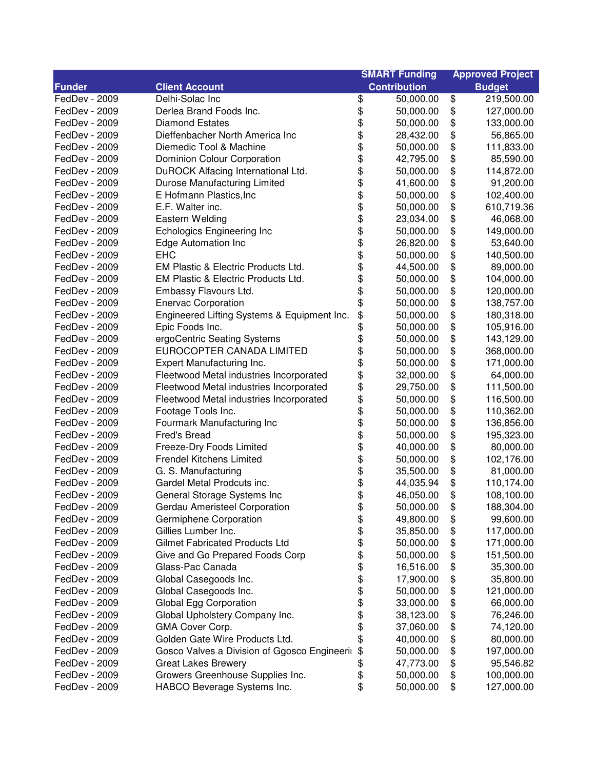|               |                                              | <b>SMART Funding</b>   | <b>Approved Project</b> |
|---------------|----------------------------------------------|------------------------|-------------------------|
| <b>Funder</b> | <b>Client Account</b>                        | <b>Contribution</b>    | <b>Budget</b>           |
| FedDev - 2009 | Delhi-Solac Inc                              | \$<br>50,000.00        | \$<br>219,500.00        |
| FedDev - 2009 | Derlea Brand Foods Inc.                      | \$<br>50,000.00        | \$<br>127,000.00        |
| FedDev - 2009 | <b>Diamond Estates</b>                       | \$<br>50,000.00        | \$<br>133,000.00        |
| FedDev - 2009 | Dieffenbacher North America Inc              | \$<br>28,432.00        | \$<br>56,865.00         |
| FedDev - 2009 | Diemedic Tool & Machine                      | \$<br>50,000.00        | \$<br>111,833.00        |
| FedDev - 2009 | Dominion Colour Corporation                  | \$<br>42,795.00        | \$<br>85,590.00         |
| FedDev - 2009 | DuROCK Alfacing International Ltd.           | \$<br>50,000.00        | \$<br>114,872.00        |
| FedDev - 2009 | Durose Manufacturing Limited                 | \$<br>41,600.00        | \$<br>91,200.00         |
| FedDev - 2009 | E Hofmann Plastics, Inc.                     | \$<br>50,000.00        | \$<br>102,400.00        |
| FedDev - 2009 | E.F. Walter inc.                             | \$<br>50,000.00        | \$<br>610,719.36        |
| FedDev - 2009 | Eastern Welding                              | \$<br>23,034.00        | \$<br>46,068.00         |
| FedDev - 2009 | <b>Echologics Engineering Inc</b>            | \$<br>50,000.00        | \$<br>149,000.00        |
| FedDev - 2009 | <b>Edge Automation Inc</b>                   | \$<br>26,820.00        | \$<br>53,640.00         |
| FedDev - 2009 | <b>EHC</b>                                   | \$<br>50,000.00        | \$<br>140,500.00        |
| FedDev - 2009 | EM Plastic & Electric Products Ltd.          | \$<br>44,500.00        | \$<br>89,000.00         |
| FedDev - 2009 | EM Plastic & Electric Products Ltd.          | \$<br>50,000.00        | \$<br>104,000.00        |
| FedDev - 2009 | Embassy Flavours Ltd.                        | \$<br>50,000.00        | \$<br>120,000.00        |
| FedDev - 2009 | <b>Enervac Corporation</b>                   | \$<br>50,000.00        | \$<br>138,757.00        |
| FedDev - 2009 | Engineered Lifting Systems & Equipment Inc.  | \$<br>50,000.00        | \$<br>180,318.00        |
| FedDev - 2009 | Epic Foods Inc.                              | \$<br>50,000.00        | \$<br>105,916.00        |
| FedDev - 2009 | ergoCentric Seating Systems                  | \$<br>50,000.00        | \$<br>143,129.00        |
| FedDev - 2009 | EUROCOPTER CANADA LIMITED                    | \$<br>50,000.00        | \$<br>368,000.00        |
| FedDev - 2009 | Expert Manufacturing Inc.                    | \$<br>50,000.00        | \$<br>171,000.00        |
| FedDev - 2009 | Fleetwood Metal industries Incorporated      | \$<br>32,000.00        | \$<br>64,000.00         |
| FedDev - 2009 | Fleetwood Metal industries Incorporated      | \$<br>29,750.00        | \$<br>111,500.00        |
| FedDev - 2009 | Fleetwood Metal industries Incorporated      | \$<br>50,000.00        | \$<br>116,500.00        |
| FedDev - 2009 | Footage Tools Inc.                           | \$<br>50,000.00        | \$<br>110,362.00        |
| FedDev - 2009 | Fourmark Manufacturing Inc                   | \$<br>50,000.00        | \$<br>136,856.00        |
| FedDev - 2009 | Fred's Bread                                 | \$<br>50,000.00        | \$<br>195,323.00        |
| FedDev - 2009 | Freeze-Dry Foods Limited                     | \$<br>40,000.00        | \$<br>80,000.00         |
| FedDev - 2009 | <b>Frendel Kitchens Limited</b>              | \$<br>50,000.00        | \$<br>102,176.00        |
| FedDev - 2009 | G. S. Manufacturing                          | \$<br>35,500.00        | \$<br>81,000.00         |
| FedDev - 2009 | Gardel Metal Prodcuts inc.                   | \$<br>44,035.94        | \$<br>110,174.00        |
| FedDev - 2009 | General Storage Systems Inc                  | \$<br>46,050.00        | \$<br>108,100.00        |
| FedDev - 2009 | Gerdau Ameristeel Corporation                | \$<br>50,000.00        | \$<br>188,304.00        |
| FedDev - 2009 | Germiphene Corporation                       | \$<br>49,800.00        | \$<br>99,600.00         |
| FedDev - 2009 | Gillies Lumber Inc.                          | \$<br>35,850.00        | \$<br>117,000.00        |
| FedDev - 2009 | <b>Gilmet Fabricated Products Ltd</b>        | \$<br>50,000.00        | \$<br>171,000.00        |
| FedDev - 2009 | Give and Go Prepared Foods Corp              | \$<br>50,000.00        | \$<br>151,500.00        |
| FedDev - 2009 | Glass-Pac Canada                             | \$                     |                         |
|               |                                              | 16,516.00<br>17,900.00 | \$<br>35,300.00         |
| FedDev - 2009 | Global Casegoods Inc.                        | \$                     | \$<br>35,800.00         |
| FedDev - 2009 | Global Casegoods Inc.                        | \$<br>50,000.00        | \$<br>121,000.00        |
| FedDev - 2009 | Global Egg Corporation                       | \$<br>33,000.00        | \$<br>66,000.00         |
| FedDev - 2009 | Global Upholstery Company Inc.               | \$<br>38,123.00        | \$<br>76,246.00         |
| FedDev - 2009 | GMA Cover Corp.                              | \$<br>37,060.00        | \$<br>74,120.00         |
| FedDev - 2009 | Golden Gate Wire Products Ltd.               | \$<br>40,000.00        | \$<br>80,000.00         |
| FedDev - 2009 | Gosco Valves a Division of Ggosco Engineerii | \$<br>50,000.00        | \$<br>197,000.00        |
| FedDev - 2009 | <b>Great Lakes Brewery</b>                   | \$<br>47,773.00        | \$<br>95,546.82         |
| FedDev - 2009 | Growers Greenhouse Supplies Inc.             | \$<br>50,000.00        | \$<br>100,000.00        |
| FedDev - 2009 | HABCO Beverage Systems Inc.                  | \$<br>50,000.00        | \$<br>127,000.00        |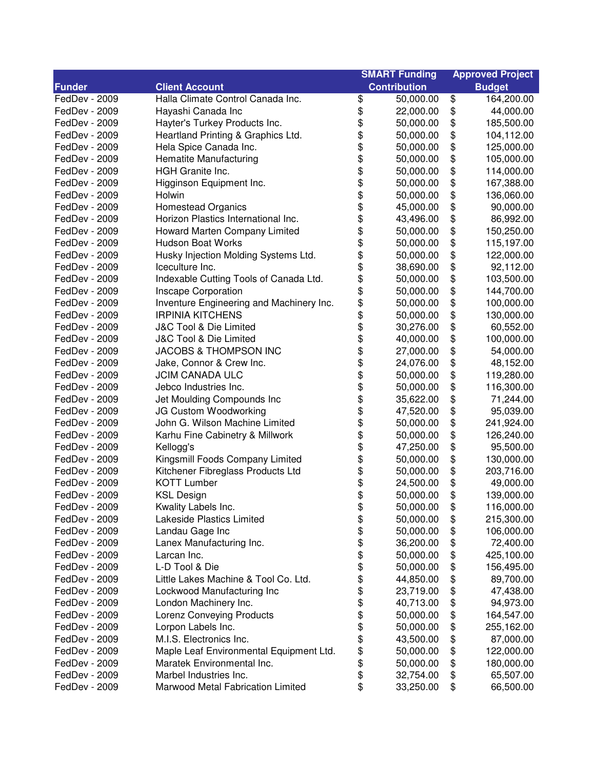| <b>Contribution</b><br><b>Funder</b><br><b>Client Account</b><br><b>Budget</b><br>\$<br>\$<br>FedDev - 2009<br>Halla Climate Control Canada Inc.<br>164,200.00<br>50,000.00<br>\$<br>\$<br>FedDev - 2009<br>Hayashi Canada Inc<br>44,000.00<br>22,000.00<br>\$<br>\$<br>FedDev - 2009<br>Hayter's Turkey Products Inc.<br>50,000.00<br>185,500.00<br>\$<br>\$<br>FedDev - 2009<br>Heartland Printing & Graphics Ltd.<br>50,000.00<br>104,112.00<br>\$<br>\$<br>FedDev - 2009<br>Hela Spice Canada Inc.<br>125,000.00<br>50,000.00<br>\$<br>\$<br>Hematite Manufacturing<br>50,000.00<br>105,000.00<br>FedDev - 2009<br>\$<br>\$<br><b>HGH</b> Granite Inc.<br>FedDev - 2009<br>50,000.00<br>114,000.00<br>\$<br>\$<br>\$<br>FedDev - 2009<br>Higginson Equipment Inc.<br>50,000.00<br>167,388.00<br>\$<br>FedDev - 2009<br>136,060.00<br>Holwin<br>50,000.00<br>\$<br>FedDev - 2009<br><b>Homestead Organics</b><br>\$<br>90,000.00<br>45,000.00<br>\$<br>Horizon Plastics International Inc.<br>\$<br>86,992.00<br>FedDev - 2009<br>43,496.00<br>\$<br>Howard Marten Company Limited<br>\$<br>FedDev - 2009<br>50,000.00<br>150,250.00<br>\$<br>\$<br>FedDev - 2009<br><b>Hudson Boat Works</b><br>50,000.00<br>115,197.00<br>\$<br>\$<br>Husky Injection Molding Systems Ltd.<br>FedDev - 2009<br>50,000.00<br>122,000.00<br>\$<br>\$<br>92,112.00<br>FedDev - 2009<br>Iceculture Inc.<br>38,690.00<br>\$<br>\$<br>Indexable Cutting Tools of Canada Ltd.<br>103,500.00<br>FedDev - 2009<br>50,000.00<br>\$<br>\$<br>Inscape Corporation<br>144,700.00<br>FedDev - 2009<br>50,000.00<br>\$<br>\$<br>FedDev - 2009<br>Inventure Engineering and Machinery Inc.<br>100,000.00<br>50,000.00<br>\$<br>\$<br><b>IRPINIA KITCHENS</b><br>FedDev - 2009<br>130,000.00<br>50,000.00<br>\$<br>\$<br>J&C Tool & Die Limited<br>FedDev - 2009<br>30,276.00<br>60,552.00<br>\$<br>\$<br>J&C Tool & Die Limited<br>FedDev - 2009<br>40,000.00<br>100,000.00<br>\$<br>\$<br><b>JACOBS &amp; THOMPSON INC</b><br>54,000.00<br>FedDev - 2009<br>27,000.00<br>\$<br>\$<br>\$<br>Jake, Connor & Crew Inc.<br>24,076.00<br>48,152.00<br>FedDev - 2009<br>\$<br><b>JCIM CANADA ULC</b><br>FedDev - 2009<br>50,000.00<br>119,280.00<br>\$<br>\$<br>\$<br>Jebco Industries Inc.<br>116,300.00<br>FedDev - 2009<br>50,000.00<br>\$<br>Jet Moulding Compounds Inc<br>71,244.00<br>FedDev - 2009<br>35,622.00<br>\$<br>\$<br>JG Custom Woodworking<br>\$<br>95,039.00<br>FedDev - 2009<br>47,520.00<br>John G. Wilson Machine Limited<br>\$<br>241,924.00<br>FedDev - 2009<br>50,000.00<br>\$<br>\$<br>Karhu Fine Cabinetry & Millwork<br>126,240.00<br>FedDev - 2009<br>50,000.00<br>\$<br>\$<br>FedDev - 2009<br>Kellogg's<br>47,250.00<br>95,500.00<br>\$<br>Kingsmill Foods Company Limited<br>\$<br>FedDev - 2009<br>50,000.00<br>130,000.00<br>\$<br>\$<br>Kitchener Fibreglass Products Ltd<br>FedDev - 2009<br>50,000.00<br>203,716.00<br>\$<br>\$<br><b>KOTT Lumber</b><br>24,500.00<br>49,000.00<br>FedDev - 2009<br>\$<br>\$<br>FedDev - 2009<br><b>KSL Design</b><br>50,000.00<br>139,000.00<br>\$<br>50,000.00<br>FedDev - 2009<br>Kwality Labels Inc.<br>\$<br>116,000.00<br>\$<br>Lakeside Plastics Limited<br>50,000.00<br>\$<br>FedDev - 2009<br>215,300.00<br>\$<br>\$<br>FedDev - 2009<br>Landau Gage Inc<br>50,000.00<br>106,000.00<br>\$<br>\$<br>FedDev - 2009<br>Lanex Manufacturing Inc.<br>72,400.00<br>36,200.00<br>\$<br>\$<br>FedDev - 2009<br>Larcan Inc.<br>50,000.00<br>425,100.00<br>\$<br>\$<br>L-D Tool & Die<br>50,000.00<br>FedDev - 2009<br>156,495.00<br>\$<br>\$<br>FedDev - 2009<br>Little Lakes Machine & Tool Co. Ltd.<br>44,850.00<br>89,700.00<br>\$<br>\$<br>FedDev - 2009<br>Lockwood Manufacturing Inc<br>23,719.00<br>47,438.00<br>\$<br>\$<br>FedDev - 2009<br>London Machinery Inc.<br>40,713.00<br>94,973.00<br>\$<br>\$<br><b>Lorenz Conveying Products</b><br>50,000.00<br>164,547.00<br>FedDev - 2009<br>\$<br>\$<br>Lorpon Labels Inc.<br>50,000.00<br>255,162.00<br>FedDev - 2009<br>\$<br>M.I.S. Electronics Inc.<br>\$<br>FedDev - 2009<br>43,500.00<br>87,000.00<br>\$<br>Maple Leaf Environmental Equipment Ltd.<br>\$<br>FedDev - 2009<br>50,000.00<br>122,000.00<br>\$<br>\$<br>Maratek Environmental Inc.<br>FedDev - 2009<br>50,000.00<br>180,000.00 |               |                        | <b>SMART Funding</b> | <b>Approved Project</b> |           |
|-----------------------------------------------------------------------------------------------------------------------------------------------------------------------------------------------------------------------------------------------------------------------------------------------------------------------------------------------------------------------------------------------------------------------------------------------------------------------------------------------------------------------------------------------------------------------------------------------------------------------------------------------------------------------------------------------------------------------------------------------------------------------------------------------------------------------------------------------------------------------------------------------------------------------------------------------------------------------------------------------------------------------------------------------------------------------------------------------------------------------------------------------------------------------------------------------------------------------------------------------------------------------------------------------------------------------------------------------------------------------------------------------------------------------------------------------------------------------------------------------------------------------------------------------------------------------------------------------------------------------------------------------------------------------------------------------------------------------------------------------------------------------------------------------------------------------------------------------------------------------------------------------------------------------------------------------------------------------------------------------------------------------------------------------------------------------------------------------------------------------------------------------------------------------------------------------------------------------------------------------------------------------------------------------------------------------------------------------------------------------------------------------------------------------------------------------------------------------------------------------------------------------------------------------------------------------------------------------------------------------------------------------------------------------------------------------------------------------------------------------------------------------------------------------------------------------------------------------------------------------------------------------------------------------------------------------------------------------------------------------------------------------------------------------------------------------------------------------------------------------------------------------------------------------------------------------------------------------------------------------------------------------------------------------------------------------------------------------------------------------------------------------------------------------------------------------------------------------------------------------------------------------------------------------------------------------------------------------------------------------------------------------------------------------------------------------------------------------------------------------------------------------------------------------------------------------------------------------------------------------------------------------------------------------------------------------------------------------------------------------------------------------------------------------------------------------------------------------------------------------------------------------------------------------------------------------------------------------------------------------------------------------------------------------|---------------|------------------------|----------------------|-------------------------|-----------|
|                                                                                                                                                                                                                                                                                                                                                                                                                                                                                                                                                                                                                                                                                                                                                                                                                                                                                                                                                                                                                                                                                                                                                                                                                                                                                                                                                                                                                                                                                                                                                                                                                                                                                                                                                                                                                                                                                                                                                                                                                                                                                                                                                                                                                                                                                                                                                                                                                                                                                                                                                                                                                                                                                                                                                                                                                                                                                                                                                                                                                                                                                                                                                                                                                                                                                                                                                                                                                                                                                                                                                                                                                                                                                                                                                                                                                                                                                                                                                                                                                                                                                                                                                                                                                                                                                               |               |                        |                      |                         |           |
|                                                                                                                                                                                                                                                                                                                                                                                                                                                                                                                                                                                                                                                                                                                                                                                                                                                                                                                                                                                                                                                                                                                                                                                                                                                                                                                                                                                                                                                                                                                                                                                                                                                                                                                                                                                                                                                                                                                                                                                                                                                                                                                                                                                                                                                                                                                                                                                                                                                                                                                                                                                                                                                                                                                                                                                                                                                                                                                                                                                                                                                                                                                                                                                                                                                                                                                                                                                                                                                                                                                                                                                                                                                                                                                                                                                                                                                                                                                                                                                                                                                                                                                                                                                                                                                                                               |               |                        |                      |                         |           |
|                                                                                                                                                                                                                                                                                                                                                                                                                                                                                                                                                                                                                                                                                                                                                                                                                                                                                                                                                                                                                                                                                                                                                                                                                                                                                                                                                                                                                                                                                                                                                                                                                                                                                                                                                                                                                                                                                                                                                                                                                                                                                                                                                                                                                                                                                                                                                                                                                                                                                                                                                                                                                                                                                                                                                                                                                                                                                                                                                                                                                                                                                                                                                                                                                                                                                                                                                                                                                                                                                                                                                                                                                                                                                                                                                                                                                                                                                                                                                                                                                                                                                                                                                                                                                                                                                               |               |                        |                      |                         |           |
|                                                                                                                                                                                                                                                                                                                                                                                                                                                                                                                                                                                                                                                                                                                                                                                                                                                                                                                                                                                                                                                                                                                                                                                                                                                                                                                                                                                                                                                                                                                                                                                                                                                                                                                                                                                                                                                                                                                                                                                                                                                                                                                                                                                                                                                                                                                                                                                                                                                                                                                                                                                                                                                                                                                                                                                                                                                                                                                                                                                                                                                                                                                                                                                                                                                                                                                                                                                                                                                                                                                                                                                                                                                                                                                                                                                                                                                                                                                                                                                                                                                                                                                                                                                                                                                                                               |               |                        |                      |                         |           |
|                                                                                                                                                                                                                                                                                                                                                                                                                                                                                                                                                                                                                                                                                                                                                                                                                                                                                                                                                                                                                                                                                                                                                                                                                                                                                                                                                                                                                                                                                                                                                                                                                                                                                                                                                                                                                                                                                                                                                                                                                                                                                                                                                                                                                                                                                                                                                                                                                                                                                                                                                                                                                                                                                                                                                                                                                                                                                                                                                                                                                                                                                                                                                                                                                                                                                                                                                                                                                                                                                                                                                                                                                                                                                                                                                                                                                                                                                                                                                                                                                                                                                                                                                                                                                                                                                               |               |                        |                      |                         |           |
|                                                                                                                                                                                                                                                                                                                                                                                                                                                                                                                                                                                                                                                                                                                                                                                                                                                                                                                                                                                                                                                                                                                                                                                                                                                                                                                                                                                                                                                                                                                                                                                                                                                                                                                                                                                                                                                                                                                                                                                                                                                                                                                                                                                                                                                                                                                                                                                                                                                                                                                                                                                                                                                                                                                                                                                                                                                                                                                                                                                                                                                                                                                                                                                                                                                                                                                                                                                                                                                                                                                                                                                                                                                                                                                                                                                                                                                                                                                                                                                                                                                                                                                                                                                                                                                                                               |               |                        |                      |                         |           |
|                                                                                                                                                                                                                                                                                                                                                                                                                                                                                                                                                                                                                                                                                                                                                                                                                                                                                                                                                                                                                                                                                                                                                                                                                                                                                                                                                                                                                                                                                                                                                                                                                                                                                                                                                                                                                                                                                                                                                                                                                                                                                                                                                                                                                                                                                                                                                                                                                                                                                                                                                                                                                                                                                                                                                                                                                                                                                                                                                                                                                                                                                                                                                                                                                                                                                                                                                                                                                                                                                                                                                                                                                                                                                                                                                                                                                                                                                                                                                                                                                                                                                                                                                                                                                                                                                               |               |                        |                      |                         |           |
|                                                                                                                                                                                                                                                                                                                                                                                                                                                                                                                                                                                                                                                                                                                                                                                                                                                                                                                                                                                                                                                                                                                                                                                                                                                                                                                                                                                                                                                                                                                                                                                                                                                                                                                                                                                                                                                                                                                                                                                                                                                                                                                                                                                                                                                                                                                                                                                                                                                                                                                                                                                                                                                                                                                                                                                                                                                                                                                                                                                                                                                                                                                                                                                                                                                                                                                                                                                                                                                                                                                                                                                                                                                                                                                                                                                                                                                                                                                                                                                                                                                                                                                                                                                                                                                                                               |               |                        |                      |                         |           |
|                                                                                                                                                                                                                                                                                                                                                                                                                                                                                                                                                                                                                                                                                                                                                                                                                                                                                                                                                                                                                                                                                                                                                                                                                                                                                                                                                                                                                                                                                                                                                                                                                                                                                                                                                                                                                                                                                                                                                                                                                                                                                                                                                                                                                                                                                                                                                                                                                                                                                                                                                                                                                                                                                                                                                                                                                                                                                                                                                                                                                                                                                                                                                                                                                                                                                                                                                                                                                                                                                                                                                                                                                                                                                                                                                                                                                                                                                                                                                                                                                                                                                                                                                                                                                                                                                               |               |                        |                      |                         |           |
|                                                                                                                                                                                                                                                                                                                                                                                                                                                                                                                                                                                                                                                                                                                                                                                                                                                                                                                                                                                                                                                                                                                                                                                                                                                                                                                                                                                                                                                                                                                                                                                                                                                                                                                                                                                                                                                                                                                                                                                                                                                                                                                                                                                                                                                                                                                                                                                                                                                                                                                                                                                                                                                                                                                                                                                                                                                                                                                                                                                                                                                                                                                                                                                                                                                                                                                                                                                                                                                                                                                                                                                                                                                                                                                                                                                                                                                                                                                                                                                                                                                                                                                                                                                                                                                                                               |               |                        |                      |                         |           |
|                                                                                                                                                                                                                                                                                                                                                                                                                                                                                                                                                                                                                                                                                                                                                                                                                                                                                                                                                                                                                                                                                                                                                                                                                                                                                                                                                                                                                                                                                                                                                                                                                                                                                                                                                                                                                                                                                                                                                                                                                                                                                                                                                                                                                                                                                                                                                                                                                                                                                                                                                                                                                                                                                                                                                                                                                                                                                                                                                                                                                                                                                                                                                                                                                                                                                                                                                                                                                                                                                                                                                                                                                                                                                                                                                                                                                                                                                                                                                                                                                                                                                                                                                                                                                                                                                               |               |                        |                      |                         |           |
|                                                                                                                                                                                                                                                                                                                                                                                                                                                                                                                                                                                                                                                                                                                                                                                                                                                                                                                                                                                                                                                                                                                                                                                                                                                                                                                                                                                                                                                                                                                                                                                                                                                                                                                                                                                                                                                                                                                                                                                                                                                                                                                                                                                                                                                                                                                                                                                                                                                                                                                                                                                                                                                                                                                                                                                                                                                                                                                                                                                                                                                                                                                                                                                                                                                                                                                                                                                                                                                                                                                                                                                                                                                                                                                                                                                                                                                                                                                                                                                                                                                                                                                                                                                                                                                                                               |               |                        |                      |                         |           |
|                                                                                                                                                                                                                                                                                                                                                                                                                                                                                                                                                                                                                                                                                                                                                                                                                                                                                                                                                                                                                                                                                                                                                                                                                                                                                                                                                                                                                                                                                                                                                                                                                                                                                                                                                                                                                                                                                                                                                                                                                                                                                                                                                                                                                                                                                                                                                                                                                                                                                                                                                                                                                                                                                                                                                                                                                                                                                                                                                                                                                                                                                                                                                                                                                                                                                                                                                                                                                                                                                                                                                                                                                                                                                                                                                                                                                                                                                                                                                                                                                                                                                                                                                                                                                                                                                               |               |                        |                      |                         |           |
|                                                                                                                                                                                                                                                                                                                                                                                                                                                                                                                                                                                                                                                                                                                                                                                                                                                                                                                                                                                                                                                                                                                                                                                                                                                                                                                                                                                                                                                                                                                                                                                                                                                                                                                                                                                                                                                                                                                                                                                                                                                                                                                                                                                                                                                                                                                                                                                                                                                                                                                                                                                                                                                                                                                                                                                                                                                                                                                                                                                                                                                                                                                                                                                                                                                                                                                                                                                                                                                                                                                                                                                                                                                                                                                                                                                                                                                                                                                                                                                                                                                                                                                                                                                                                                                                                               |               |                        |                      |                         |           |
|                                                                                                                                                                                                                                                                                                                                                                                                                                                                                                                                                                                                                                                                                                                                                                                                                                                                                                                                                                                                                                                                                                                                                                                                                                                                                                                                                                                                                                                                                                                                                                                                                                                                                                                                                                                                                                                                                                                                                                                                                                                                                                                                                                                                                                                                                                                                                                                                                                                                                                                                                                                                                                                                                                                                                                                                                                                                                                                                                                                                                                                                                                                                                                                                                                                                                                                                                                                                                                                                                                                                                                                                                                                                                                                                                                                                                                                                                                                                                                                                                                                                                                                                                                                                                                                                                               |               |                        |                      |                         |           |
|                                                                                                                                                                                                                                                                                                                                                                                                                                                                                                                                                                                                                                                                                                                                                                                                                                                                                                                                                                                                                                                                                                                                                                                                                                                                                                                                                                                                                                                                                                                                                                                                                                                                                                                                                                                                                                                                                                                                                                                                                                                                                                                                                                                                                                                                                                                                                                                                                                                                                                                                                                                                                                                                                                                                                                                                                                                                                                                                                                                                                                                                                                                                                                                                                                                                                                                                                                                                                                                                                                                                                                                                                                                                                                                                                                                                                                                                                                                                                                                                                                                                                                                                                                                                                                                                                               |               |                        |                      |                         |           |
|                                                                                                                                                                                                                                                                                                                                                                                                                                                                                                                                                                                                                                                                                                                                                                                                                                                                                                                                                                                                                                                                                                                                                                                                                                                                                                                                                                                                                                                                                                                                                                                                                                                                                                                                                                                                                                                                                                                                                                                                                                                                                                                                                                                                                                                                                                                                                                                                                                                                                                                                                                                                                                                                                                                                                                                                                                                                                                                                                                                                                                                                                                                                                                                                                                                                                                                                                                                                                                                                                                                                                                                                                                                                                                                                                                                                                                                                                                                                                                                                                                                                                                                                                                                                                                                                                               |               |                        |                      |                         |           |
|                                                                                                                                                                                                                                                                                                                                                                                                                                                                                                                                                                                                                                                                                                                                                                                                                                                                                                                                                                                                                                                                                                                                                                                                                                                                                                                                                                                                                                                                                                                                                                                                                                                                                                                                                                                                                                                                                                                                                                                                                                                                                                                                                                                                                                                                                                                                                                                                                                                                                                                                                                                                                                                                                                                                                                                                                                                                                                                                                                                                                                                                                                                                                                                                                                                                                                                                                                                                                                                                                                                                                                                                                                                                                                                                                                                                                                                                                                                                                                                                                                                                                                                                                                                                                                                                                               |               |                        |                      |                         |           |
|                                                                                                                                                                                                                                                                                                                                                                                                                                                                                                                                                                                                                                                                                                                                                                                                                                                                                                                                                                                                                                                                                                                                                                                                                                                                                                                                                                                                                                                                                                                                                                                                                                                                                                                                                                                                                                                                                                                                                                                                                                                                                                                                                                                                                                                                                                                                                                                                                                                                                                                                                                                                                                                                                                                                                                                                                                                                                                                                                                                                                                                                                                                                                                                                                                                                                                                                                                                                                                                                                                                                                                                                                                                                                                                                                                                                                                                                                                                                                                                                                                                                                                                                                                                                                                                                                               |               |                        |                      |                         |           |
|                                                                                                                                                                                                                                                                                                                                                                                                                                                                                                                                                                                                                                                                                                                                                                                                                                                                                                                                                                                                                                                                                                                                                                                                                                                                                                                                                                                                                                                                                                                                                                                                                                                                                                                                                                                                                                                                                                                                                                                                                                                                                                                                                                                                                                                                                                                                                                                                                                                                                                                                                                                                                                                                                                                                                                                                                                                                                                                                                                                                                                                                                                                                                                                                                                                                                                                                                                                                                                                                                                                                                                                                                                                                                                                                                                                                                                                                                                                                                                                                                                                                                                                                                                                                                                                                                               |               |                        |                      |                         |           |
|                                                                                                                                                                                                                                                                                                                                                                                                                                                                                                                                                                                                                                                                                                                                                                                                                                                                                                                                                                                                                                                                                                                                                                                                                                                                                                                                                                                                                                                                                                                                                                                                                                                                                                                                                                                                                                                                                                                                                                                                                                                                                                                                                                                                                                                                                                                                                                                                                                                                                                                                                                                                                                                                                                                                                                                                                                                                                                                                                                                                                                                                                                                                                                                                                                                                                                                                                                                                                                                                                                                                                                                                                                                                                                                                                                                                                                                                                                                                                                                                                                                                                                                                                                                                                                                                                               |               |                        |                      |                         |           |
|                                                                                                                                                                                                                                                                                                                                                                                                                                                                                                                                                                                                                                                                                                                                                                                                                                                                                                                                                                                                                                                                                                                                                                                                                                                                                                                                                                                                                                                                                                                                                                                                                                                                                                                                                                                                                                                                                                                                                                                                                                                                                                                                                                                                                                                                                                                                                                                                                                                                                                                                                                                                                                                                                                                                                                                                                                                                                                                                                                                                                                                                                                                                                                                                                                                                                                                                                                                                                                                                                                                                                                                                                                                                                                                                                                                                                                                                                                                                                                                                                                                                                                                                                                                                                                                                                               |               |                        |                      |                         |           |
|                                                                                                                                                                                                                                                                                                                                                                                                                                                                                                                                                                                                                                                                                                                                                                                                                                                                                                                                                                                                                                                                                                                                                                                                                                                                                                                                                                                                                                                                                                                                                                                                                                                                                                                                                                                                                                                                                                                                                                                                                                                                                                                                                                                                                                                                                                                                                                                                                                                                                                                                                                                                                                                                                                                                                                                                                                                                                                                                                                                                                                                                                                                                                                                                                                                                                                                                                                                                                                                                                                                                                                                                                                                                                                                                                                                                                                                                                                                                                                                                                                                                                                                                                                                                                                                                                               |               |                        |                      |                         |           |
|                                                                                                                                                                                                                                                                                                                                                                                                                                                                                                                                                                                                                                                                                                                                                                                                                                                                                                                                                                                                                                                                                                                                                                                                                                                                                                                                                                                                                                                                                                                                                                                                                                                                                                                                                                                                                                                                                                                                                                                                                                                                                                                                                                                                                                                                                                                                                                                                                                                                                                                                                                                                                                                                                                                                                                                                                                                                                                                                                                                                                                                                                                                                                                                                                                                                                                                                                                                                                                                                                                                                                                                                                                                                                                                                                                                                                                                                                                                                                                                                                                                                                                                                                                                                                                                                                               |               |                        |                      |                         |           |
|                                                                                                                                                                                                                                                                                                                                                                                                                                                                                                                                                                                                                                                                                                                                                                                                                                                                                                                                                                                                                                                                                                                                                                                                                                                                                                                                                                                                                                                                                                                                                                                                                                                                                                                                                                                                                                                                                                                                                                                                                                                                                                                                                                                                                                                                                                                                                                                                                                                                                                                                                                                                                                                                                                                                                                                                                                                                                                                                                                                                                                                                                                                                                                                                                                                                                                                                                                                                                                                                                                                                                                                                                                                                                                                                                                                                                                                                                                                                                                                                                                                                                                                                                                                                                                                                                               |               |                        |                      |                         |           |
|                                                                                                                                                                                                                                                                                                                                                                                                                                                                                                                                                                                                                                                                                                                                                                                                                                                                                                                                                                                                                                                                                                                                                                                                                                                                                                                                                                                                                                                                                                                                                                                                                                                                                                                                                                                                                                                                                                                                                                                                                                                                                                                                                                                                                                                                                                                                                                                                                                                                                                                                                                                                                                                                                                                                                                                                                                                                                                                                                                                                                                                                                                                                                                                                                                                                                                                                                                                                                                                                                                                                                                                                                                                                                                                                                                                                                                                                                                                                                                                                                                                                                                                                                                                                                                                                                               |               |                        |                      |                         |           |
|                                                                                                                                                                                                                                                                                                                                                                                                                                                                                                                                                                                                                                                                                                                                                                                                                                                                                                                                                                                                                                                                                                                                                                                                                                                                                                                                                                                                                                                                                                                                                                                                                                                                                                                                                                                                                                                                                                                                                                                                                                                                                                                                                                                                                                                                                                                                                                                                                                                                                                                                                                                                                                                                                                                                                                                                                                                                                                                                                                                                                                                                                                                                                                                                                                                                                                                                                                                                                                                                                                                                                                                                                                                                                                                                                                                                                                                                                                                                                                                                                                                                                                                                                                                                                                                                                               |               |                        |                      |                         |           |
|                                                                                                                                                                                                                                                                                                                                                                                                                                                                                                                                                                                                                                                                                                                                                                                                                                                                                                                                                                                                                                                                                                                                                                                                                                                                                                                                                                                                                                                                                                                                                                                                                                                                                                                                                                                                                                                                                                                                                                                                                                                                                                                                                                                                                                                                                                                                                                                                                                                                                                                                                                                                                                                                                                                                                                                                                                                                                                                                                                                                                                                                                                                                                                                                                                                                                                                                                                                                                                                                                                                                                                                                                                                                                                                                                                                                                                                                                                                                                                                                                                                                                                                                                                                                                                                                                               |               |                        |                      |                         |           |
|                                                                                                                                                                                                                                                                                                                                                                                                                                                                                                                                                                                                                                                                                                                                                                                                                                                                                                                                                                                                                                                                                                                                                                                                                                                                                                                                                                                                                                                                                                                                                                                                                                                                                                                                                                                                                                                                                                                                                                                                                                                                                                                                                                                                                                                                                                                                                                                                                                                                                                                                                                                                                                                                                                                                                                                                                                                                                                                                                                                                                                                                                                                                                                                                                                                                                                                                                                                                                                                                                                                                                                                                                                                                                                                                                                                                                                                                                                                                                                                                                                                                                                                                                                                                                                                                                               |               |                        |                      |                         |           |
|                                                                                                                                                                                                                                                                                                                                                                                                                                                                                                                                                                                                                                                                                                                                                                                                                                                                                                                                                                                                                                                                                                                                                                                                                                                                                                                                                                                                                                                                                                                                                                                                                                                                                                                                                                                                                                                                                                                                                                                                                                                                                                                                                                                                                                                                                                                                                                                                                                                                                                                                                                                                                                                                                                                                                                                                                                                                                                                                                                                                                                                                                                                                                                                                                                                                                                                                                                                                                                                                                                                                                                                                                                                                                                                                                                                                                                                                                                                                                                                                                                                                                                                                                                                                                                                                                               |               |                        |                      |                         |           |
|                                                                                                                                                                                                                                                                                                                                                                                                                                                                                                                                                                                                                                                                                                                                                                                                                                                                                                                                                                                                                                                                                                                                                                                                                                                                                                                                                                                                                                                                                                                                                                                                                                                                                                                                                                                                                                                                                                                                                                                                                                                                                                                                                                                                                                                                                                                                                                                                                                                                                                                                                                                                                                                                                                                                                                                                                                                                                                                                                                                                                                                                                                                                                                                                                                                                                                                                                                                                                                                                                                                                                                                                                                                                                                                                                                                                                                                                                                                                                                                                                                                                                                                                                                                                                                                                                               |               |                        |                      |                         |           |
|                                                                                                                                                                                                                                                                                                                                                                                                                                                                                                                                                                                                                                                                                                                                                                                                                                                                                                                                                                                                                                                                                                                                                                                                                                                                                                                                                                                                                                                                                                                                                                                                                                                                                                                                                                                                                                                                                                                                                                                                                                                                                                                                                                                                                                                                                                                                                                                                                                                                                                                                                                                                                                                                                                                                                                                                                                                                                                                                                                                                                                                                                                                                                                                                                                                                                                                                                                                                                                                                                                                                                                                                                                                                                                                                                                                                                                                                                                                                                                                                                                                                                                                                                                                                                                                                                               |               |                        |                      |                         |           |
|                                                                                                                                                                                                                                                                                                                                                                                                                                                                                                                                                                                                                                                                                                                                                                                                                                                                                                                                                                                                                                                                                                                                                                                                                                                                                                                                                                                                                                                                                                                                                                                                                                                                                                                                                                                                                                                                                                                                                                                                                                                                                                                                                                                                                                                                                                                                                                                                                                                                                                                                                                                                                                                                                                                                                                                                                                                                                                                                                                                                                                                                                                                                                                                                                                                                                                                                                                                                                                                                                                                                                                                                                                                                                                                                                                                                                                                                                                                                                                                                                                                                                                                                                                                                                                                                                               |               |                        |                      |                         |           |
|                                                                                                                                                                                                                                                                                                                                                                                                                                                                                                                                                                                                                                                                                                                                                                                                                                                                                                                                                                                                                                                                                                                                                                                                                                                                                                                                                                                                                                                                                                                                                                                                                                                                                                                                                                                                                                                                                                                                                                                                                                                                                                                                                                                                                                                                                                                                                                                                                                                                                                                                                                                                                                                                                                                                                                                                                                                                                                                                                                                                                                                                                                                                                                                                                                                                                                                                                                                                                                                                                                                                                                                                                                                                                                                                                                                                                                                                                                                                                                                                                                                                                                                                                                                                                                                                                               |               |                        |                      |                         |           |
|                                                                                                                                                                                                                                                                                                                                                                                                                                                                                                                                                                                                                                                                                                                                                                                                                                                                                                                                                                                                                                                                                                                                                                                                                                                                                                                                                                                                                                                                                                                                                                                                                                                                                                                                                                                                                                                                                                                                                                                                                                                                                                                                                                                                                                                                                                                                                                                                                                                                                                                                                                                                                                                                                                                                                                                                                                                                                                                                                                                                                                                                                                                                                                                                                                                                                                                                                                                                                                                                                                                                                                                                                                                                                                                                                                                                                                                                                                                                                                                                                                                                                                                                                                                                                                                                                               |               |                        |                      |                         |           |
|                                                                                                                                                                                                                                                                                                                                                                                                                                                                                                                                                                                                                                                                                                                                                                                                                                                                                                                                                                                                                                                                                                                                                                                                                                                                                                                                                                                                                                                                                                                                                                                                                                                                                                                                                                                                                                                                                                                                                                                                                                                                                                                                                                                                                                                                                                                                                                                                                                                                                                                                                                                                                                                                                                                                                                                                                                                                                                                                                                                                                                                                                                                                                                                                                                                                                                                                                                                                                                                                                                                                                                                                                                                                                                                                                                                                                                                                                                                                                                                                                                                                                                                                                                                                                                                                                               |               |                        |                      |                         |           |
|                                                                                                                                                                                                                                                                                                                                                                                                                                                                                                                                                                                                                                                                                                                                                                                                                                                                                                                                                                                                                                                                                                                                                                                                                                                                                                                                                                                                                                                                                                                                                                                                                                                                                                                                                                                                                                                                                                                                                                                                                                                                                                                                                                                                                                                                                                                                                                                                                                                                                                                                                                                                                                                                                                                                                                                                                                                                                                                                                                                                                                                                                                                                                                                                                                                                                                                                                                                                                                                                                                                                                                                                                                                                                                                                                                                                                                                                                                                                                                                                                                                                                                                                                                                                                                                                                               |               |                        |                      |                         |           |
|                                                                                                                                                                                                                                                                                                                                                                                                                                                                                                                                                                                                                                                                                                                                                                                                                                                                                                                                                                                                                                                                                                                                                                                                                                                                                                                                                                                                                                                                                                                                                                                                                                                                                                                                                                                                                                                                                                                                                                                                                                                                                                                                                                                                                                                                                                                                                                                                                                                                                                                                                                                                                                                                                                                                                                                                                                                                                                                                                                                                                                                                                                                                                                                                                                                                                                                                                                                                                                                                                                                                                                                                                                                                                                                                                                                                                                                                                                                                                                                                                                                                                                                                                                                                                                                                                               |               |                        |                      |                         |           |
|                                                                                                                                                                                                                                                                                                                                                                                                                                                                                                                                                                                                                                                                                                                                                                                                                                                                                                                                                                                                                                                                                                                                                                                                                                                                                                                                                                                                                                                                                                                                                                                                                                                                                                                                                                                                                                                                                                                                                                                                                                                                                                                                                                                                                                                                                                                                                                                                                                                                                                                                                                                                                                                                                                                                                                                                                                                                                                                                                                                                                                                                                                                                                                                                                                                                                                                                                                                                                                                                                                                                                                                                                                                                                                                                                                                                                                                                                                                                                                                                                                                                                                                                                                                                                                                                                               |               |                        |                      |                         |           |
|                                                                                                                                                                                                                                                                                                                                                                                                                                                                                                                                                                                                                                                                                                                                                                                                                                                                                                                                                                                                                                                                                                                                                                                                                                                                                                                                                                                                                                                                                                                                                                                                                                                                                                                                                                                                                                                                                                                                                                                                                                                                                                                                                                                                                                                                                                                                                                                                                                                                                                                                                                                                                                                                                                                                                                                                                                                                                                                                                                                                                                                                                                                                                                                                                                                                                                                                                                                                                                                                                                                                                                                                                                                                                                                                                                                                                                                                                                                                                                                                                                                                                                                                                                                                                                                                                               |               |                        |                      |                         |           |
|                                                                                                                                                                                                                                                                                                                                                                                                                                                                                                                                                                                                                                                                                                                                                                                                                                                                                                                                                                                                                                                                                                                                                                                                                                                                                                                                                                                                                                                                                                                                                                                                                                                                                                                                                                                                                                                                                                                                                                                                                                                                                                                                                                                                                                                                                                                                                                                                                                                                                                                                                                                                                                                                                                                                                                                                                                                                                                                                                                                                                                                                                                                                                                                                                                                                                                                                                                                                                                                                                                                                                                                                                                                                                                                                                                                                                                                                                                                                                                                                                                                                                                                                                                                                                                                                                               |               |                        |                      |                         |           |
|                                                                                                                                                                                                                                                                                                                                                                                                                                                                                                                                                                                                                                                                                                                                                                                                                                                                                                                                                                                                                                                                                                                                                                                                                                                                                                                                                                                                                                                                                                                                                                                                                                                                                                                                                                                                                                                                                                                                                                                                                                                                                                                                                                                                                                                                                                                                                                                                                                                                                                                                                                                                                                                                                                                                                                                                                                                                                                                                                                                                                                                                                                                                                                                                                                                                                                                                                                                                                                                                                                                                                                                                                                                                                                                                                                                                                                                                                                                                                                                                                                                                                                                                                                                                                                                                                               |               |                        |                      |                         |           |
|                                                                                                                                                                                                                                                                                                                                                                                                                                                                                                                                                                                                                                                                                                                                                                                                                                                                                                                                                                                                                                                                                                                                                                                                                                                                                                                                                                                                                                                                                                                                                                                                                                                                                                                                                                                                                                                                                                                                                                                                                                                                                                                                                                                                                                                                                                                                                                                                                                                                                                                                                                                                                                                                                                                                                                                                                                                                                                                                                                                                                                                                                                                                                                                                                                                                                                                                                                                                                                                                                                                                                                                                                                                                                                                                                                                                                                                                                                                                                                                                                                                                                                                                                                                                                                                                                               |               |                        |                      |                         |           |
|                                                                                                                                                                                                                                                                                                                                                                                                                                                                                                                                                                                                                                                                                                                                                                                                                                                                                                                                                                                                                                                                                                                                                                                                                                                                                                                                                                                                                                                                                                                                                                                                                                                                                                                                                                                                                                                                                                                                                                                                                                                                                                                                                                                                                                                                                                                                                                                                                                                                                                                                                                                                                                                                                                                                                                                                                                                                                                                                                                                                                                                                                                                                                                                                                                                                                                                                                                                                                                                                                                                                                                                                                                                                                                                                                                                                                                                                                                                                                                                                                                                                                                                                                                                                                                                                                               |               |                        |                      |                         |           |
|                                                                                                                                                                                                                                                                                                                                                                                                                                                                                                                                                                                                                                                                                                                                                                                                                                                                                                                                                                                                                                                                                                                                                                                                                                                                                                                                                                                                                                                                                                                                                                                                                                                                                                                                                                                                                                                                                                                                                                                                                                                                                                                                                                                                                                                                                                                                                                                                                                                                                                                                                                                                                                                                                                                                                                                                                                                                                                                                                                                                                                                                                                                                                                                                                                                                                                                                                                                                                                                                                                                                                                                                                                                                                                                                                                                                                                                                                                                                                                                                                                                                                                                                                                                                                                                                                               |               |                        |                      |                         |           |
|                                                                                                                                                                                                                                                                                                                                                                                                                                                                                                                                                                                                                                                                                                                                                                                                                                                                                                                                                                                                                                                                                                                                                                                                                                                                                                                                                                                                                                                                                                                                                                                                                                                                                                                                                                                                                                                                                                                                                                                                                                                                                                                                                                                                                                                                                                                                                                                                                                                                                                                                                                                                                                                                                                                                                                                                                                                                                                                                                                                                                                                                                                                                                                                                                                                                                                                                                                                                                                                                                                                                                                                                                                                                                                                                                                                                                                                                                                                                                                                                                                                                                                                                                                                                                                                                                               |               |                        |                      |                         |           |
|                                                                                                                                                                                                                                                                                                                                                                                                                                                                                                                                                                                                                                                                                                                                                                                                                                                                                                                                                                                                                                                                                                                                                                                                                                                                                                                                                                                                                                                                                                                                                                                                                                                                                                                                                                                                                                                                                                                                                                                                                                                                                                                                                                                                                                                                                                                                                                                                                                                                                                                                                                                                                                                                                                                                                                                                                                                                                                                                                                                                                                                                                                                                                                                                                                                                                                                                                                                                                                                                                                                                                                                                                                                                                                                                                                                                                                                                                                                                                                                                                                                                                                                                                                                                                                                                                               |               |                        |                      |                         |           |
|                                                                                                                                                                                                                                                                                                                                                                                                                                                                                                                                                                                                                                                                                                                                                                                                                                                                                                                                                                                                                                                                                                                                                                                                                                                                                                                                                                                                                                                                                                                                                                                                                                                                                                                                                                                                                                                                                                                                                                                                                                                                                                                                                                                                                                                                                                                                                                                                                                                                                                                                                                                                                                                                                                                                                                                                                                                                                                                                                                                                                                                                                                                                                                                                                                                                                                                                                                                                                                                                                                                                                                                                                                                                                                                                                                                                                                                                                                                                                                                                                                                                                                                                                                                                                                                                                               |               |                        |                      |                         |           |
|                                                                                                                                                                                                                                                                                                                                                                                                                                                                                                                                                                                                                                                                                                                                                                                                                                                                                                                                                                                                                                                                                                                                                                                                                                                                                                                                                                                                                                                                                                                                                                                                                                                                                                                                                                                                                                                                                                                                                                                                                                                                                                                                                                                                                                                                                                                                                                                                                                                                                                                                                                                                                                                                                                                                                                                                                                                                                                                                                                                                                                                                                                                                                                                                                                                                                                                                                                                                                                                                                                                                                                                                                                                                                                                                                                                                                                                                                                                                                                                                                                                                                                                                                                                                                                                                                               |               |                        |                      |                         |           |
|                                                                                                                                                                                                                                                                                                                                                                                                                                                                                                                                                                                                                                                                                                                                                                                                                                                                                                                                                                                                                                                                                                                                                                                                                                                                                                                                                                                                                                                                                                                                                                                                                                                                                                                                                                                                                                                                                                                                                                                                                                                                                                                                                                                                                                                                                                                                                                                                                                                                                                                                                                                                                                                                                                                                                                                                                                                                                                                                                                                                                                                                                                                                                                                                                                                                                                                                                                                                                                                                                                                                                                                                                                                                                                                                                                                                                                                                                                                                                                                                                                                                                                                                                                                                                                                                                               | FedDev - 2009 | Marbel Industries Inc. | \$<br>32,754.00      | \$                      | 65,507.00 |
| \$<br>\$<br>FedDev - 2009<br>Marwood Metal Fabrication Limited<br>33,250.00<br>66,500.00                                                                                                                                                                                                                                                                                                                                                                                                                                                                                                                                                                                                                                                                                                                                                                                                                                                                                                                                                                                                                                                                                                                                                                                                                                                                                                                                                                                                                                                                                                                                                                                                                                                                                                                                                                                                                                                                                                                                                                                                                                                                                                                                                                                                                                                                                                                                                                                                                                                                                                                                                                                                                                                                                                                                                                                                                                                                                                                                                                                                                                                                                                                                                                                                                                                                                                                                                                                                                                                                                                                                                                                                                                                                                                                                                                                                                                                                                                                                                                                                                                                                                                                                                                                                      |               |                        |                      |                         |           |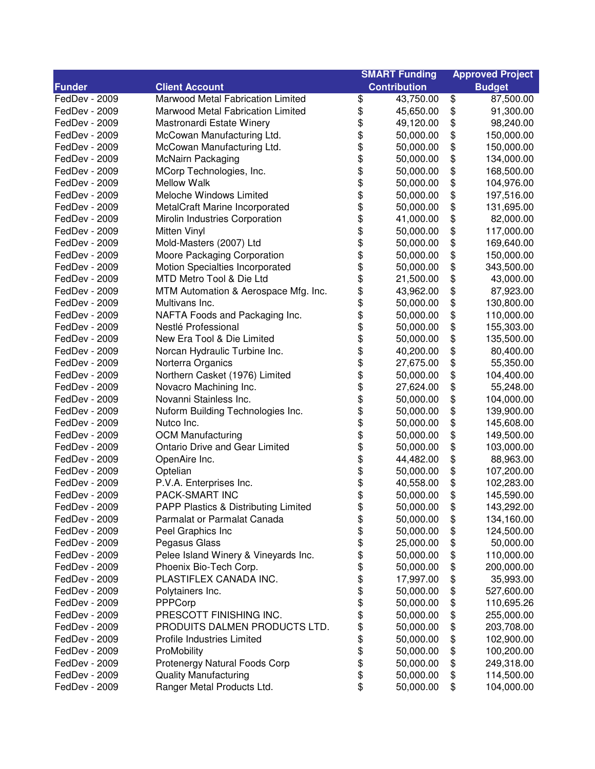| <b>Contribution</b><br><b>Funder</b><br><b>Client Account</b><br><b>Budget</b><br>\$<br>\$<br>FedDev - 2009<br>Marwood Metal Fabrication Limited<br>43,750.00<br>87,500.00<br>\$<br>\$<br>FedDev - 2009<br>Marwood Metal Fabrication Limited<br>91,300.00<br>45,650.00<br>\$<br>\$<br>FedDev - 2009<br>Mastronardi Estate Winery<br>49,120.00<br>98,240.00<br>\$<br>\$<br>FedDev - 2009<br>McCowan Manufacturing Ltd.<br>50,000.00<br>150,000.00<br>\$<br>\$<br>FedDev - 2009<br>McCowan Manufacturing Ltd.<br>50,000.00<br>150,000.00<br>\$<br>\$<br>FedDev - 2009<br><b>McNairn Packaging</b><br>50,000.00<br>134,000.00<br>\$<br>\$<br>\$<br>FedDev - 2009<br>MCorp Technologies, Inc.<br>50,000.00<br>168,500.00<br>\$<br>FedDev - 2009<br>Mellow Walk<br>50,000.00<br>104,976.00<br>\$<br>\$<br>FedDev - 2009<br>Meloche Windows Limited<br>50,000.00<br>197,516.00<br>\$<br>\$<br>FedDev - 2009<br>MetalCraft Marine Incorporated<br>50,000.00<br>131,695.00<br>\$<br>\$<br>\$<br>Mirolin Industries Corporation<br>41,000.00<br>82,000.00<br>FedDev - 2009<br><b>Mitten Vinyl</b><br>50,000.00<br>\$<br>117,000.00<br>FedDev - 2009<br>\$<br>Mold-Masters (2007) Ltd<br>\$<br>50,000.00<br>169,640.00<br>FedDev - 2009<br>\$<br>\$<br>Moore Packaging Corporation<br>FedDev - 2009<br>50,000.00<br>150,000.00<br>\$<br>\$<br>Motion Specialties Incorporated<br>343,500.00<br>FedDev - 2009<br>50,000.00<br>\$<br>\$<br>MTD Metro Tool & Die Ltd<br>21,500.00<br>43,000.00<br>FedDev - 2009<br>\$<br>\$<br>FedDev - 2009<br>MTM Automation & Aerospace Mfg. Inc.<br>43,962.00<br>87,923.00<br>\$<br>\$<br>FedDev - 2009<br>Multivans Inc.<br>50,000.00<br>130,800.00<br>\$<br>\$<br>FedDev - 2009<br>NAFTA Foods and Packaging Inc.<br>50,000.00<br>110,000.00<br>\$<br>\$<br>FedDev - 2009<br>Nestlé Professional<br>50,000.00<br>155,303.00<br>\$<br>\$<br>New Era Tool & Die Limited<br>FedDev - 2009<br>50,000.00<br>135,500.00<br>\$<br>\$<br>Norcan Hydraulic Turbine Inc.<br>80,400.00<br>FedDev - 2009<br>40,200.00<br>\$<br>\$<br>FedDev - 2009<br>Norterra Organics<br>55,350.00<br>27,675.00<br>\$<br>\$<br>Northern Casket (1976) Limited<br>FedDev - 2009<br>50,000.00<br>104,400.00<br>\$<br>\$<br>FedDev - 2009<br>Novacro Machining Inc.<br>27,624.00<br>55,248.00<br>\$<br>\$<br>Novanni Stainless Inc.<br>FedDev - 2009<br>104,000.00<br>50,000.00<br>\$<br>\$<br>FedDev - 2009<br>Nuform Building Technologies Inc.<br>50,000.00<br>139,900.00<br>\$<br>\$<br>\$<br>Nutco Inc.<br>50,000.00<br>145,608.00<br>FedDev - 2009<br><b>OCM Manufacturing</b><br>\$<br>50,000.00<br>149,500.00<br>FedDev - 2009<br>\$<br><b>Ontario Drive and Gear Limited</b><br>\$<br>103,000.00<br>FedDev - 2009<br>50,000.00<br>\$<br>\$<br>OpenAire Inc.<br>44,482.00<br>88,963.00<br>FedDev - 2009<br>\$<br>\$<br>Optelian<br>107,200.00<br>FedDev - 2009<br>50,000.00<br>\$<br>\$<br>P.V.A. Enterprises Inc.<br>40,558.00<br>102,283.00<br>FedDev - 2009<br>\$<br>\$<br>FedDev - 2009<br>PACK-SMART INC<br>50,000.00<br>145,590.00<br>PAPP Plastics & Distributing Limited<br>\$<br>50,000.00<br>FedDev - 2009<br>\$<br>143,292.00<br>\$<br>\$<br>FedDev - 2009<br>Parmalat or Parmalat Canada<br>50,000.00<br>134,160.00<br>\$<br>FedDev - 2009<br>Peel Graphics Inc<br>\$<br>50,000.00<br>124,500.00<br>\$<br>\$<br>Pegasus Glass<br>50,000.00<br>FedDev - 2009<br>25,000.00<br>\$<br>\$<br>Pelee Island Winery & Vineyards Inc.<br>110,000.00<br>FedDev - 2009<br>50,000.00<br>\$<br>\$<br>Phoenix Bio-Tech Corp.<br>FedDev - 2009<br>50,000.00<br>200,000.00<br>\$<br>\$<br>FedDev - 2009<br>PLASTIFLEX CANADA INC.<br>17,997.00<br>35,993.00<br>\$<br>\$<br>FedDev - 2009<br>527,600.00<br>Polytainers Inc.<br>50,000.00<br>\$<br>\$<br>FedDev - 2009<br>PPPCorp<br>50,000.00<br>110,695.26<br>\$<br>PRESCOTT FINISHING INC.<br>50,000.00<br>\$<br>255,000.00<br>FedDev - 2009<br>\$<br>PRODUITS DALMEN PRODUCTS LTD.<br>50,000.00<br>\$<br>203,708.00<br>FedDev - 2009<br>\$<br>\$<br>FedDev - 2009<br>Profile Industries Limited<br>50,000.00<br>102,900.00<br>\$<br>ProMobility<br>\$<br>FedDev - 2009<br>50,000.00<br>100,200.00<br>\$<br>Protenergy Natural Foods Corp<br>\$<br>FedDev - 2009<br>50,000.00<br>249,318.00<br>\$<br>FedDev - 2009<br><b>Quality Manufacturing</b><br>50,000.00<br>\$<br>114,500.00<br>\$<br>Ranger Metal Products Ltd.<br>\$<br>FedDev - 2009<br>50,000.00<br>104,000.00 |  | <b>SMART Funding</b> |  | <b>Approved Project</b> |  |
|----------------------------------------------------------------------------------------------------------------------------------------------------------------------------------------------------------------------------------------------------------------------------------------------------------------------------------------------------------------------------------------------------------------------------------------------------------------------------------------------------------------------------------------------------------------------------------------------------------------------------------------------------------------------------------------------------------------------------------------------------------------------------------------------------------------------------------------------------------------------------------------------------------------------------------------------------------------------------------------------------------------------------------------------------------------------------------------------------------------------------------------------------------------------------------------------------------------------------------------------------------------------------------------------------------------------------------------------------------------------------------------------------------------------------------------------------------------------------------------------------------------------------------------------------------------------------------------------------------------------------------------------------------------------------------------------------------------------------------------------------------------------------------------------------------------------------------------------------------------------------------------------------------------------------------------------------------------------------------------------------------------------------------------------------------------------------------------------------------------------------------------------------------------------------------------------------------------------------------------------------------------------------------------------------------------------------------------------------------------------------------------------------------------------------------------------------------------------------------------------------------------------------------------------------------------------------------------------------------------------------------------------------------------------------------------------------------------------------------------------------------------------------------------------------------------------------------------------------------------------------------------------------------------------------------------------------------------------------------------------------------------------------------------------------------------------------------------------------------------------------------------------------------------------------------------------------------------------------------------------------------------------------------------------------------------------------------------------------------------------------------------------------------------------------------------------------------------------------------------------------------------------------------------------------------------------------------------------------------------------------------------------------------------------------------------------------------------------------------------------------------------------------------------------------------------------------------------------------------------------------------------------------------------------------------------------------------------------------------------------------------------------------------------------------------------------------------------------------------------------------------------------------------------------------------------------------------------------------------------------------------------------------------------------------------------------------------------------------------------------------------------------------------------------------|--|----------------------|--|-------------------------|--|
|                                                                                                                                                                                                                                                                                                                                                                                                                                                                                                                                                                                                                                                                                                                                                                                                                                                                                                                                                                                                                                                                                                                                                                                                                                                                                                                                                                                                                                                                                                                                                                                                                                                                                                                                                                                                                                                                                                                                                                                                                                                                                                                                                                                                                                                                                                                                                                                                                                                                                                                                                                                                                                                                                                                                                                                                                                                                                                                                                                                                                                                                                                                                                                                                                                                                                                                                                                                                                                                                                                                                                                                                                                                                                                                                                                                                                                                                                                                                                                                                                                                                                                                                                                                                                                                                                                                                                                                                                            |  |                      |  |                         |  |
|                                                                                                                                                                                                                                                                                                                                                                                                                                                                                                                                                                                                                                                                                                                                                                                                                                                                                                                                                                                                                                                                                                                                                                                                                                                                                                                                                                                                                                                                                                                                                                                                                                                                                                                                                                                                                                                                                                                                                                                                                                                                                                                                                                                                                                                                                                                                                                                                                                                                                                                                                                                                                                                                                                                                                                                                                                                                                                                                                                                                                                                                                                                                                                                                                                                                                                                                                                                                                                                                                                                                                                                                                                                                                                                                                                                                                                                                                                                                                                                                                                                                                                                                                                                                                                                                                                                                                                                                                            |  |                      |  |                         |  |
|                                                                                                                                                                                                                                                                                                                                                                                                                                                                                                                                                                                                                                                                                                                                                                                                                                                                                                                                                                                                                                                                                                                                                                                                                                                                                                                                                                                                                                                                                                                                                                                                                                                                                                                                                                                                                                                                                                                                                                                                                                                                                                                                                                                                                                                                                                                                                                                                                                                                                                                                                                                                                                                                                                                                                                                                                                                                                                                                                                                                                                                                                                                                                                                                                                                                                                                                                                                                                                                                                                                                                                                                                                                                                                                                                                                                                                                                                                                                                                                                                                                                                                                                                                                                                                                                                                                                                                                                                            |  |                      |  |                         |  |
|                                                                                                                                                                                                                                                                                                                                                                                                                                                                                                                                                                                                                                                                                                                                                                                                                                                                                                                                                                                                                                                                                                                                                                                                                                                                                                                                                                                                                                                                                                                                                                                                                                                                                                                                                                                                                                                                                                                                                                                                                                                                                                                                                                                                                                                                                                                                                                                                                                                                                                                                                                                                                                                                                                                                                                                                                                                                                                                                                                                                                                                                                                                                                                                                                                                                                                                                                                                                                                                                                                                                                                                                                                                                                                                                                                                                                                                                                                                                                                                                                                                                                                                                                                                                                                                                                                                                                                                                                            |  |                      |  |                         |  |
|                                                                                                                                                                                                                                                                                                                                                                                                                                                                                                                                                                                                                                                                                                                                                                                                                                                                                                                                                                                                                                                                                                                                                                                                                                                                                                                                                                                                                                                                                                                                                                                                                                                                                                                                                                                                                                                                                                                                                                                                                                                                                                                                                                                                                                                                                                                                                                                                                                                                                                                                                                                                                                                                                                                                                                                                                                                                                                                                                                                                                                                                                                                                                                                                                                                                                                                                                                                                                                                                                                                                                                                                                                                                                                                                                                                                                                                                                                                                                                                                                                                                                                                                                                                                                                                                                                                                                                                                                            |  |                      |  |                         |  |
|                                                                                                                                                                                                                                                                                                                                                                                                                                                                                                                                                                                                                                                                                                                                                                                                                                                                                                                                                                                                                                                                                                                                                                                                                                                                                                                                                                                                                                                                                                                                                                                                                                                                                                                                                                                                                                                                                                                                                                                                                                                                                                                                                                                                                                                                                                                                                                                                                                                                                                                                                                                                                                                                                                                                                                                                                                                                                                                                                                                                                                                                                                                                                                                                                                                                                                                                                                                                                                                                                                                                                                                                                                                                                                                                                                                                                                                                                                                                                                                                                                                                                                                                                                                                                                                                                                                                                                                                                            |  |                      |  |                         |  |
|                                                                                                                                                                                                                                                                                                                                                                                                                                                                                                                                                                                                                                                                                                                                                                                                                                                                                                                                                                                                                                                                                                                                                                                                                                                                                                                                                                                                                                                                                                                                                                                                                                                                                                                                                                                                                                                                                                                                                                                                                                                                                                                                                                                                                                                                                                                                                                                                                                                                                                                                                                                                                                                                                                                                                                                                                                                                                                                                                                                                                                                                                                                                                                                                                                                                                                                                                                                                                                                                                                                                                                                                                                                                                                                                                                                                                                                                                                                                                                                                                                                                                                                                                                                                                                                                                                                                                                                                                            |  |                      |  |                         |  |
|                                                                                                                                                                                                                                                                                                                                                                                                                                                                                                                                                                                                                                                                                                                                                                                                                                                                                                                                                                                                                                                                                                                                                                                                                                                                                                                                                                                                                                                                                                                                                                                                                                                                                                                                                                                                                                                                                                                                                                                                                                                                                                                                                                                                                                                                                                                                                                                                                                                                                                                                                                                                                                                                                                                                                                                                                                                                                                                                                                                                                                                                                                                                                                                                                                                                                                                                                                                                                                                                                                                                                                                                                                                                                                                                                                                                                                                                                                                                                                                                                                                                                                                                                                                                                                                                                                                                                                                                                            |  |                      |  |                         |  |
|                                                                                                                                                                                                                                                                                                                                                                                                                                                                                                                                                                                                                                                                                                                                                                                                                                                                                                                                                                                                                                                                                                                                                                                                                                                                                                                                                                                                                                                                                                                                                                                                                                                                                                                                                                                                                                                                                                                                                                                                                                                                                                                                                                                                                                                                                                                                                                                                                                                                                                                                                                                                                                                                                                                                                                                                                                                                                                                                                                                                                                                                                                                                                                                                                                                                                                                                                                                                                                                                                                                                                                                                                                                                                                                                                                                                                                                                                                                                                                                                                                                                                                                                                                                                                                                                                                                                                                                                                            |  |                      |  |                         |  |
|                                                                                                                                                                                                                                                                                                                                                                                                                                                                                                                                                                                                                                                                                                                                                                                                                                                                                                                                                                                                                                                                                                                                                                                                                                                                                                                                                                                                                                                                                                                                                                                                                                                                                                                                                                                                                                                                                                                                                                                                                                                                                                                                                                                                                                                                                                                                                                                                                                                                                                                                                                                                                                                                                                                                                                                                                                                                                                                                                                                                                                                                                                                                                                                                                                                                                                                                                                                                                                                                                                                                                                                                                                                                                                                                                                                                                                                                                                                                                                                                                                                                                                                                                                                                                                                                                                                                                                                                                            |  |                      |  |                         |  |
|                                                                                                                                                                                                                                                                                                                                                                                                                                                                                                                                                                                                                                                                                                                                                                                                                                                                                                                                                                                                                                                                                                                                                                                                                                                                                                                                                                                                                                                                                                                                                                                                                                                                                                                                                                                                                                                                                                                                                                                                                                                                                                                                                                                                                                                                                                                                                                                                                                                                                                                                                                                                                                                                                                                                                                                                                                                                                                                                                                                                                                                                                                                                                                                                                                                                                                                                                                                                                                                                                                                                                                                                                                                                                                                                                                                                                                                                                                                                                                                                                                                                                                                                                                                                                                                                                                                                                                                                                            |  |                      |  |                         |  |
|                                                                                                                                                                                                                                                                                                                                                                                                                                                                                                                                                                                                                                                                                                                                                                                                                                                                                                                                                                                                                                                                                                                                                                                                                                                                                                                                                                                                                                                                                                                                                                                                                                                                                                                                                                                                                                                                                                                                                                                                                                                                                                                                                                                                                                                                                                                                                                                                                                                                                                                                                                                                                                                                                                                                                                                                                                                                                                                                                                                                                                                                                                                                                                                                                                                                                                                                                                                                                                                                                                                                                                                                                                                                                                                                                                                                                                                                                                                                                                                                                                                                                                                                                                                                                                                                                                                                                                                                                            |  |                      |  |                         |  |
|                                                                                                                                                                                                                                                                                                                                                                                                                                                                                                                                                                                                                                                                                                                                                                                                                                                                                                                                                                                                                                                                                                                                                                                                                                                                                                                                                                                                                                                                                                                                                                                                                                                                                                                                                                                                                                                                                                                                                                                                                                                                                                                                                                                                                                                                                                                                                                                                                                                                                                                                                                                                                                                                                                                                                                                                                                                                                                                                                                                                                                                                                                                                                                                                                                                                                                                                                                                                                                                                                                                                                                                                                                                                                                                                                                                                                                                                                                                                                                                                                                                                                                                                                                                                                                                                                                                                                                                                                            |  |                      |  |                         |  |
|                                                                                                                                                                                                                                                                                                                                                                                                                                                                                                                                                                                                                                                                                                                                                                                                                                                                                                                                                                                                                                                                                                                                                                                                                                                                                                                                                                                                                                                                                                                                                                                                                                                                                                                                                                                                                                                                                                                                                                                                                                                                                                                                                                                                                                                                                                                                                                                                                                                                                                                                                                                                                                                                                                                                                                                                                                                                                                                                                                                                                                                                                                                                                                                                                                                                                                                                                                                                                                                                                                                                                                                                                                                                                                                                                                                                                                                                                                                                                                                                                                                                                                                                                                                                                                                                                                                                                                                                                            |  |                      |  |                         |  |
|                                                                                                                                                                                                                                                                                                                                                                                                                                                                                                                                                                                                                                                                                                                                                                                                                                                                                                                                                                                                                                                                                                                                                                                                                                                                                                                                                                                                                                                                                                                                                                                                                                                                                                                                                                                                                                                                                                                                                                                                                                                                                                                                                                                                                                                                                                                                                                                                                                                                                                                                                                                                                                                                                                                                                                                                                                                                                                                                                                                                                                                                                                                                                                                                                                                                                                                                                                                                                                                                                                                                                                                                                                                                                                                                                                                                                                                                                                                                                                                                                                                                                                                                                                                                                                                                                                                                                                                                                            |  |                      |  |                         |  |
|                                                                                                                                                                                                                                                                                                                                                                                                                                                                                                                                                                                                                                                                                                                                                                                                                                                                                                                                                                                                                                                                                                                                                                                                                                                                                                                                                                                                                                                                                                                                                                                                                                                                                                                                                                                                                                                                                                                                                                                                                                                                                                                                                                                                                                                                                                                                                                                                                                                                                                                                                                                                                                                                                                                                                                                                                                                                                                                                                                                                                                                                                                                                                                                                                                                                                                                                                                                                                                                                                                                                                                                                                                                                                                                                                                                                                                                                                                                                                                                                                                                                                                                                                                                                                                                                                                                                                                                                                            |  |                      |  |                         |  |
|                                                                                                                                                                                                                                                                                                                                                                                                                                                                                                                                                                                                                                                                                                                                                                                                                                                                                                                                                                                                                                                                                                                                                                                                                                                                                                                                                                                                                                                                                                                                                                                                                                                                                                                                                                                                                                                                                                                                                                                                                                                                                                                                                                                                                                                                                                                                                                                                                                                                                                                                                                                                                                                                                                                                                                                                                                                                                                                                                                                                                                                                                                                                                                                                                                                                                                                                                                                                                                                                                                                                                                                                                                                                                                                                                                                                                                                                                                                                                                                                                                                                                                                                                                                                                                                                                                                                                                                                                            |  |                      |  |                         |  |
|                                                                                                                                                                                                                                                                                                                                                                                                                                                                                                                                                                                                                                                                                                                                                                                                                                                                                                                                                                                                                                                                                                                                                                                                                                                                                                                                                                                                                                                                                                                                                                                                                                                                                                                                                                                                                                                                                                                                                                                                                                                                                                                                                                                                                                                                                                                                                                                                                                                                                                                                                                                                                                                                                                                                                                                                                                                                                                                                                                                                                                                                                                                                                                                                                                                                                                                                                                                                                                                                                                                                                                                                                                                                                                                                                                                                                                                                                                                                                                                                                                                                                                                                                                                                                                                                                                                                                                                                                            |  |                      |  |                         |  |
|                                                                                                                                                                                                                                                                                                                                                                                                                                                                                                                                                                                                                                                                                                                                                                                                                                                                                                                                                                                                                                                                                                                                                                                                                                                                                                                                                                                                                                                                                                                                                                                                                                                                                                                                                                                                                                                                                                                                                                                                                                                                                                                                                                                                                                                                                                                                                                                                                                                                                                                                                                                                                                                                                                                                                                                                                                                                                                                                                                                                                                                                                                                                                                                                                                                                                                                                                                                                                                                                                                                                                                                                                                                                                                                                                                                                                                                                                                                                                                                                                                                                                                                                                                                                                                                                                                                                                                                                                            |  |                      |  |                         |  |
|                                                                                                                                                                                                                                                                                                                                                                                                                                                                                                                                                                                                                                                                                                                                                                                                                                                                                                                                                                                                                                                                                                                                                                                                                                                                                                                                                                                                                                                                                                                                                                                                                                                                                                                                                                                                                                                                                                                                                                                                                                                                                                                                                                                                                                                                                                                                                                                                                                                                                                                                                                                                                                                                                                                                                                                                                                                                                                                                                                                                                                                                                                                                                                                                                                                                                                                                                                                                                                                                                                                                                                                                                                                                                                                                                                                                                                                                                                                                                                                                                                                                                                                                                                                                                                                                                                                                                                                                                            |  |                      |  |                         |  |
|                                                                                                                                                                                                                                                                                                                                                                                                                                                                                                                                                                                                                                                                                                                                                                                                                                                                                                                                                                                                                                                                                                                                                                                                                                                                                                                                                                                                                                                                                                                                                                                                                                                                                                                                                                                                                                                                                                                                                                                                                                                                                                                                                                                                                                                                                                                                                                                                                                                                                                                                                                                                                                                                                                                                                                                                                                                                                                                                                                                                                                                                                                                                                                                                                                                                                                                                                                                                                                                                                                                                                                                                                                                                                                                                                                                                                                                                                                                                                                                                                                                                                                                                                                                                                                                                                                                                                                                                                            |  |                      |  |                         |  |
|                                                                                                                                                                                                                                                                                                                                                                                                                                                                                                                                                                                                                                                                                                                                                                                                                                                                                                                                                                                                                                                                                                                                                                                                                                                                                                                                                                                                                                                                                                                                                                                                                                                                                                                                                                                                                                                                                                                                                                                                                                                                                                                                                                                                                                                                                                                                                                                                                                                                                                                                                                                                                                                                                                                                                                                                                                                                                                                                                                                                                                                                                                                                                                                                                                                                                                                                                                                                                                                                                                                                                                                                                                                                                                                                                                                                                                                                                                                                                                                                                                                                                                                                                                                                                                                                                                                                                                                                                            |  |                      |  |                         |  |
|                                                                                                                                                                                                                                                                                                                                                                                                                                                                                                                                                                                                                                                                                                                                                                                                                                                                                                                                                                                                                                                                                                                                                                                                                                                                                                                                                                                                                                                                                                                                                                                                                                                                                                                                                                                                                                                                                                                                                                                                                                                                                                                                                                                                                                                                                                                                                                                                                                                                                                                                                                                                                                                                                                                                                                                                                                                                                                                                                                                                                                                                                                                                                                                                                                                                                                                                                                                                                                                                                                                                                                                                                                                                                                                                                                                                                                                                                                                                                                                                                                                                                                                                                                                                                                                                                                                                                                                                                            |  |                      |  |                         |  |
|                                                                                                                                                                                                                                                                                                                                                                                                                                                                                                                                                                                                                                                                                                                                                                                                                                                                                                                                                                                                                                                                                                                                                                                                                                                                                                                                                                                                                                                                                                                                                                                                                                                                                                                                                                                                                                                                                                                                                                                                                                                                                                                                                                                                                                                                                                                                                                                                                                                                                                                                                                                                                                                                                                                                                                                                                                                                                                                                                                                                                                                                                                                                                                                                                                                                                                                                                                                                                                                                                                                                                                                                                                                                                                                                                                                                                                                                                                                                                                                                                                                                                                                                                                                                                                                                                                                                                                                                                            |  |                      |  |                         |  |
|                                                                                                                                                                                                                                                                                                                                                                                                                                                                                                                                                                                                                                                                                                                                                                                                                                                                                                                                                                                                                                                                                                                                                                                                                                                                                                                                                                                                                                                                                                                                                                                                                                                                                                                                                                                                                                                                                                                                                                                                                                                                                                                                                                                                                                                                                                                                                                                                                                                                                                                                                                                                                                                                                                                                                                                                                                                                                                                                                                                                                                                                                                                                                                                                                                                                                                                                                                                                                                                                                                                                                                                                                                                                                                                                                                                                                                                                                                                                                                                                                                                                                                                                                                                                                                                                                                                                                                                                                            |  |                      |  |                         |  |
|                                                                                                                                                                                                                                                                                                                                                                                                                                                                                                                                                                                                                                                                                                                                                                                                                                                                                                                                                                                                                                                                                                                                                                                                                                                                                                                                                                                                                                                                                                                                                                                                                                                                                                                                                                                                                                                                                                                                                                                                                                                                                                                                                                                                                                                                                                                                                                                                                                                                                                                                                                                                                                                                                                                                                                                                                                                                                                                                                                                                                                                                                                                                                                                                                                                                                                                                                                                                                                                                                                                                                                                                                                                                                                                                                                                                                                                                                                                                                                                                                                                                                                                                                                                                                                                                                                                                                                                                                            |  |                      |  |                         |  |
|                                                                                                                                                                                                                                                                                                                                                                                                                                                                                                                                                                                                                                                                                                                                                                                                                                                                                                                                                                                                                                                                                                                                                                                                                                                                                                                                                                                                                                                                                                                                                                                                                                                                                                                                                                                                                                                                                                                                                                                                                                                                                                                                                                                                                                                                                                                                                                                                                                                                                                                                                                                                                                                                                                                                                                                                                                                                                                                                                                                                                                                                                                                                                                                                                                                                                                                                                                                                                                                                                                                                                                                                                                                                                                                                                                                                                                                                                                                                                                                                                                                                                                                                                                                                                                                                                                                                                                                                                            |  |                      |  |                         |  |
|                                                                                                                                                                                                                                                                                                                                                                                                                                                                                                                                                                                                                                                                                                                                                                                                                                                                                                                                                                                                                                                                                                                                                                                                                                                                                                                                                                                                                                                                                                                                                                                                                                                                                                                                                                                                                                                                                                                                                                                                                                                                                                                                                                                                                                                                                                                                                                                                                                                                                                                                                                                                                                                                                                                                                                                                                                                                                                                                                                                                                                                                                                                                                                                                                                                                                                                                                                                                                                                                                                                                                                                                                                                                                                                                                                                                                                                                                                                                                                                                                                                                                                                                                                                                                                                                                                                                                                                                                            |  |                      |  |                         |  |
|                                                                                                                                                                                                                                                                                                                                                                                                                                                                                                                                                                                                                                                                                                                                                                                                                                                                                                                                                                                                                                                                                                                                                                                                                                                                                                                                                                                                                                                                                                                                                                                                                                                                                                                                                                                                                                                                                                                                                                                                                                                                                                                                                                                                                                                                                                                                                                                                                                                                                                                                                                                                                                                                                                                                                                                                                                                                                                                                                                                                                                                                                                                                                                                                                                                                                                                                                                                                                                                                                                                                                                                                                                                                                                                                                                                                                                                                                                                                                                                                                                                                                                                                                                                                                                                                                                                                                                                                                            |  |                      |  |                         |  |
|                                                                                                                                                                                                                                                                                                                                                                                                                                                                                                                                                                                                                                                                                                                                                                                                                                                                                                                                                                                                                                                                                                                                                                                                                                                                                                                                                                                                                                                                                                                                                                                                                                                                                                                                                                                                                                                                                                                                                                                                                                                                                                                                                                                                                                                                                                                                                                                                                                                                                                                                                                                                                                                                                                                                                                                                                                                                                                                                                                                                                                                                                                                                                                                                                                                                                                                                                                                                                                                                                                                                                                                                                                                                                                                                                                                                                                                                                                                                                                                                                                                                                                                                                                                                                                                                                                                                                                                                                            |  |                      |  |                         |  |
|                                                                                                                                                                                                                                                                                                                                                                                                                                                                                                                                                                                                                                                                                                                                                                                                                                                                                                                                                                                                                                                                                                                                                                                                                                                                                                                                                                                                                                                                                                                                                                                                                                                                                                                                                                                                                                                                                                                                                                                                                                                                                                                                                                                                                                                                                                                                                                                                                                                                                                                                                                                                                                                                                                                                                                                                                                                                                                                                                                                                                                                                                                                                                                                                                                                                                                                                                                                                                                                                                                                                                                                                                                                                                                                                                                                                                                                                                                                                                                                                                                                                                                                                                                                                                                                                                                                                                                                                                            |  |                      |  |                         |  |
|                                                                                                                                                                                                                                                                                                                                                                                                                                                                                                                                                                                                                                                                                                                                                                                                                                                                                                                                                                                                                                                                                                                                                                                                                                                                                                                                                                                                                                                                                                                                                                                                                                                                                                                                                                                                                                                                                                                                                                                                                                                                                                                                                                                                                                                                                                                                                                                                                                                                                                                                                                                                                                                                                                                                                                                                                                                                                                                                                                                                                                                                                                                                                                                                                                                                                                                                                                                                                                                                                                                                                                                                                                                                                                                                                                                                                                                                                                                                                                                                                                                                                                                                                                                                                                                                                                                                                                                                                            |  |                      |  |                         |  |
|                                                                                                                                                                                                                                                                                                                                                                                                                                                                                                                                                                                                                                                                                                                                                                                                                                                                                                                                                                                                                                                                                                                                                                                                                                                                                                                                                                                                                                                                                                                                                                                                                                                                                                                                                                                                                                                                                                                                                                                                                                                                                                                                                                                                                                                                                                                                                                                                                                                                                                                                                                                                                                                                                                                                                                                                                                                                                                                                                                                                                                                                                                                                                                                                                                                                                                                                                                                                                                                                                                                                                                                                                                                                                                                                                                                                                                                                                                                                                                                                                                                                                                                                                                                                                                                                                                                                                                                                                            |  |                      |  |                         |  |
|                                                                                                                                                                                                                                                                                                                                                                                                                                                                                                                                                                                                                                                                                                                                                                                                                                                                                                                                                                                                                                                                                                                                                                                                                                                                                                                                                                                                                                                                                                                                                                                                                                                                                                                                                                                                                                                                                                                                                                                                                                                                                                                                                                                                                                                                                                                                                                                                                                                                                                                                                                                                                                                                                                                                                                                                                                                                                                                                                                                                                                                                                                                                                                                                                                                                                                                                                                                                                                                                                                                                                                                                                                                                                                                                                                                                                                                                                                                                                                                                                                                                                                                                                                                                                                                                                                                                                                                                                            |  |                      |  |                         |  |
|                                                                                                                                                                                                                                                                                                                                                                                                                                                                                                                                                                                                                                                                                                                                                                                                                                                                                                                                                                                                                                                                                                                                                                                                                                                                                                                                                                                                                                                                                                                                                                                                                                                                                                                                                                                                                                                                                                                                                                                                                                                                                                                                                                                                                                                                                                                                                                                                                                                                                                                                                                                                                                                                                                                                                                                                                                                                                                                                                                                                                                                                                                                                                                                                                                                                                                                                                                                                                                                                                                                                                                                                                                                                                                                                                                                                                                                                                                                                                                                                                                                                                                                                                                                                                                                                                                                                                                                                                            |  |                      |  |                         |  |
|                                                                                                                                                                                                                                                                                                                                                                                                                                                                                                                                                                                                                                                                                                                                                                                                                                                                                                                                                                                                                                                                                                                                                                                                                                                                                                                                                                                                                                                                                                                                                                                                                                                                                                                                                                                                                                                                                                                                                                                                                                                                                                                                                                                                                                                                                                                                                                                                                                                                                                                                                                                                                                                                                                                                                                                                                                                                                                                                                                                                                                                                                                                                                                                                                                                                                                                                                                                                                                                                                                                                                                                                                                                                                                                                                                                                                                                                                                                                                                                                                                                                                                                                                                                                                                                                                                                                                                                                                            |  |                      |  |                         |  |
|                                                                                                                                                                                                                                                                                                                                                                                                                                                                                                                                                                                                                                                                                                                                                                                                                                                                                                                                                                                                                                                                                                                                                                                                                                                                                                                                                                                                                                                                                                                                                                                                                                                                                                                                                                                                                                                                                                                                                                                                                                                                                                                                                                                                                                                                                                                                                                                                                                                                                                                                                                                                                                                                                                                                                                                                                                                                                                                                                                                                                                                                                                                                                                                                                                                                                                                                                                                                                                                                                                                                                                                                                                                                                                                                                                                                                                                                                                                                                                                                                                                                                                                                                                                                                                                                                                                                                                                                                            |  |                      |  |                         |  |
|                                                                                                                                                                                                                                                                                                                                                                                                                                                                                                                                                                                                                                                                                                                                                                                                                                                                                                                                                                                                                                                                                                                                                                                                                                                                                                                                                                                                                                                                                                                                                                                                                                                                                                                                                                                                                                                                                                                                                                                                                                                                                                                                                                                                                                                                                                                                                                                                                                                                                                                                                                                                                                                                                                                                                                                                                                                                                                                                                                                                                                                                                                                                                                                                                                                                                                                                                                                                                                                                                                                                                                                                                                                                                                                                                                                                                                                                                                                                                                                                                                                                                                                                                                                                                                                                                                                                                                                                                            |  |                      |  |                         |  |
|                                                                                                                                                                                                                                                                                                                                                                                                                                                                                                                                                                                                                                                                                                                                                                                                                                                                                                                                                                                                                                                                                                                                                                                                                                                                                                                                                                                                                                                                                                                                                                                                                                                                                                                                                                                                                                                                                                                                                                                                                                                                                                                                                                                                                                                                                                                                                                                                                                                                                                                                                                                                                                                                                                                                                                                                                                                                                                                                                                                                                                                                                                                                                                                                                                                                                                                                                                                                                                                                                                                                                                                                                                                                                                                                                                                                                                                                                                                                                                                                                                                                                                                                                                                                                                                                                                                                                                                                                            |  |                      |  |                         |  |
|                                                                                                                                                                                                                                                                                                                                                                                                                                                                                                                                                                                                                                                                                                                                                                                                                                                                                                                                                                                                                                                                                                                                                                                                                                                                                                                                                                                                                                                                                                                                                                                                                                                                                                                                                                                                                                                                                                                                                                                                                                                                                                                                                                                                                                                                                                                                                                                                                                                                                                                                                                                                                                                                                                                                                                                                                                                                                                                                                                                                                                                                                                                                                                                                                                                                                                                                                                                                                                                                                                                                                                                                                                                                                                                                                                                                                                                                                                                                                                                                                                                                                                                                                                                                                                                                                                                                                                                                                            |  |                      |  |                         |  |
|                                                                                                                                                                                                                                                                                                                                                                                                                                                                                                                                                                                                                                                                                                                                                                                                                                                                                                                                                                                                                                                                                                                                                                                                                                                                                                                                                                                                                                                                                                                                                                                                                                                                                                                                                                                                                                                                                                                                                                                                                                                                                                                                                                                                                                                                                                                                                                                                                                                                                                                                                                                                                                                                                                                                                                                                                                                                                                                                                                                                                                                                                                                                                                                                                                                                                                                                                                                                                                                                                                                                                                                                                                                                                                                                                                                                                                                                                                                                                                                                                                                                                                                                                                                                                                                                                                                                                                                                                            |  |                      |  |                         |  |
|                                                                                                                                                                                                                                                                                                                                                                                                                                                                                                                                                                                                                                                                                                                                                                                                                                                                                                                                                                                                                                                                                                                                                                                                                                                                                                                                                                                                                                                                                                                                                                                                                                                                                                                                                                                                                                                                                                                                                                                                                                                                                                                                                                                                                                                                                                                                                                                                                                                                                                                                                                                                                                                                                                                                                                                                                                                                                                                                                                                                                                                                                                                                                                                                                                                                                                                                                                                                                                                                                                                                                                                                                                                                                                                                                                                                                                                                                                                                                                                                                                                                                                                                                                                                                                                                                                                                                                                                                            |  |                      |  |                         |  |
|                                                                                                                                                                                                                                                                                                                                                                                                                                                                                                                                                                                                                                                                                                                                                                                                                                                                                                                                                                                                                                                                                                                                                                                                                                                                                                                                                                                                                                                                                                                                                                                                                                                                                                                                                                                                                                                                                                                                                                                                                                                                                                                                                                                                                                                                                                                                                                                                                                                                                                                                                                                                                                                                                                                                                                                                                                                                                                                                                                                                                                                                                                                                                                                                                                                                                                                                                                                                                                                                                                                                                                                                                                                                                                                                                                                                                                                                                                                                                                                                                                                                                                                                                                                                                                                                                                                                                                                                                            |  |                      |  |                         |  |
|                                                                                                                                                                                                                                                                                                                                                                                                                                                                                                                                                                                                                                                                                                                                                                                                                                                                                                                                                                                                                                                                                                                                                                                                                                                                                                                                                                                                                                                                                                                                                                                                                                                                                                                                                                                                                                                                                                                                                                                                                                                                                                                                                                                                                                                                                                                                                                                                                                                                                                                                                                                                                                                                                                                                                                                                                                                                                                                                                                                                                                                                                                                                                                                                                                                                                                                                                                                                                                                                                                                                                                                                                                                                                                                                                                                                                                                                                                                                                                                                                                                                                                                                                                                                                                                                                                                                                                                                                            |  |                      |  |                         |  |
|                                                                                                                                                                                                                                                                                                                                                                                                                                                                                                                                                                                                                                                                                                                                                                                                                                                                                                                                                                                                                                                                                                                                                                                                                                                                                                                                                                                                                                                                                                                                                                                                                                                                                                                                                                                                                                                                                                                                                                                                                                                                                                                                                                                                                                                                                                                                                                                                                                                                                                                                                                                                                                                                                                                                                                                                                                                                                                                                                                                                                                                                                                                                                                                                                                                                                                                                                                                                                                                                                                                                                                                                                                                                                                                                                                                                                                                                                                                                                                                                                                                                                                                                                                                                                                                                                                                                                                                                                            |  |                      |  |                         |  |
|                                                                                                                                                                                                                                                                                                                                                                                                                                                                                                                                                                                                                                                                                                                                                                                                                                                                                                                                                                                                                                                                                                                                                                                                                                                                                                                                                                                                                                                                                                                                                                                                                                                                                                                                                                                                                                                                                                                                                                                                                                                                                                                                                                                                                                                                                                                                                                                                                                                                                                                                                                                                                                                                                                                                                                                                                                                                                                                                                                                                                                                                                                                                                                                                                                                                                                                                                                                                                                                                                                                                                                                                                                                                                                                                                                                                                                                                                                                                                                                                                                                                                                                                                                                                                                                                                                                                                                                                                            |  |                      |  |                         |  |
|                                                                                                                                                                                                                                                                                                                                                                                                                                                                                                                                                                                                                                                                                                                                                                                                                                                                                                                                                                                                                                                                                                                                                                                                                                                                                                                                                                                                                                                                                                                                                                                                                                                                                                                                                                                                                                                                                                                                                                                                                                                                                                                                                                                                                                                                                                                                                                                                                                                                                                                                                                                                                                                                                                                                                                                                                                                                                                                                                                                                                                                                                                                                                                                                                                                                                                                                                                                                                                                                                                                                                                                                                                                                                                                                                                                                                                                                                                                                                                                                                                                                                                                                                                                                                                                                                                                                                                                                                            |  |                      |  |                         |  |
|                                                                                                                                                                                                                                                                                                                                                                                                                                                                                                                                                                                                                                                                                                                                                                                                                                                                                                                                                                                                                                                                                                                                                                                                                                                                                                                                                                                                                                                                                                                                                                                                                                                                                                                                                                                                                                                                                                                                                                                                                                                                                                                                                                                                                                                                                                                                                                                                                                                                                                                                                                                                                                                                                                                                                                                                                                                                                                                                                                                                                                                                                                                                                                                                                                                                                                                                                                                                                                                                                                                                                                                                                                                                                                                                                                                                                                                                                                                                                                                                                                                                                                                                                                                                                                                                                                                                                                                                                            |  |                      |  |                         |  |
|                                                                                                                                                                                                                                                                                                                                                                                                                                                                                                                                                                                                                                                                                                                                                                                                                                                                                                                                                                                                                                                                                                                                                                                                                                                                                                                                                                                                                                                                                                                                                                                                                                                                                                                                                                                                                                                                                                                                                                                                                                                                                                                                                                                                                                                                                                                                                                                                                                                                                                                                                                                                                                                                                                                                                                                                                                                                                                                                                                                                                                                                                                                                                                                                                                                                                                                                                                                                                                                                                                                                                                                                                                                                                                                                                                                                                                                                                                                                                                                                                                                                                                                                                                                                                                                                                                                                                                                                                            |  |                      |  |                         |  |
|                                                                                                                                                                                                                                                                                                                                                                                                                                                                                                                                                                                                                                                                                                                                                                                                                                                                                                                                                                                                                                                                                                                                                                                                                                                                                                                                                                                                                                                                                                                                                                                                                                                                                                                                                                                                                                                                                                                                                                                                                                                                                                                                                                                                                                                                                                                                                                                                                                                                                                                                                                                                                                                                                                                                                                                                                                                                                                                                                                                                                                                                                                                                                                                                                                                                                                                                                                                                                                                                                                                                                                                                                                                                                                                                                                                                                                                                                                                                                                                                                                                                                                                                                                                                                                                                                                                                                                                                                            |  |                      |  |                         |  |
|                                                                                                                                                                                                                                                                                                                                                                                                                                                                                                                                                                                                                                                                                                                                                                                                                                                                                                                                                                                                                                                                                                                                                                                                                                                                                                                                                                                                                                                                                                                                                                                                                                                                                                                                                                                                                                                                                                                                                                                                                                                                                                                                                                                                                                                                                                                                                                                                                                                                                                                                                                                                                                                                                                                                                                                                                                                                                                                                                                                                                                                                                                                                                                                                                                                                                                                                                                                                                                                                                                                                                                                                                                                                                                                                                                                                                                                                                                                                                                                                                                                                                                                                                                                                                                                                                                                                                                                                                            |  |                      |  |                         |  |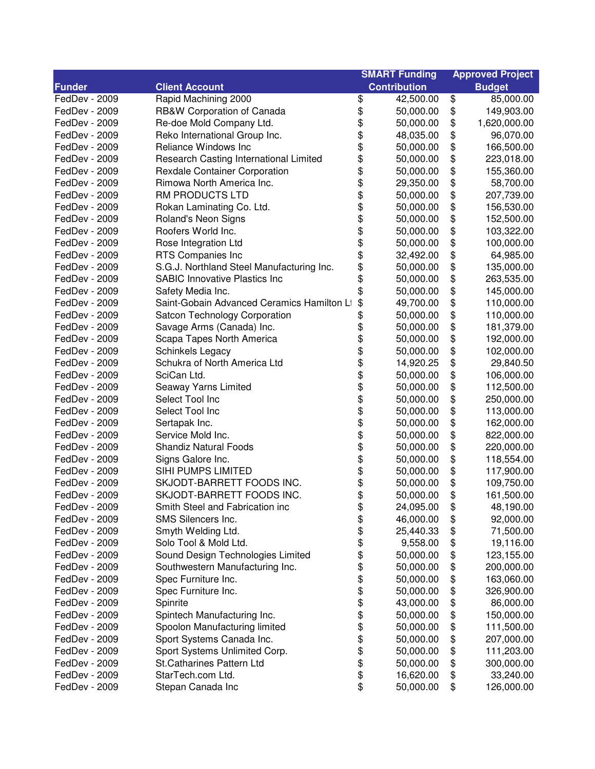|               |                                            |          | <b>SMART Funding</b> | <b>Approved Project</b> |
|---------------|--------------------------------------------|----------|----------------------|-------------------------|
| <b>Funder</b> | <b>Client Account</b>                      |          | <b>Contribution</b>  | <b>Budget</b>           |
| FedDev - 2009 | Rapid Machining 2000                       | \$       | 42,500.00            | \$<br>85,000.00         |
| FedDev - 2009 | RB&W Corporation of Canada                 | \$       | 50,000.00            | \$<br>149,903.00        |
| FedDev - 2009 | Re-doe Mold Company Ltd.                   | \$       | 50,000.00            | \$<br>1,620,000.00      |
| FedDev - 2009 | Reko International Group Inc.              | \$       | 48,035.00            | \$<br>96,070.00         |
| FedDev - 2009 | Reliance Windows Inc                       | \$       | 50,000.00            | \$<br>166,500.00        |
| FedDev - 2009 | Research Casting International Limited     | \$       | 50,000.00            | \$<br>223,018.00        |
| FedDev - 2009 | <b>Rexdale Container Corporation</b>       | \$       | 50,000.00            | \$<br>155,360.00        |
| FedDev - 2009 | Rimowa North America Inc.                  | \$       | 29,350.00            | \$<br>58,700.00         |
| FedDev - 2009 | RM PRODUCTS LTD                            | \$       | 50,000.00            | \$<br>207,739.00        |
| FedDev - 2009 | Rokan Laminating Co. Ltd.                  | \$       | 50,000.00            | \$<br>156,530.00        |
| FedDev - 2009 | Roland's Neon Signs                        | \$       | 50,000.00            | \$<br>152,500.00        |
| FedDev - 2009 | Roofers World Inc.                         | \$       | 50,000.00            | \$<br>103,322.00        |
| FedDev - 2009 | Rose Integration Ltd                       | \$       | 50,000.00            | \$<br>100,000.00        |
| FedDev - 2009 | RTS Companies Inc                          | \$       | 32,492.00            | \$<br>64,985.00         |
| FedDev - 2009 | S.G.J. Northland Steel Manufacturing Inc.  | \$       | 50,000.00            | \$<br>135,000.00        |
| FedDev - 2009 | <b>SABIC Innovative Plastics Inc</b>       | \$       | 50,000.00            | \$<br>263,535.00        |
| FedDev - 2009 | Safety Media Inc.                          | \$       | 50,000.00            | \$<br>145,000.00        |
| FedDev - 2009 | Saint-Gobain Advanced Ceramics Hamilton Li | \$       | 49,700.00            | \$<br>110,000.00        |
| FedDev - 2009 | Satcon Technology Corporation              | \$       | 50,000.00            | \$<br>110,000.00        |
| FedDev - 2009 | Savage Arms (Canada) Inc.                  | \$       | 50,000.00            | \$<br>181,379.00        |
| FedDev - 2009 | Scapa Tapes North America                  | \$       | 50,000.00            | \$<br>192,000.00        |
| FedDev - 2009 | Schinkels Legacy                           | \$       | 50,000.00            | \$<br>102,000.00        |
| FedDev - 2009 | Schukra of North America Ltd               | \$       | 14,920.25            | \$<br>29,840.50         |
| FedDev - 2009 | SciCan Ltd.                                |          | 50,000.00            | \$<br>106,000.00        |
| FedDev - 2009 | Seaway Yarns Limited                       | \$<br>\$ | 50,000.00            | \$<br>112,500.00        |
| FedDev - 2009 | Select Tool Inc                            |          | 50,000.00            | \$<br>250,000.00        |
| FedDev - 2009 | Select Tool Inc                            |          | 50,000.00            | \$<br>113,000.00        |
| FedDev - 2009 | Sertapak Inc.                              | \$\$     | 50,000.00            | \$<br>162,000.00        |
| FedDev - 2009 | Service Mold Inc.                          | \$       | 50,000.00            | \$<br>822,000.00        |
| FedDev - 2009 | <b>Shandiz Natural Foods</b>               | \$       | 50,000.00            | \$<br>220,000.00        |
| FedDev - 2009 | Signs Galore Inc.                          | \$       | 50,000.00            | \$<br>118,554.00        |
| FedDev - 2009 | SIHI PUMPS LIMITED                         | \$       | 50,000.00            | \$<br>117,900.00        |
| FedDev - 2009 | SKJODT-BARRETT FOODS INC.                  | \$       | 50,000.00            | \$<br>109,750.00        |
| FedDev - 2009 | SKJODT-BARRETT FOODS INC.                  | \$       | 50,000.00            | \$<br>161,500.00        |
| FedDev - 2009 | Smith Steel and Fabrication inc            | \$       | 24,095.00            | \$<br>48,190.00         |
| FedDev - 2009 | SMS Silencers Inc.                         | \$       | 46,000.00            | \$<br>92,000.00         |
| FedDev - 2009 | Smyth Welding Ltd.                         | \$       | 25,440.33            | \$<br>71,500.00         |
| FedDev - 2009 | Solo Tool & Mold Ltd.                      | \$       | 9,558.00             | \$<br>19,116.00         |
| FedDev - 2009 | Sound Design Technologies Limited          | \$       | 50,000.00            | \$<br>123,155.00        |
| FedDev - 2009 | Southwestern Manufacturing Inc.            | \$       | 50,000.00            | \$<br>200,000.00        |
| FedDev - 2009 | Spec Furniture Inc.                        | \$       | 50,000.00            | 163,060.00              |
| FedDev - 2009 | Spec Furniture Inc.                        | \$       | 50,000.00            | \$<br>326,900.00        |
| FedDev - 2009 |                                            |          |                      | \$                      |
|               | Spinrite                                   | \$       | 43,000.00            | \$<br>86,000.00         |
| FedDev - 2009 | Spintech Manufacturing Inc.                | \$       | 50,000.00            | \$<br>150,000.00        |
| FedDev - 2009 | Spoolon Manufacturing limited              | \$       | 50,000.00            | \$<br>111,500.00        |
| FedDev - 2009 | Sport Systems Canada Inc.                  | \$       | 50,000.00            | \$<br>207,000.00        |
| FedDev - 2009 | Sport Systems Unlimited Corp.              | \$       | 50,000.00            | \$<br>111,203.00        |
| FedDev - 2009 | <b>St.Catharines Pattern Ltd</b>           | \$       | 50,000.00            | \$<br>300,000.00        |
| FedDev - 2009 | StarTech.com Ltd.                          | \$       | 16,620.00            | \$<br>33,240.00         |
| FedDev - 2009 | Stepan Canada Inc                          | \$       | 50,000.00            | \$<br>126,000.00        |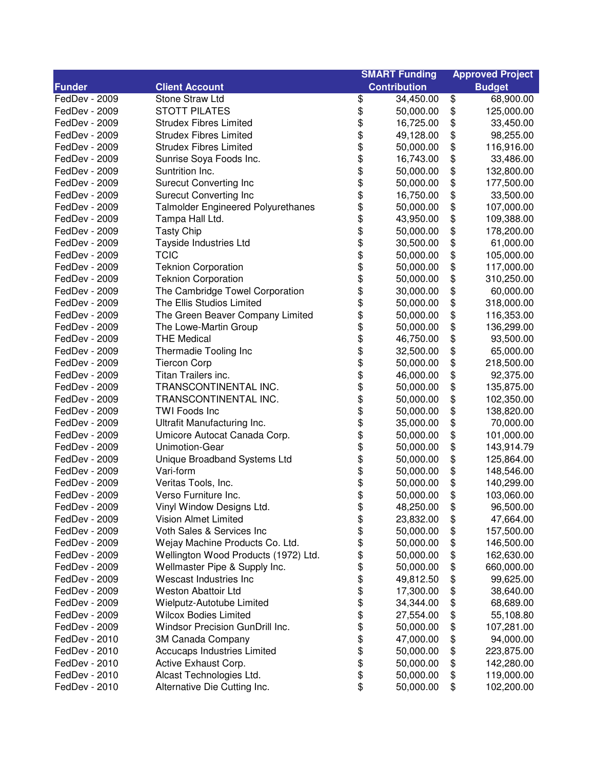|               |                                           | <b>SMART Funding</b> |                     | <b>Approved Project</b> |               |
|---------------|-------------------------------------------|----------------------|---------------------|-------------------------|---------------|
| <b>Funder</b> | <b>Client Account</b>                     |                      | <b>Contribution</b> |                         | <b>Budget</b> |
| FedDev - 2009 | Stone Straw Ltd                           | \$                   | 34,450.00           | \$                      | 68,900.00     |
| FedDev - 2009 | <b>STOTT PILATES</b>                      | \$                   | 50,000.00           | \$                      | 125,000.00    |
| FedDev - 2009 | <b>Strudex Fibres Limited</b>             | \$                   | 16,725.00           | \$                      | 33,450.00     |
| FedDev - 2009 | <b>Strudex Fibres Limited</b>             | \$                   | 49,128.00           | \$                      | 98,255.00     |
| FedDev - 2009 | <b>Strudex Fibres Limited</b>             |                      | 50,000.00           | \$                      | 116,916.00    |
| FedDev - 2009 | Sunrise Soya Foods Inc.                   | \$\$\$\$             | 16,743.00           | \$                      | 33,486.00     |
| FedDev - 2009 | Suntrition Inc.                           |                      | 50,000.00           | \$                      | 132,800.00    |
| FedDev - 2009 | <b>Surecut Converting Inc</b>             |                      | 50,000.00           | \$                      | 177,500.00    |
| FedDev - 2009 | <b>Surecut Converting Inc</b>             | \$                   | 16,750.00           | \$                      | 33,500.00     |
| FedDev - 2009 | <b>Talmolder Engineered Polyurethanes</b> | \$                   | 50,000.00           | \$                      | 107,000.00    |
| FedDev - 2009 | Tampa Hall Ltd.                           | \$                   | 43,950.00           | \$                      | 109,388.00    |
| FedDev - 2009 | <b>Tasty Chip</b>                         | \$                   | 50,000.00           | \$                      | 178,200.00    |
| FedDev - 2009 | Tayside Industries Ltd                    | \$                   | 30,500.00           | \$                      | 61,000.00     |
| FedDev - 2009 | <b>TCIC</b>                               | \$                   | 50,000.00           | \$                      | 105,000.00    |
| FedDev - 2009 | <b>Teknion Corporation</b>                | \$                   | 50,000.00           | \$                      | 117,000.00    |
| FedDev - 2009 | <b>Teknion Corporation</b>                | \$                   | 50,000.00           | \$                      | 310,250.00    |
| FedDev - 2009 | The Cambridge Towel Corporation           | \$                   | 30,000.00           | \$                      | 60,000.00     |
| FedDev - 2009 | The Ellis Studios Limited                 | \$                   | 50,000.00           | \$                      | 318,000.00    |
| FedDev - 2009 | The Green Beaver Company Limited          | \$                   | 50,000.00           | \$                      | 116,353.00    |
| FedDev - 2009 | The Lowe-Martin Group                     | \$                   | 50,000.00           | \$                      | 136,299.00    |
| FedDev - 2009 | <b>THE Medical</b>                        | \$                   | 46,750.00           | \$                      | 93,500.00     |
| FedDev - 2009 | Thermadie Tooling Inc                     | \$                   | 32,500.00           | \$                      | 65,000.00     |
| FedDev - 2009 | <b>Tiercon Corp</b>                       | \$                   | 50,000.00           | \$                      | 218,500.00    |
| FedDev - 2009 | Titan Trailers inc.                       |                      | 46,000.00           | \$                      | 92,375.00     |
| FedDev - 2009 | TRANSCONTINENTAL INC.                     | \$<br>\$             | 50,000.00           | \$                      | 135,875.00    |
| FedDev - 2009 | TRANSCONTINENTAL INC.                     | \$                   | 50,000.00           | \$                      | 102,350.00    |
| FedDev - 2009 | <b>TWI Foods Inc</b>                      | \$                   | 50,000.00           | \$                      | 138,820.00    |
| FedDev - 2009 | Ultrafit Manufacturing Inc.               |                      | 35,000.00           | \$                      | 70,000.00     |
| FedDev - 2009 | Umicore Autocat Canada Corp.              | \$                   | 50,000.00           | \$                      | 101,000.00    |
| FedDev - 2009 | Unimotion-Gear                            | \$                   | 50,000.00           | \$                      | 143,914.79    |
| FedDev - 2009 | Unique Broadband Systems Ltd              | \$                   | 50,000.00           | \$                      | 125,864.00    |
| FedDev - 2009 | Vari-form                                 | \$                   | 50,000.00           | \$                      | 148,546.00    |
| FedDev - 2009 | Veritas Tools, Inc.                       | \$                   | 50,000.00           | \$                      | 140,299.00    |
| FedDev - 2009 | Verso Furniture Inc.                      | \$                   | 50,000.00           | \$                      | 103,060.00    |
| FedDev - 2009 | Vinyl Window Designs Ltd.                 | \$                   | 48,250.00           | \$                      | 96,500.00     |
| FedDev - 2009 | Vision Almet Limited                      | \$                   | 23,832.00           | \$                      | 47,664.00     |
| FedDev - 2009 | Voth Sales & Services Inc                 | \$                   | 50,000.00           | \$                      | 157,500.00    |
| FedDev - 2009 | Wejay Machine Products Co. Ltd.           | \$                   | 50,000.00           | \$                      | 146,500.00    |
| FedDev - 2009 | Wellington Wood Products (1972) Ltd.      | \$                   | 50,000.00           | \$                      | 162,630.00    |
| FedDev - 2009 | Wellmaster Pipe & Supply Inc.             | \$                   | 50,000.00           | \$                      | 660,000.00    |
| FedDev - 2009 | Wescast Industries Inc                    | \$                   | 49,812.50           | \$                      | 99,625.00     |
| FedDev - 2009 | <b>Weston Abattoir Ltd</b>                | \$                   | 17,300.00           | \$                      | 38,640.00     |
| FedDev - 2009 | Wielputz-Autotube Limited                 | \$                   | 34,344.00           | \$                      | 68,689.00     |
| FedDev - 2009 | <b>Wilcox Bodies Limited</b>              | \$                   | 27,554.00           | \$                      | 55,108.80     |
| FedDev - 2009 | Windsor Precision GunDrill Inc.           | \$                   | 50,000.00           | \$                      | 107,281.00    |
| FedDev - 2010 | 3M Canada Company                         | \$                   | 47,000.00           | \$                      | 94,000.00     |
| FedDev - 2010 | Accucaps Industries Limited               | \$                   | 50,000.00           | \$                      | 223,875.00    |
| FedDev - 2010 | Active Exhaust Corp.                      | \$                   | 50,000.00           | \$                      | 142,280.00    |
| FedDev - 2010 | Alcast Technologies Ltd.                  | \$                   | 50,000.00           | \$                      | 119,000.00    |
| FedDev - 2010 | Alternative Die Cutting Inc.              | \$                   | 50,000.00           | \$                      | 102,200.00    |
|               |                                           |                      |                     |                         |               |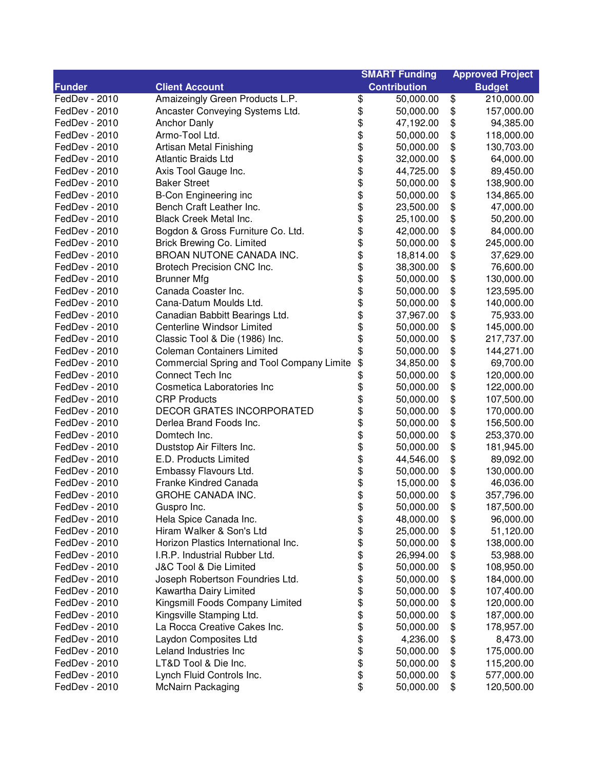| <b>Contribution</b><br><b>Funder</b><br><b>Client Account</b><br><b>Budget</b><br>\$<br>\$<br>FedDev - 2010<br>Amaizeingly Green Products L.P.<br>50,000.00<br>210,000.00<br>\$<br>\$<br>FedDev - 2010<br>50,000.00<br>157,000.00<br>Ancaster Conveying Systems Ltd.<br>\$<br>\$<br>FedDev - 2010<br><b>Anchor Danly</b><br>47,192.00<br>94,385.00<br>\$<br>\$<br>FedDev - 2010<br>Armo-Tool Ltd.<br>118,000.00<br>50,000.00<br>\$<br>\$<br>FedDev - 2010<br>Artisan Metal Finishing<br>50,000.00<br>130,703.00<br>\$\$\$<br>\$<br>FedDev - 2010<br><b>Atlantic Braids Ltd</b><br>32,000.00<br>64,000.00<br>\$<br>FedDev - 2010<br>Axis Tool Gauge Inc.<br>44,725.00<br>89,450.00<br>\$<br>FedDev - 2010<br><b>Baker Street</b><br>50,000.00<br>138,900.00<br>\$<br>FedDev - 2010<br><b>B-Con Engineering inc</b><br>50,000.00<br>134,865.00<br>\$<br>\$<br>FedDev - 2010<br>Bench Craft Leather Inc.<br>47,000.00<br>23,500.00<br>\$<br>\$<br>FedDev - 2010<br><b>Black Creek Metal Inc.</b><br>25,100.00<br>50,200.00<br>\$<br>\$<br>FedDev - 2010<br>Bogdon & Gross Furniture Co. Ltd.<br>42,000.00<br>84,000.00<br>\$<br>\$<br>FedDev - 2010<br><b>Brick Brewing Co. Limited</b><br>245,000.00<br>50,000.00<br>\$<br>BROAN NUTONE CANADA INC.<br>\$<br>FedDev - 2010<br>18,814.00<br>37,629.00<br>\$<br>\$<br>FedDev - 2010<br>Brotech Precision CNC Inc.<br>38,300.00<br>76,600.00<br>\$<br>\$<br>FedDev - 2010<br><b>Brunner Mfg</b><br>50,000.00<br>130,000.00<br>\$<br>\$<br>FedDev - 2010<br>Canada Coaster Inc.<br>123,595.00<br>50,000.00<br>\$<br>\$<br>Cana-Datum Moulds Ltd.<br>FedDev - 2010<br>140,000.00<br>50,000.00<br>\$<br>\$<br>FedDev - 2010<br>Canadian Babbitt Bearings Ltd.<br>75,933.00<br>37,967.00<br>\$<br>\$<br>Centerline Windsor Limited<br>FedDev - 2010<br>145,000.00<br>50,000.00<br>\$<br>\$<br>Classic Tool & Die (1986) Inc.<br>FedDev - 2010<br>50,000.00<br>217,737.00<br>\$<br>\$<br>FedDev - 2010<br><b>Coleman Containers Limited</b><br>50,000.00<br>144,271.00<br>\$<br>\$<br>FedDev - 2010<br>Commercial Spring and Tool Company Limite<br>69,700.00<br>34,850.00<br>\$<br>\$<br>FedDev - 2010<br>Connect Tech Inc<br>120,000.00<br>50,000.00<br>\$<br>\$<br>FedDev - 2010<br>Cosmetica Laboratories Inc<br>122,000.00<br>50,000.00<br>\$<br>\$<br>FedDev - 2010<br><b>CRP Products</b><br>107,500.00<br>50,000.00<br>\$<br>\$<br><b>DECOR GRATES INCORPORATED</b><br>FedDev - 2010<br>170,000.00<br>50,000.00<br>\$<br>\$<br>FedDev - 2010<br>Derlea Brand Foods Inc.<br>50,000.00<br>156,500.00<br>\$<br>\$<br>FedDev - 2010<br>Domtech Inc.<br>50,000.00<br>253,370.00<br>\$<br>\$<br>FedDev - 2010<br>Duststop Air Filters Inc.<br>50,000.00<br>181,945.00<br>\$<br>\$<br>FedDev - 2010<br>E.D. Products Limited<br>44,546.00<br>89,092.00<br>\$<br>\$<br>Embassy Flavours Ltd.<br>FedDev - 2010<br>50,000.00<br>130,000.00<br>\$<br>\$<br>FedDev - 2010<br>Franke Kindred Canada<br>15,000.00<br>46,036.00<br>\$<br>GROHE CANADA INC.<br>FedDev - 2010<br>50,000.00<br>\$<br>357,796.00<br>\$<br>50,000.00<br>187,500.00<br>FedDev - 2010<br>Guspro Inc.<br>\$<br>\$<br>FedDev - 2010<br>Hela Spice Canada Inc.<br>48,000.00<br>\$<br>96,000.00<br>\$<br>\$<br>FedDev - 2010<br>Hiram Walker & Son's Ltd<br>25,000.00<br>51,120.00<br>\$<br>\$<br>FedDev - 2010<br>Horizon Plastics International Inc.<br>50,000.00<br>138,000.00<br>\$<br>\$<br>FedDev - 2010<br>I.R.P. Industrial Rubber Ltd.<br>53,988.00<br>26,994.00<br>\$<br>\$<br>FedDev - 2010<br>J&C Tool & Die Limited<br>50,000.00<br>108,950.00<br>\$<br>\$<br>FedDev - 2010<br>Joseph Robertson Foundries Ltd.<br>50,000.00<br>184,000.00<br>\$<br>\$<br>FedDev - 2010<br>Kawartha Dairy Limited<br>50,000.00<br>107,400.00<br>\$<br>\$<br>FedDev - 2010<br>Kingsmill Foods Company Limited<br>50,000.00<br>120,000.00<br>\$<br>Kingsville Stamping Ltd.<br>\$<br>FedDev - 2010<br>50,000.00<br>187,000.00<br>\$<br>La Rocca Creative Cakes Inc.<br>\$<br>FedDev - 2010<br>50,000.00<br>178,957.00<br>\$<br>\$<br>Laydon Composites Ltd<br>8,473.00<br>FedDev - 2010<br>4,236.00<br>\$<br>Leland Industries Inc<br>\$<br>FedDev - 2010<br>50,000.00<br>175,000.00<br>\$<br>LT&D Tool & Die Inc.<br>FedDev - 2010<br>\$<br>50,000.00<br>115,200.00<br>\$<br>FedDev - 2010<br>Lynch Fluid Controls Inc.<br>50,000.00<br>\$<br>577,000.00<br>\$<br>\$<br>FedDev - 2010<br><b>McNairn Packaging</b><br>50,000.00<br>120,500.00 |  | <b>SMART Funding</b> | <b>Approved Project</b> |
|---------------------------------------------------------------------------------------------------------------------------------------------------------------------------------------------------------------------------------------------------------------------------------------------------------------------------------------------------------------------------------------------------------------------------------------------------------------------------------------------------------------------------------------------------------------------------------------------------------------------------------------------------------------------------------------------------------------------------------------------------------------------------------------------------------------------------------------------------------------------------------------------------------------------------------------------------------------------------------------------------------------------------------------------------------------------------------------------------------------------------------------------------------------------------------------------------------------------------------------------------------------------------------------------------------------------------------------------------------------------------------------------------------------------------------------------------------------------------------------------------------------------------------------------------------------------------------------------------------------------------------------------------------------------------------------------------------------------------------------------------------------------------------------------------------------------------------------------------------------------------------------------------------------------------------------------------------------------------------------------------------------------------------------------------------------------------------------------------------------------------------------------------------------------------------------------------------------------------------------------------------------------------------------------------------------------------------------------------------------------------------------------------------------------------------------------------------------------------------------------------------------------------------------------------------------------------------------------------------------------------------------------------------------------------------------------------------------------------------------------------------------------------------------------------------------------------------------------------------------------------------------------------------------------------------------------------------------------------------------------------------------------------------------------------------------------------------------------------------------------------------------------------------------------------------------------------------------------------------------------------------------------------------------------------------------------------------------------------------------------------------------------------------------------------------------------------------------------------------------------------------------------------------------------------------------------------------------------------------------------------------------------------------------------------------------------------------------------------------------------------------------------------------------------------------------------------------------------------------------------------------------------------------------------------------------------------------------------------------------------------------------------------------------------------------------------------------------------------------------------------------------------------------------------------------------------------------------------------------------------------------------------------------------------------------------------------------------------------------------------------------------------------------------------------------------------|--|----------------------|-------------------------|
|                                                                                                                                                                                                                                                                                                                                                                                                                                                                                                                                                                                                                                                                                                                                                                                                                                                                                                                                                                                                                                                                                                                                                                                                                                                                                                                                                                                                                                                                                                                                                                                                                                                                                                                                                                                                                                                                                                                                                                                                                                                                                                                                                                                                                                                                                                                                                                                                                                                                                                                                                                                                                                                                                                                                                                                                                                                                                                                                                                                                                                                                                                                                                                                                                                                                                                                                                                                                                                                                                                                                                                                                                                                                                                                                                                                                                                                                                                                                                                                                                                                                                                                                                                                                                                                                                                                                                                                                                                             |  |                      |                         |
|                                                                                                                                                                                                                                                                                                                                                                                                                                                                                                                                                                                                                                                                                                                                                                                                                                                                                                                                                                                                                                                                                                                                                                                                                                                                                                                                                                                                                                                                                                                                                                                                                                                                                                                                                                                                                                                                                                                                                                                                                                                                                                                                                                                                                                                                                                                                                                                                                                                                                                                                                                                                                                                                                                                                                                                                                                                                                                                                                                                                                                                                                                                                                                                                                                                                                                                                                                                                                                                                                                                                                                                                                                                                                                                                                                                                                                                                                                                                                                                                                                                                                                                                                                                                                                                                                                                                                                                                                                             |  |                      |                         |
|                                                                                                                                                                                                                                                                                                                                                                                                                                                                                                                                                                                                                                                                                                                                                                                                                                                                                                                                                                                                                                                                                                                                                                                                                                                                                                                                                                                                                                                                                                                                                                                                                                                                                                                                                                                                                                                                                                                                                                                                                                                                                                                                                                                                                                                                                                                                                                                                                                                                                                                                                                                                                                                                                                                                                                                                                                                                                                                                                                                                                                                                                                                                                                                                                                                                                                                                                                                                                                                                                                                                                                                                                                                                                                                                                                                                                                                                                                                                                                                                                                                                                                                                                                                                                                                                                                                                                                                                                                             |  |                      |                         |
|                                                                                                                                                                                                                                                                                                                                                                                                                                                                                                                                                                                                                                                                                                                                                                                                                                                                                                                                                                                                                                                                                                                                                                                                                                                                                                                                                                                                                                                                                                                                                                                                                                                                                                                                                                                                                                                                                                                                                                                                                                                                                                                                                                                                                                                                                                                                                                                                                                                                                                                                                                                                                                                                                                                                                                                                                                                                                                                                                                                                                                                                                                                                                                                                                                                                                                                                                                                                                                                                                                                                                                                                                                                                                                                                                                                                                                                                                                                                                                                                                                                                                                                                                                                                                                                                                                                                                                                                                                             |  |                      |                         |
|                                                                                                                                                                                                                                                                                                                                                                                                                                                                                                                                                                                                                                                                                                                                                                                                                                                                                                                                                                                                                                                                                                                                                                                                                                                                                                                                                                                                                                                                                                                                                                                                                                                                                                                                                                                                                                                                                                                                                                                                                                                                                                                                                                                                                                                                                                                                                                                                                                                                                                                                                                                                                                                                                                                                                                                                                                                                                                                                                                                                                                                                                                                                                                                                                                                                                                                                                                                                                                                                                                                                                                                                                                                                                                                                                                                                                                                                                                                                                                                                                                                                                                                                                                                                                                                                                                                                                                                                                                             |  |                      |                         |
|                                                                                                                                                                                                                                                                                                                                                                                                                                                                                                                                                                                                                                                                                                                                                                                                                                                                                                                                                                                                                                                                                                                                                                                                                                                                                                                                                                                                                                                                                                                                                                                                                                                                                                                                                                                                                                                                                                                                                                                                                                                                                                                                                                                                                                                                                                                                                                                                                                                                                                                                                                                                                                                                                                                                                                                                                                                                                                                                                                                                                                                                                                                                                                                                                                                                                                                                                                                                                                                                                                                                                                                                                                                                                                                                                                                                                                                                                                                                                                                                                                                                                                                                                                                                                                                                                                                                                                                                                                             |  |                      |                         |
|                                                                                                                                                                                                                                                                                                                                                                                                                                                                                                                                                                                                                                                                                                                                                                                                                                                                                                                                                                                                                                                                                                                                                                                                                                                                                                                                                                                                                                                                                                                                                                                                                                                                                                                                                                                                                                                                                                                                                                                                                                                                                                                                                                                                                                                                                                                                                                                                                                                                                                                                                                                                                                                                                                                                                                                                                                                                                                                                                                                                                                                                                                                                                                                                                                                                                                                                                                                                                                                                                                                                                                                                                                                                                                                                                                                                                                                                                                                                                                                                                                                                                                                                                                                                                                                                                                                                                                                                                                             |  |                      |                         |
|                                                                                                                                                                                                                                                                                                                                                                                                                                                                                                                                                                                                                                                                                                                                                                                                                                                                                                                                                                                                                                                                                                                                                                                                                                                                                                                                                                                                                                                                                                                                                                                                                                                                                                                                                                                                                                                                                                                                                                                                                                                                                                                                                                                                                                                                                                                                                                                                                                                                                                                                                                                                                                                                                                                                                                                                                                                                                                                                                                                                                                                                                                                                                                                                                                                                                                                                                                                                                                                                                                                                                                                                                                                                                                                                                                                                                                                                                                                                                                                                                                                                                                                                                                                                                                                                                                                                                                                                                                             |  |                      |                         |
|                                                                                                                                                                                                                                                                                                                                                                                                                                                                                                                                                                                                                                                                                                                                                                                                                                                                                                                                                                                                                                                                                                                                                                                                                                                                                                                                                                                                                                                                                                                                                                                                                                                                                                                                                                                                                                                                                                                                                                                                                                                                                                                                                                                                                                                                                                                                                                                                                                                                                                                                                                                                                                                                                                                                                                                                                                                                                                                                                                                                                                                                                                                                                                                                                                                                                                                                                                                                                                                                                                                                                                                                                                                                                                                                                                                                                                                                                                                                                                                                                                                                                                                                                                                                                                                                                                                                                                                                                                             |  |                      |                         |
|                                                                                                                                                                                                                                                                                                                                                                                                                                                                                                                                                                                                                                                                                                                                                                                                                                                                                                                                                                                                                                                                                                                                                                                                                                                                                                                                                                                                                                                                                                                                                                                                                                                                                                                                                                                                                                                                                                                                                                                                                                                                                                                                                                                                                                                                                                                                                                                                                                                                                                                                                                                                                                                                                                                                                                                                                                                                                                                                                                                                                                                                                                                                                                                                                                                                                                                                                                                                                                                                                                                                                                                                                                                                                                                                                                                                                                                                                                                                                                                                                                                                                                                                                                                                                                                                                                                                                                                                                                             |  |                      |                         |
|                                                                                                                                                                                                                                                                                                                                                                                                                                                                                                                                                                                                                                                                                                                                                                                                                                                                                                                                                                                                                                                                                                                                                                                                                                                                                                                                                                                                                                                                                                                                                                                                                                                                                                                                                                                                                                                                                                                                                                                                                                                                                                                                                                                                                                                                                                                                                                                                                                                                                                                                                                                                                                                                                                                                                                                                                                                                                                                                                                                                                                                                                                                                                                                                                                                                                                                                                                                                                                                                                                                                                                                                                                                                                                                                                                                                                                                                                                                                                                                                                                                                                                                                                                                                                                                                                                                                                                                                                                             |  |                      |                         |
|                                                                                                                                                                                                                                                                                                                                                                                                                                                                                                                                                                                                                                                                                                                                                                                                                                                                                                                                                                                                                                                                                                                                                                                                                                                                                                                                                                                                                                                                                                                                                                                                                                                                                                                                                                                                                                                                                                                                                                                                                                                                                                                                                                                                                                                                                                                                                                                                                                                                                                                                                                                                                                                                                                                                                                                                                                                                                                                                                                                                                                                                                                                                                                                                                                                                                                                                                                                                                                                                                                                                                                                                                                                                                                                                                                                                                                                                                                                                                                                                                                                                                                                                                                                                                                                                                                                                                                                                                                             |  |                      |                         |
|                                                                                                                                                                                                                                                                                                                                                                                                                                                                                                                                                                                                                                                                                                                                                                                                                                                                                                                                                                                                                                                                                                                                                                                                                                                                                                                                                                                                                                                                                                                                                                                                                                                                                                                                                                                                                                                                                                                                                                                                                                                                                                                                                                                                                                                                                                                                                                                                                                                                                                                                                                                                                                                                                                                                                                                                                                                                                                                                                                                                                                                                                                                                                                                                                                                                                                                                                                                                                                                                                                                                                                                                                                                                                                                                                                                                                                                                                                                                                                                                                                                                                                                                                                                                                                                                                                                                                                                                                                             |  |                      |                         |
|                                                                                                                                                                                                                                                                                                                                                                                                                                                                                                                                                                                                                                                                                                                                                                                                                                                                                                                                                                                                                                                                                                                                                                                                                                                                                                                                                                                                                                                                                                                                                                                                                                                                                                                                                                                                                                                                                                                                                                                                                                                                                                                                                                                                                                                                                                                                                                                                                                                                                                                                                                                                                                                                                                                                                                                                                                                                                                                                                                                                                                                                                                                                                                                                                                                                                                                                                                                                                                                                                                                                                                                                                                                                                                                                                                                                                                                                                                                                                                                                                                                                                                                                                                                                                                                                                                                                                                                                                                             |  |                      |                         |
|                                                                                                                                                                                                                                                                                                                                                                                                                                                                                                                                                                                                                                                                                                                                                                                                                                                                                                                                                                                                                                                                                                                                                                                                                                                                                                                                                                                                                                                                                                                                                                                                                                                                                                                                                                                                                                                                                                                                                                                                                                                                                                                                                                                                                                                                                                                                                                                                                                                                                                                                                                                                                                                                                                                                                                                                                                                                                                                                                                                                                                                                                                                                                                                                                                                                                                                                                                                                                                                                                                                                                                                                                                                                                                                                                                                                                                                                                                                                                                                                                                                                                                                                                                                                                                                                                                                                                                                                                                             |  |                      |                         |
|                                                                                                                                                                                                                                                                                                                                                                                                                                                                                                                                                                                                                                                                                                                                                                                                                                                                                                                                                                                                                                                                                                                                                                                                                                                                                                                                                                                                                                                                                                                                                                                                                                                                                                                                                                                                                                                                                                                                                                                                                                                                                                                                                                                                                                                                                                                                                                                                                                                                                                                                                                                                                                                                                                                                                                                                                                                                                                                                                                                                                                                                                                                                                                                                                                                                                                                                                                                                                                                                                                                                                                                                                                                                                                                                                                                                                                                                                                                                                                                                                                                                                                                                                                                                                                                                                                                                                                                                                                             |  |                      |                         |
|                                                                                                                                                                                                                                                                                                                                                                                                                                                                                                                                                                                                                                                                                                                                                                                                                                                                                                                                                                                                                                                                                                                                                                                                                                                                                                                                                                                                                                                                                                                                                                                                                                                                                                                                                                                                                                                                                                                                                                                                                                                                                                                                                                                                                                                                                                                                                                                                                                                                                                                                                                                                                                                                                                                                                                                                                                                                                                                                                                                                                                                                                                                                                                                                                                                                                                                                                                                                                                                                                                                                                                                                                                                                                                                                                                                                                                                                                                                                                                                                                                                                                                                                                                                                                                                                                                                                                                                                                                             |  |                      |                         |
|                                                                                                                                                                                                                                                                                                                                                                                                                                                                                                                                                                                                                                                                                                                                                                                                                                                                                                                                                                                                                                                                                                                                                                                                                                                                                                                                                                                                                                                                                                                                                                                                                                                                                                                                                                                                                                                                                                                                                                                                                                                                                                                                                                                                                                                                                                                                                                                                                                                                                                                                                                                                                                                                                                                                                                                                                                                                                                                                                                                                                                                                                                                                                                                                                                                                                                                                                                                                                                                                                                                                                                                                                                                                                                                                                                                                                                                                                                                                                                                                                                                                                                                                                                                                                                                                                                                                                                                                                                             |  |                      |                         |
|                                                                                                                                                                                                                                                                                                                                                                                                                                                                                                                                                                                                                                                                                                                                                                                                                                                                                                                                                                                                                                                                                                                                                                                                                                                                                                                                                                                                                                                                                                                                                                                                                                                                                                                                                                                                                                                                                                                                                                                                                                                                                                                                                                                                                                                                                                                                                                                                                                                                                                                                                                                                                                                                                                                                                                                                                                                                                                                                                                                                                                                                                                                                                                                                                                                                                                                                                                                                                                                                                                                                                                                                                                                                                                                                                                                                                                                                                                                                                                                                                                                                                                                                                                                                                                                                                                                                                                                                                                             |  |                      |                         |
|                                                                                                                                                                                                                                                                                                                                                                                                                                                                                                                                                                                                                                                                                                                                                                                                                                                                                                                                                                                                                                                                                                                                                                                                                                                                                                                                                                                                                                                                                                                                                                                                                                                                                                                                                                                                                                                                                                                                                                                                                                                                                                                                                                                                                                                                                                                                                                                                                                                                                                                                                                                                                                                                                                                                                                                                                                                                                                                                                                                                                                                                                                                                                                                                                                                                                                                                                                                                                                                                                                                                                                                                                                                                                                                                                                                                                                                                                                                                                                                                                                                                                                                                                                                                                                                                                                                                                                                                                                             |  |                      |                         |
|                                                                                                                                                                                                                                                                                                                                                                                                                                                                                                                                                                                                                                                                                                                                                                                                                                                                                                                                                                                                                                                                                                                                                                                                                                                                                                                                                                                                                                                                                                                                                                                                                                                                                                                                                                                                                                                                                                                                                                                                                                                                                                                                                                                                                                                                                                                                                                                                                                                                                                                                                                                                                                                                                                                                                                                                                                                                                                                                                                                                                                                                                                                                                                                                                                                                                                                                                                                                                                                                                                                                                                                                                                                                                                                                                                                                                                                                                                                                                                                                                                                                                                                                                                                                                                                                                                                                                                                                                                             |  |                      |                         |
|                                                                                                                                                                                                                                                                                                                                                                                                                                                                                                                                                                                                                                                                                                                                                                                                                                                                                                                                                                                                                                                                                                                                                                                                                                                                                                                                                                                                                                                                                                                                                                                                                                                                                                                                                                                                                                                                                                                                                                                                                                                                                                                                                                                                                                                                                                                                                                                                                                                                                                                                                                                                                                                                                                                                                                                                                                                                                                                                                                                                                                                                                                                                                                                                                                                                                                                                                                                                                                                                                                                                                                                                                                                                                                                                                                                                                                                                                                                                                                                                                                                                                                                                                                                                                                                                                                                                                                                                                                             |  |                      |                         |
|                                                                                                                                                                                                                                                                                                                                                                                                                                                                                                                                                                                                                                                                                                                                                                                                                                                                                                                                                                                                                                                                                                                                                                                                                                                                                                                                                                                                                                                                                                                                                                                                                                                                                                                                                                                                                                                                                                                                                                                                                                                                                                                                                                                                                                                                                                                                                                                                                                                                                                                                                                                                                                                                                                                                                                                                                                                                                                                                                                                                                                                                                                                                                                                                                                                                                                                                                                                                                                                                                                                                                                                                                                                                                                                                                                                                                                                                                                                                                                                                                                                                                                                                                                                                                                                                                                                                                                                                                                             |  |                      |                         |
|                                                                                                                                                                                                                                                                                                                                                                                                                                                                                                                                                                                                                                                                                                                                                                                                                                                                                                                                                                                                                                                                                                                                                                                                                                                                                                                                                                                                                                                                                                                                                                                                                                                                                                                                                                                                                                                                                                                                                                                                                                                                                                                                                                                                                                                                                                                                                                                                                                                                                                                                                                                                                                                                                                                                                                                                                                                                                                                                                                                                                                                                                                                                                                                                                                                                                                                                                                                                                                                                                                                                                                                                                                                                                                                                                                                                                                                                                                                                                                                                                                                                                                                                                                                                                                                                                                                                                                                                                                             |  |                      |                         |
|                                                                                                                                                                                                                                                                                                                                                                                                                                                                                                                                                                                                                                                                                                                                                                                                                                                                                                                                                                                                                                                                                                                                                                                                                                                                                                                                                                                                                                                                                                                                                                                                                                                                                                                                                                                                                                                                                                                                                                                                                                                                                                                                                                                                                                                                                                                                                                                                                                                                                                                                                                                                                                                                                                                                                                                                                                                                                                                                                                                                                                                                                                                                                                                                                                                                                                                                                                                                                                                                                                                                                                                                                                                                                                                                                                                                                                                                                                                                                                                                                                                                                                                                                                                                                                                                                                                                                                                                                                             |  |                      |                         |
|                                                                                                                                                                                                                                                                                                                                                                                                                                                                                                                                                                                                                                                                                                                                                                                                                                                                                                                                                                                                                                                                                                                                                                                                                                                                                                                                                                                                                                                                                                                                                                                                                                                                                                                                                                                                                                                                                                                                                                                                                                                                                                                                                                                                                                                                                                                                                                                                                                                                                                                                                                                                                                                                                                                                                                                                                                                                                                                                                                                                                                                                                                                                                                                                                                                                                                                                                                                                                                                                                                                                                                                                                                                                                                                                                                                                                                                                                                                                                                                                                                                                                                                                                                                                                                                                                                                                                                                                                                             |  |                      |                         |
|                                                                                                                                                                                                                                                                                                                                                                                                                                                                                                                                                                                                                                                                                                                                                                                                                                                                                                                                                                                                                                                                                                                                                                                                                                                                                                                                                                                                                                                                                                                                                                                                                                                                                                                                                                                                                                                                                                                                                                                                                                                                                                                                                                                                                                                                                                                                                                                                                                                                                                                                                                                                                                                                                                                                                                                                                                                                                                                                                                                                                                                                                                                                                                                                                                                                                                                                                                                                                                                                                                                                                                                                                                                                                                                                                                                                                                                                                                                                                                                                                                                                                                                                                                                                                                                                                                                                                                                                                                             |  |                      |                         |
|                                                                                                                                                                                                                                                                                                                                                                                                                                                                                                                                                                                                                                                                                                                                                                                                                                                                                                                                                                                                                                                                                                                                                                                                                                                                                                                                                                                                                                                                                                                                                                                                                                                                                                                                                                                                                                                                                                                                                                                                                                                                                                                                                                                                                                                                                                                                                                                                                                                                                                                                                                                                                                                                                                                                                                                                                                                                                                                                                                                                                                                                                                                                                                                                                                                                                                                                                                                                                                                                                                                                                                                                                                                                                                                                                                                                                                                                                                                                                                                                                                                                                                                                                                                                                                                                                                                                                                                                                                             |  |                      |                         |
|                                                                                                                                                                                                                                                                                                                                                                                                                                                                                                                                                                                                                                                                                                                                                                                                                                                                                                                                                                                                                                                                                                                                                                                                                                                                                                                                                                                                                                                                                                                                                                                                                                                                                                                                                                                                                                                                                                                                                                                                                                                                                                                                                                                                                                                                                                                                                                                                                                                                                                                                                                                                                                                                                                                                                                                                                                                                                                                                                                                                                                                                                                                                                                                                                                                                                                                                                                                                                                                                                                                                                                                                                                                                                                                                                                                                                                                                                                                                                                                                                                                                                                                                                                                                                                                                                                                                                                                                                                             |  |                      |                         |
|                                                                                                                                                                                                                                                                                                                                                                                                                                                                                                                                                                                                                                                                                                                                                                                                                                                                                                                                                                                                                                                                                                                                                                                                                                                                                                                                                                                                                                                                                                                                                                                                                                                                                                                                                                                                                                                                                                                                                                                                                                                                                                                                                                                                                                                                                                                                                                                                                                                                                                                                                                                                                                                                                                                                                                                                                                                                                                                                                                                                                                                                                                                                                                                                                                                                                                                                                                                                                                                                                                                                                                                                                                                                                                                                                                                                                                                                                                                                                                                                                                                                                                                                                                                                                                                                                                                                                                                                                                             |  |                      |                         |
|                                                                                                                                                                                                                                                                                                                                                                                                                                                                                                                                                                                                                                                                                                                                                                                                                                                                                                                                                                                                                                                                                                                                                                                                                                                                                                                                                                                                                                                                                                                                                                                                                                                                                                                                                                                                                                                                                                                                                                                                                                                                                                                                                                                                                                                                                                                                                                                                                                                                                                                                                                                                                                                                                                                                                                                                                                                                                                                                                                                                                                                                                                                                                                                                                                                                                                                                                                                                                                                                                                                                                                                                                                                                                                                                                                                                                                                                                                                                                                                                                                                                                                                                                                                                                                                                                                                                                                                                                                             |  |                      |                         |
|                                                                                                                                                                                                                                                                                                                                                                                                                                                                                                                                                                                                                                                                                                                                                                                                                                                                                                                                                                                                                                                                                                                                                                                                                                                                                                                                                                                                                                                                                                                                                                                                                                                                                                                                                                                                                                                                                                                                                                                                                                                                                                                                                                                                                                                                                                                                                                                                                                                                                                                                                                                                                                                                                                                                                                                                                                                                                                                                                                                                                                                                                                                                                                                                                                                                                                                                                                                                                                                                                                                                                                                                                                                                                                                                                                                                                                                                                                                                                                                                                                                                                                                                                                                                                                                                                                                                                                                                                                             |  |                      |                         |
|                                                                                                                                                                                                                                                                                                                                                                                                                                                                                                                                                                                                                                                                                                                                                                                                                                                                                                                                                                                                                                                                                                                                                                                                                                                                                                                                                                                                                                                                                                                                                                                                                                                                                                                                                                                                                                                                                                                                                                                                                                                                                                                                                                                                                                                                                                                                                                                                                                                                                                                                                                                                                                                                                                                                                                                                                                                                                                                                                                                                                                                                                                                                                                                                                                                                                                                                                                                                                                                                                                                                                                                                                                                                                                                                                                                                                                                                                                                                                                                                                                                                                                                                                                                                                                                                                                                                                                                                                                             |  |                      |                         |
|                                                                                                                                                                                                                                                                                                                                                                                                                                                                                                                                                                                                                                                                                                                                                                                                                                                                                                                                                                                                                                                                                                                                                                                                                                                                                                                                                                                                                                                                                                                                                                                                                                                                                                                                                                                                                                                                                                                                                                                                                                                                                                                                                                                                                                                                                                                                                                                                                                                                                                                                                                                                                                                                                                                                                                                                                                                                                                                                                                                                                                                                                                                                                                                                                                                                                                                                                                                                                                                                                                                                                                                                                                                                                                                                                                                                                                                                                                                                                                                                                                                                                                                                                                                                                                                                                                                                                                                                                                             |  |                      |                         |
|                                                                                                                                                                                                                                                                                                                                                                                                                                                                                                                                                                                                                                                                                                                                                                                                                                                                                                                                                                                                                                                                                                                                                                                                                                                                                                                                                                                                                                                                                                                                                                                                                                                                                                                                                                                                                                                                                                                                                                                                                                                                                                                                                                                                                                                                                                                                                                                                                                                                                                                                                                                                                                                                                                                                                                                                                                                                                                                                                                                                                                                                                                                                                                                                                                                                                                                                                                                                                                                                                                                                                                                                                                                                                                                                                                                                                                                                                                                                                                                                                                                                                                                                                                                                                                                                                                                                                                                                                                             |  |                      |                         |
|                                                                                                                                                                                                                                                                                                                                                                                                                                                                                                                                                                                                                                                                                                                                                                                                                                                                                                                                                                                                                                                                                                                                                                                                                                                                                                                                                                                                                                                                                                                                                                                                                                                                                                                                                                                                                                                                                                                                                                                                                                                                                                                                                                                                                                                                                                                                                                                                                                                                                                                                                                                                                                                                                                                                                                                                                                                                                                                                                                                                                                                                                                                                                                                                                                                                                                                                                                                                                                                                                                                                                                                                                                                                                                                                                                                                                                                                                                                                                                                                                                                                                                                                                                                                                                                                                                                                                                                                                                             |  |                      |                         |
|                                                                                                                                                                                                                                                                                                                                                                                                                                                                                                                                                                                                                                                                                                                                                                                                                                                                                                                                                                                                                                                                                                                                                                                                                                                                                                                                                                                                                                                                                                                                                                                                                                                                                                                                                                                                                                                                                                                                                                                                                                                                                                                                                                                                                                                                                                                                                                                                                                                                                                                                                                                                                                                                                                                                                                                                                                                                                                                                                                                                                                                                                                                                                                                                                                                                                                                                                                                                                                                                                                                                                                                                                                                                                                                                                                                                                                                                                                                                                                                                                                                                                                                                                                                                                                                                                                                                                                                                                                             |  |                      |                         |
|                                                                                                                                                                                                                                                                                                                                                                                                                                                                                                                                                                                                                                                                                                                                                                                                                                                                                                                                                                                                                                                                                                                                                                                                                                                                                                                                                                                                                                                                                                                                                                                                                                                                                                                                                                                                                                                                                                                                                                                                                                                                                                                                                                                                                                                                                                                                                                                                                                                                                                                                                                                                                                                                                                                                                                                                                                                                                                                                                                                                                                                                                                                                                                                                                                                                                                                                                                                                                                                                                                                                                                                                                                                                                                                                                                                                                                                                                                                                                                                                                                                                                                                                                                                                                                                                                                                                                                                                                                             |  |                      |                         |
|                                                                                                                                                                                                                                                                                                                                                                                                                                                                                                                                                                                                                                                                                                                                                                                                                                                                                                                                                                                                                                                                                                                                                                                                                                                                                                                                                                                                                                                                                                                                                                                                                                                                                                                                                                                                                                                                                                                                                                                                                                                                                                                                                                                                                                                                                                                                                                                                                                                                                                                                                                                                                                                                                                                                                                                                                                                                                                                                                                                                                                                                                                                                                                                                                                                                                                                                                                                                                                                                                                                                                                                                                                                                                                                                                                                                                                                                                                                                                                                                                                                                                                                                                                                                                                                                                                                                                                                                                                             |  |                      |                         |
|                                                                                                                                                                                                                                                                                                                                                                                                                                                                                                                                                                                                                                                                                                                                                                                                                                                                                                                                                                                                                                                                                                                                                                                                                                                                                                                                                                                                                                                                                                                                                                                                                                                                                                                                                                                                                                                                                                                                                                                                                                                                                                                                                                                                                                                                                                                                                                                                                                                                                                                                                                                                                                                                                                                                                                                                                                                                                                                                                                                                                                                                                                                                                                                                                                                                                                                                                                                                                                                                                                                                                                                                                                                                                                                                                                                                                                                                                                                                                                                                                                                                                                                                                                                                                                                                                                                                                                                                                                             |  |                      |                         |
|                                                                                                                                                                                                                                                                                                                                                                                                                                                                                                                                                                                                                                                                                                                                                                                                                                                                                                                                                                                                                                                                                                                                                                                                                                                                                                                                                                                                                                                                                                                                                                                                                                                                                                                                                                                                                                                                                                                                                                                                                                                                                                                                                                                                                                                                                                                                                                                                                                                                                                                                                                                                                                                                                                                                                                                                                                                                                                                                                                                                                                                                                                                                                                                                                                                                                                                                                                                                                                                                                                                                                                                                                                                                                                                                                                                                                                                                                                                                                                                                                                                                                                                                                                                                                                                                                                                                                                                                                                             |  |                      |                         |
|                                                                                                                                                                                                                                                                                                                                                                                                                                                                                                                                                                                                                                                                                                                                                                                                                                                                                                                                                                                                                                                                                                                                                                                                                                                                                                                                                                                                                                                                                                                                                                                                                                                                                                                                                                                                                                                                                                                                                                                                                                                                                                                                                                                                                                                                                                                                                                                                                                                                                                                                                                                                                                                                                                                                                                                                                                                                                                                                                                                                                                                                                                                                                                                                                                                                                                                                                                                                                                                                                                                                                                                                                                                                                                                                                                                                                                                                                                                                                                                                                                                                                                                                                                                                                                                                                                                                                                                                                                             |  |                      |                         |
|                                                                                                                                                                                                                                                                                                                                                                                                                                                                                                                                                                                                                                                                                                                                                                                                                                                                                                                                                                                                                                                                                                                                                                                                                                                                                                                                                                                                                                                                                                                                                                                                                                                                                                                                                                                                                                                                                                                                                                                                                                                                                                                                                                                                                                                                                                                                                                                                                                                                                                                                                                                                                                                                                                                                                                                                                                                                                                                                                                                                                                                                                                                                                                                                                                                                                                                                                                                                                                                                                                                                                                                                                                                                                                                                                                                                                                                                                                                                                                                                                                                                                                                                                                                                                                                                                                                                                                                                                                             |  |                      |                         |
|                                                                                                                                                                                                                                                                                                                                                                                                                                                                                                                                                                                                                                                                                                                                                                                                                                                                                                                                                                                                                                                                                                                                                                                                                                                                                                                                                                                                                                                                                                                                                                                                                                                                                                                                                                                                                                                                                                                                                                                                                                                                                                                                                                                                                                                                                                                                                                                                                                                                                                                                                                                                                                                                                                                                                                                                                                                                                                                                                                                                                                                                                                                                                                                                                                                                                                                                                                                                                                                                                                                                                                                                                                                                                                                                                                                                                                                                                                                                                                                                                                                                                                                                                                                                                                                                                                                                                                                                                                             |  |                      |                         |
|                                                                                                                                                                                                                                                                                                                                                                                                                                                                                                                                                                                                                                                                                                                                                                                                                                                                                                                                                                                                                                                                                                                                                                                                                                                                                                                                                                                                                                                                                                                                                                                                                                                                                                                                                                                                                                                                                                                                                                                                                                                                                                                                                                                                                                                                                                                                                                                                                                                                                                                                                                                                                                                                                                                                                                                                                                                                                                                                                                                                                                                                                                                                                                                                                                                                                                                                                                                                                                                                                                                                                                                                                                                                                                                                                                                                                                                                                                                                                                                                                                                                                                                                                                                                                                                                                                                                                                                                                                             |  |                      |                         |
|                                                                                                                                                                                                                                                                                                                                                                                                                                                                                                                                                                                                                                                                                                                                                                                                                                                                                                                                                                                                                                                                                                                                                                                                                                                                                                                                                                                                                                                                                                                                                                                                                                                                                                                                                                                                                                                                                                                                                                                                                                                                                                                                                                                                                                                                                                                                                                                                                                                                                                                                                                                                                                                                                                                                                                                                                                                                                                                                                                                                                                                                                                                                                                                                                                                                                                                                                                                                                                                                                                                                                                                                                                                                                                                                                                                                                                                                                                                                                                                                                                                                                                                                                                                                                                                                                                                                                                                                                                             |  |                      |                         |
|                                                                                                                                                                                                                                                                                                                                                                                                                                                                                                                                                                                                                                                                                                                                                                                                                                                                                                                                                                                                                                                                                                                                                                                                                                                                                                                                                                                                                                                                                                                                                                                                                                                                                                                                                                                                                                                                                                                                                                                                                                                                                                                                                                                                                                                                                                                                                                                                                                                                                                                                                                                                                                                                                                                                                                                                                                                                                                                                                                                                                                                                                                                                                                                                                                                                                                                                                                                                                                                                                                                                                                                                                                                                                                                                                                                                                                                                                                                                                                                                                                                                                                                                                                                                                                                                                                                                                                                                                                             |  |                      |                         |
|                                                                                                                                                                                                                                                                                                                                                                                                                                                                                                                                                                                                                                                                                                                                                                                                                                                                                                                                                                                                                                                                                                                                                                                                                                                                                                                                                                                                                                                                                                                                                                                                                                                                                                                                                                                                                                                                                                                                                                                                                                                                                                                                                                                                                                                                                                                                                                                                                                                                                                                                                                                                                                                                                                                                                                                                                                                                                                                                                                                                                                                                                                                                                                                                                                                                                                                                                                                                                                                                                                                                                                                                                                                                                                                                                                                                                                                                                                                                                                                                                                                                                                                                                                                                                                                                                                                                                                                                                                             |  |                      |                         |
|                                                                                                                                                                                                                                                                                                                                                                                                                                                                                                                                                                                                                                                                                                                                                                                                                                                                                                                                                                                                                                                                                                                                                                                                                                                                                                                                                                                                                                                                                                                                                                                                                                                                                                                                                                                                                                                                                                                                                                                                                                                                                                                                                                                                                                                                                                                                                                                                                                                                                                                                                                                                                                                                                                                                                                                                                                                                                                                                                                                                                                                                                                                                                                                                                                                                                                                                                                                                                                                                                                                                                                                                                                                                                                                                                                                                                                                                                                                                                                                                                                                                                                                                                                                                                                                                                                                                                                                                                                             |  |                      |                         |
|                                                                                                                                                                                                                                                                                                                                                                                                                                                                                                                                                                                                                                                                                                                                                                                                                                                                                                                                                                                                                                                                                                                                                                                                                                                                                                                                                                                                                                                                                                                                                                                                                                                                                                                                                                                                                                                                                                                                                                                                                                                                                                                                                                                                                                                                                                                                                                                                                                                                                                                                                                                                                                                                                                                                                                                                                                                                                                                                                                                                                                                                                                                                                                                                                                                                                                                                                                                                                                                                                                                                                                                                                                                                                                                                                                                                                                                                                                                                                                                                                                                                                                                                                                                                                                                                                                                                                                                                                                             |  |                      |                         |
|                                                                                                                                                                                                                                                                                                                                                                                                                                                                                                                                                                                                                                                                                                                                                                                                                                                                                                                                                                                                                                                                                                                                                                                                                                                                                                                                                                                                                                                                                                                                                                                                                                                                                                                                                                                                                                                                                                                                                                                                                                                                                                                                                                                                                                                                                                                                                                                                                                                                                                                                                                                                                                                                                                                                                                                                                                                                                                                                                                                                                                                                                                                                                                                                                                                                                                                                                                                                                                                                                                                                                                                                                                                                                                                                                                                                                                                                                                                                                                                                                                                                                                                                                                                                                                                                                                                                                                                                                                             |  |                      |                         |